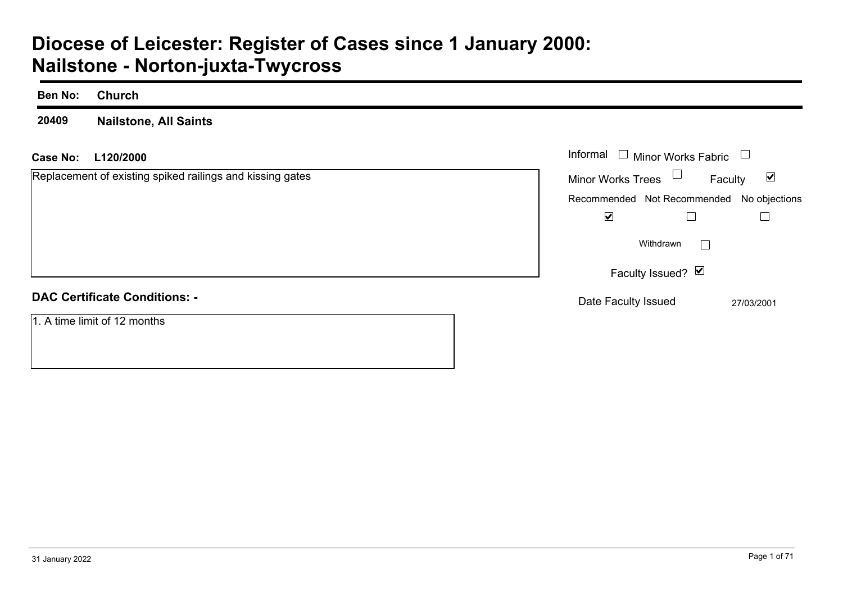# **Diocese of Leicester: Register of Cases since 1 January 2000: Nailstone - Norton-juxta-Twycross**

| <b>Ben No:</b>                                            | <b>Church</b>                        |                                                                       |
|-----------------------------------------------------------|--------------------------------------|-----------------------------------------------------------------------|
| 20409                                                     | <b>Nailstone, All Saints</b>         |                                                                       |
| <b>Case No:</b>                                           | L120/2000                            | Informal $\square$<br>Minor Works Fabric $\;\;\sqcup\;$               |
| Replacement of existing spiked railings and kissing gates |                                      | $\Box$<br>$\blacktriangledown$<br><b>Minor Works Trees</b><br>Faculty |
|                                                           |                                      | Recommended Not Recommended No objections                             |
|                                                           |                                      | $\blacktriangledown$<br>$\Box$                                        |
|                                                           |                                      | Withdrawn<br>$\overline{\phantom{a}}$                                 |
|                                                           |                                      | Faculty Issued? Ø                                                     |
|                                                           | <b>DAC Certificate Conditions: -</b> | Date Faculty Issued<br>27/03/2001                                     |
|                                                           | 1. A time limit of 12 months         |                                                                       |
|                                                           |                                      |                                                                       |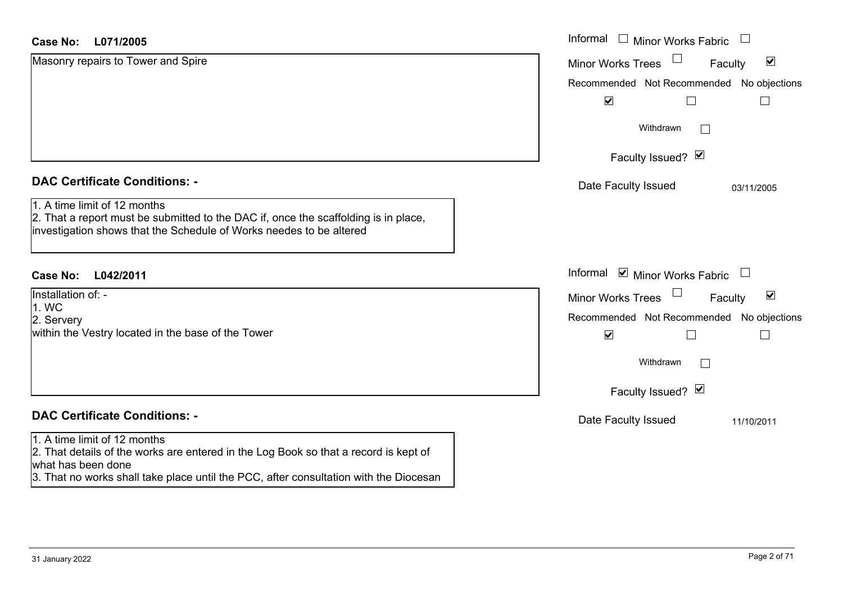| <b>Case No:</b><br>L071/2005                                                                                                                                                                                                        | Informal<br>$\Box$ Minor Works Fabric<br>$\Box$             |
|-------------------------------------------------------------------------------------------------------------------------------------------------------------------------------------------------------------------------------------|-------------------------------------------------------------|
| Masonry repairs to Tower and Spire                                                                                                                                                                                                  | $\blacktriangledown$<br><b>Minor Works Trees</b><br>Faculty |
|                                                                                                                                                                                                                                     | Recommended Not Recommended No objections                   |
|                                                                                                                                                                                                                                     | $\blacktriangledown$                                        |
|                                                                                                                                                                                                                                     | Withdrawn<br>$\mathbf{I}$                                   |
|                                                                                                                                                                                                                                     | Faculty Issued? Ø                                           |
| <b>DAC Certificate Conditions: -</b>                                                                                                                                                                                                | Date Faculty Issued<br>03/11/2005                           |
| 1. A time limit of 12 months<br>2. That a report must be submitted to the DAC if, once the scaffolding is in place,<br>investigation shows that the Schedule of Works needes to be altered                                          |                                                             |
| <b>Case No:</b><br>L042/2011                                                                                                                                                                                                        | Informal<br>$\blacksquare$ Minor Works Fabric<br>$\Box$     |
| Installation of: -                                                                                                                                                                                                                  | $\blacktriangledown$<br><b>Minor Works Trees</b><br>Faculty |
| 1. WC<br>2. Servery                                                                                                                                                                                                                 | Recommended Not Recommended No objections                   |
| within the Vestry located in the base of the Tower                                                                                                                                                                                  | $\blacktriangledown$                                        |
|                                                                                                                                                                                                                                     | Withdrawn                                                   |
|                                                                                                                                                                                                                                     | Faculty Issued? Ø                                           |
| <b>DAC Certificate Conditions: -</b>                                                                                                                                                                                                | Date Faculty Issued<br>11/10/2011                           |
| 1. A time limit of 12 months<br>2. That details of the works are entered in the Log Book so that a record is kept of<br>what has been done<br>3. That no works shall take place until the PCC, after consultation with the Diocesan |                                                             |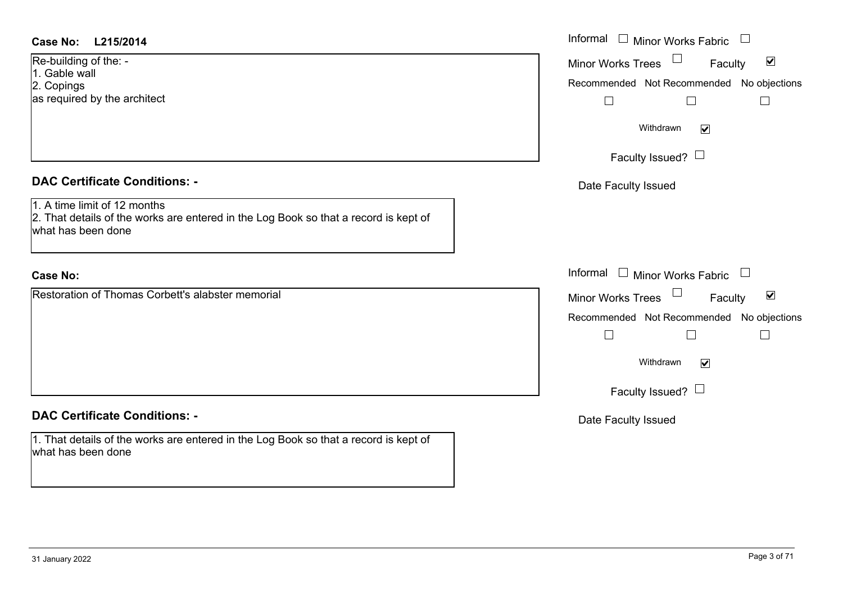| <b>Case No:</b> |  |  | L215/2014 |
|-----------------|--|--|-----------|
|-----------------|--|--|-----------|

Re-building of the: - 1. Gable wall 2. Copings as required by the architect

#### **DAC Certificate Conditions: -**

1. A time limit of 12 months2. That details of the works are entered in the Log Book so that a record is kept of what has been done

## **Case No:**

Restoration of Thomas Corbett's alabster memorial

# **DAC Certificate Conditions: -**

1. That details of the works are entered in the Log Book so that a record is kept of what has been done

| L215/2014                                                                                                      | Informal $\Box$ Minor Works Fabric $\Box$            |
|----------------------------------------------------------------------------------------------------------------|------------------------------------------------------|
| ng of the: -                                                                                                   | Minor Works Trees<br>$\blacktriangledown$<br>Faculty |
| wall<br>JS.<br>ed by the architect                                                                             | Recommended Not Recommended No objections<br>$\Box$  |
|                                                                                                                | Withdrawn<br>$\blacktriangledown$                    |
|                                                                                                                | Faculty Issued? $\Box$                               |
| rtificate Conditions: -                                                                                        | Date Faculty Issued                                  |
| limit of 12 months<br>etails of the works are entered in the Log Book so that a record is kept of<br>been done |                                                      |
|                                                                                                                | Informal $\Box$ Minor Works Fabric $\Box$            |
| on of Thomas Corbett's alabster memorial                                                                       | $\blacktriangledown$<br>Minor Works Trees<br>Faculty |
|                                                                                                                | Recommended Not Recommended No objections<br>$\Box$  |
|                                                                                                                | Withdrawn<br>$\blacktriangledown$                    |
|                                                                                                                | Faculty Issued? $\Box$                               |
| rtificate Conditions: -                                                                                        | Date Faculty Issued                                  |
| etails of the works are entered in the Log Book so that a record is kept of                                    |                                                      |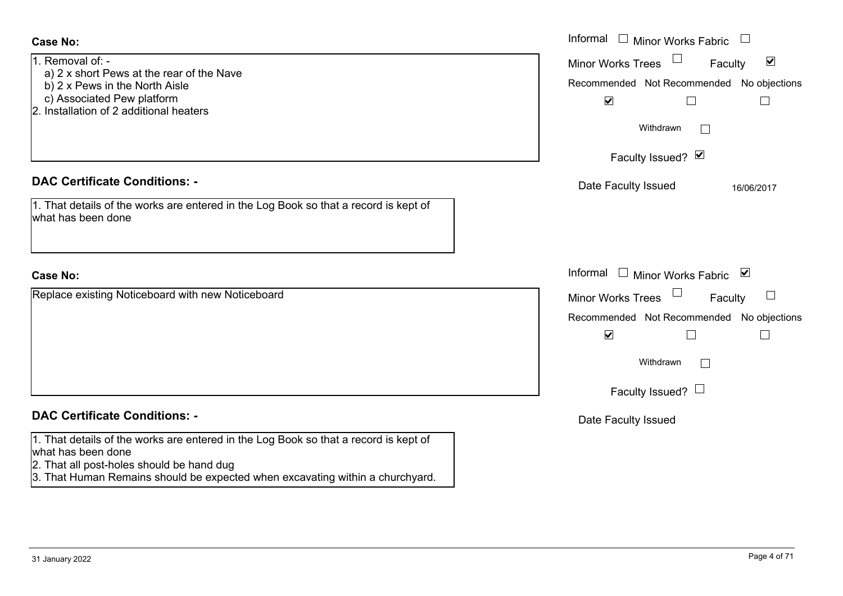| <b>Case No:</b>                                                                                                                                                          | Informal □ Minor Works Fabric                                                                                                                      |
|--------------------------------------------------------------------------------------------------------------------------------------------------------------------------|----------------------------------------------------------------------------------------------------------------------------------------------------|
| 1. Removal of: -<br>a) 2 x short Pews at the rear of the Nave<br>b) 2 x Pews in the North Aisle<br>c) Associated Pew platform<br>2. Installation of 2 additional heaters | $\blacktriangledown$<br><b>Minor Works Trees</b><br>Faculty<br>Recommended Not Recommended No objections<br>$\blacktriangledown$<br>Е<br>Withdrawn |
|                                                                                                                                                                          | Faculty Issued? Ø                                                                                                                                  |
| <b>DAC Certificate Conditions: -</b>                                                                                                                                     | Date Faculty Issued<br>16/06/2017                                                                                                                  |
| 1. That details of the works are entered in the Log Book so that a record is kept of<br>what has been done                                                               |                                                                                                                                                    |
| <b>Case No:</b>                                                                                                                                                          | Informal $\Box$ Minor Works Fabric $\Box$                                                                                                          |
| Replace existing Noticeboard with new Noticeboard                                                                                                                        | <b>Minor Works Trees</b><br>Faculty<br>Recommended Not Recommended No objections<br>$\blacktriangledown$<br>Withdrawn<br>Faculty Issued? $\Box$    |
| <b>DAC Certificate Conditions: -</b>                                                                                                                                     | Date Faculty Issued                                                                                                                                |
| 1. That details of the works are entered in the Log Book so that a record is kept of<br>what has been done<br>2. That all post-holes should be hand dug                  |                                                                                                                                                    |

3. That Human Remains should be expected when excavating within a churchyard.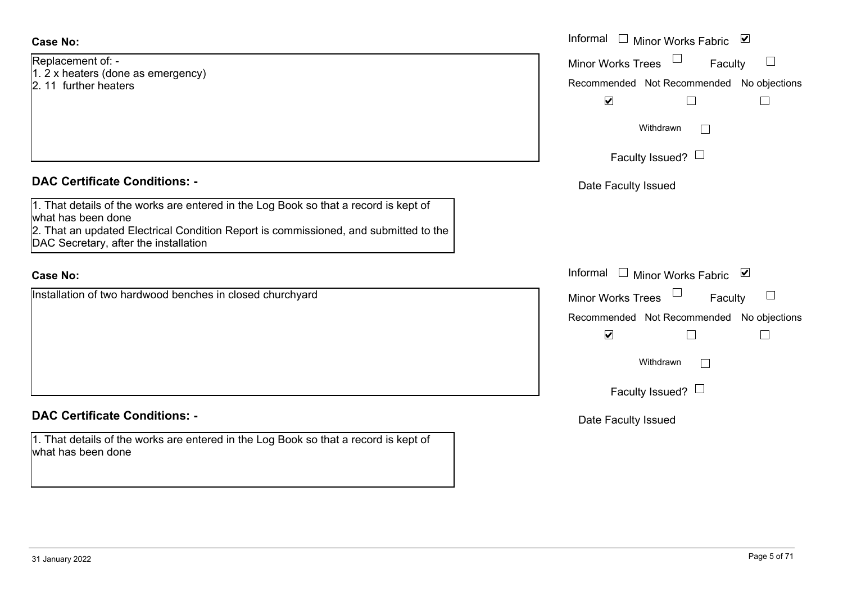Replacement of: -

- 1. 2 x heaters (done as emergency)
- 2. 11 further heaters

## **DAC Certificate Conditions: -**

1. That details of the works are entered in the Log Book so that a record is kept of what has been done 2. That an updated Electrical Condition Report is commissioned, and submitted to the DAC Secretary, after the installation

## **Case No:**

Installation of two hardwood benches in closed churchyard

## **DAC Certificate Conditions: -**

1. That details of the works are entered in the Log Book so that a record is kept of what has been done

|                                                                                                                                                                                                           | Informal $\square$<br>⊻<br><b>Minor Works Fabric</b>                                              |
|-----------------------------------------------------------------------------------------------------------------------------------------------------------------------------------------------------------|---------------------------------------------------------------------------------------------------|
| nent of: -<br>aters (done as emergency)<br>ther heaters                                                                                                                                                   | <b>Minor Works Trees</b><br>Faculty<br>Recommended Not Recommended No objections                  |
|                                                                                                                                                                                                           | $\blacktriangledown$<br>$\sqcup$<br>$\Box$<br>Withdrawn<br>$\mathbf{L}$<br>Faculty Issued? $\Box$ |
| rtificate Conditions: -                                                                                                                                                                                   | Date Faculty Issued                                                                               |
| etails of the works are entered in the Log Book so that a record is kept of<br>been done<br>n updated Electrical Condition Report is commissioned, and submitted to the<br>retary, after the installation |                                                                                                   |
|                                                                                                                                                                                                           | Informal<br>□ Minor Works Fabric $\blacksquare$                                                   |
| on of two hardwood benches in closed churchyard                                                                                                                                                           | Minor Works Trees<br>Faculty<br>Recommended Not Recommended No objections<br>$\blacktriangledown$ |
|                                                                                                                                                                                                           | Withdrawn<br>$\Box$                                                                               |
|                                                                                                                                                                                                           | Faculty Issued? $\Box$                                                                            |
| rtificate Conditions: -                                                                                                                                                                                   | Date Faculty Issued                                                                               |
| etails of the works are entered in the Log Book so that a record is kent of                                                                                                                               |                                                                                                   |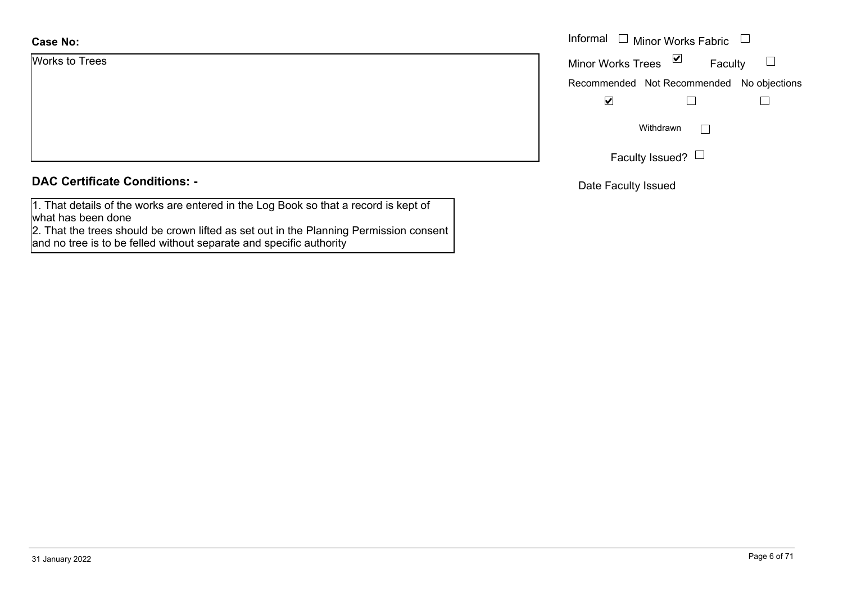| <b>Case No:</b> | Informal |
|-----------------|----------|
| Works to Trees  | Minor W  |
|                 | Recomm   |
|                 |          |
|                 |          |
|                 |          |
|                 |          |

# **DAC Certificate Conditions: -**

1. That details of the works are entered in the Log Book so that a record is kept of what has been done

 2. That the trees should be crown lifted as set out in the Planning Permission consent and no tree is to be felled without separate and specific authority

| Informal                 | □ Minor Works Fabric                      |  |
|--------------------------|-------------------------------------------|--|
| <b>Minor Works Trees</b> | ⊻<br>Faculty                              |  |
|                          | Recommended Not Recommended No objections |  |
|                          |                                           |  |
|                          | Withdrawn                                 |  |
|                          | Faculty Issued?                           |  |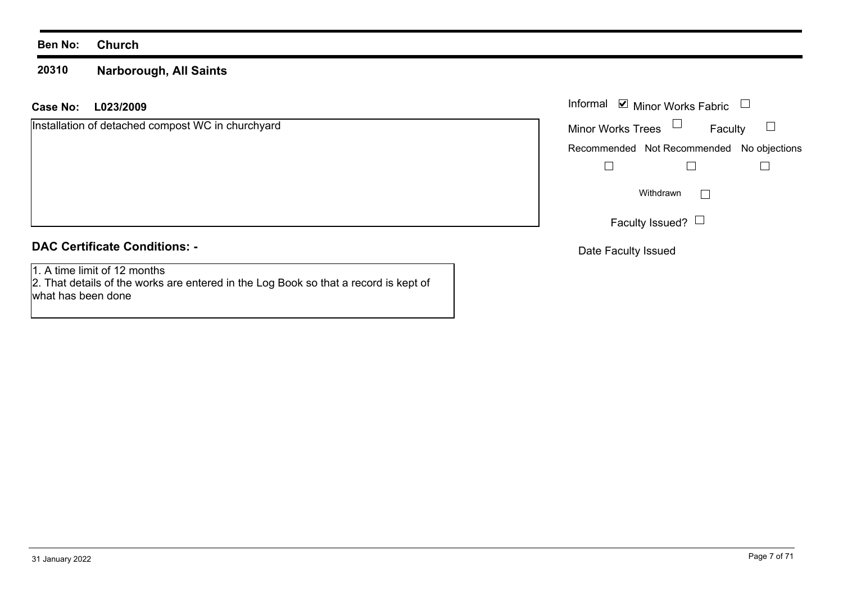#### **Ben No: Church**

#### **20310Narborough, All Saints**

#### **L023/2009 Case No:** Informal

| Installation of detached compost WC in churchyard |  |  |  |
|---------------------------------------------------|--|--|--|
|---------------------------------------------------|--|--|--|

# **DAC Certificate Conditions: -**

1. A time limit of 12 months

 2. That details of the works are entered in the Log Book so that a record is kept of what has been done

|                          | Informal ■ Minor Works Fabric             |  |
|--------------------------|-------------------------------------------|--|
| <b>Minor Works Trees</b> | Faculty                                   |  |
|                          | Recommended Not Recommended No objections |  |
|                          |                                           |  |
|                          | Withdrawn                                 |  |
|                          | Faculty Issued? $\Box$                    |  |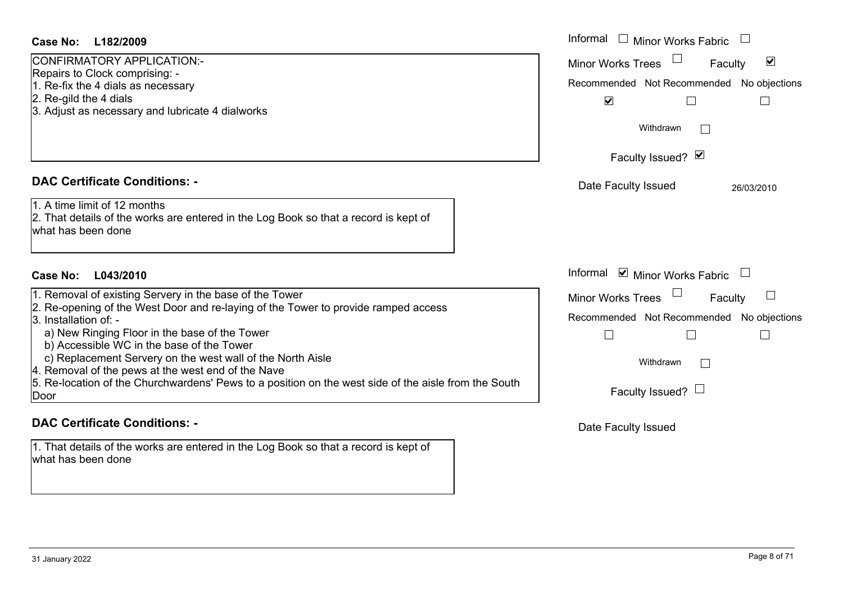| Minor Works Trees<br>Faculty<br>Recommended Not Recommended No objections<br>$\blacktriangledown$<br>Withdrawn<br>Faculty Issued? Ø<br>Date Faculty Issued | $\blacktriangledown$<br>26/03/2010                                                                                             |
|------------------------------------------------------------------------------------------------------------------------------------------------------------|--------------------------------------------------------------------------------------------------------------------------------|
|                                                                                                                                                            |                                                                                                                                |
|                                                                                                                                                            |                                                                                                                                |
|                                                                                                                                                            |                                                                                                                                |
|                                                                                                                                                            |                                                                                                                                |
|                                                                                                                                                            |                                                                                                                                |
|                                                                                                                                                            |                                                                                                                                |
|                                                                                                                                                            |                                                                                                                                |
|                                                                                                                                                            |                                                                                                                                |
| Informal <b>v</b> Minor Works Fabric                                                                                                                       |                                                                                                                                |
|                                                                                                                                                            |                                                                                                                                |
|                                                                                                                                                            |                                                                                                                                |
| $\Box$                                                                                                                                                     |                                                                                                                                |
|                                                                                                                                                            |                                                                                                                                |
|                                                                                                                                                            |                                                                                                                                |
| Faculty Issued? $\Box$                                                                                                                                     |                                                                                                                                |
|                                                                                                                                                            | Faculty<br><b>Minor Works Trees</b><br>Recommended Not Recommended No objections<br>Withdrawn<br>$\Box$<br>Date Faculty Issued |

1. That details of the works are entered in the Log Book so that a record is kept of what has been done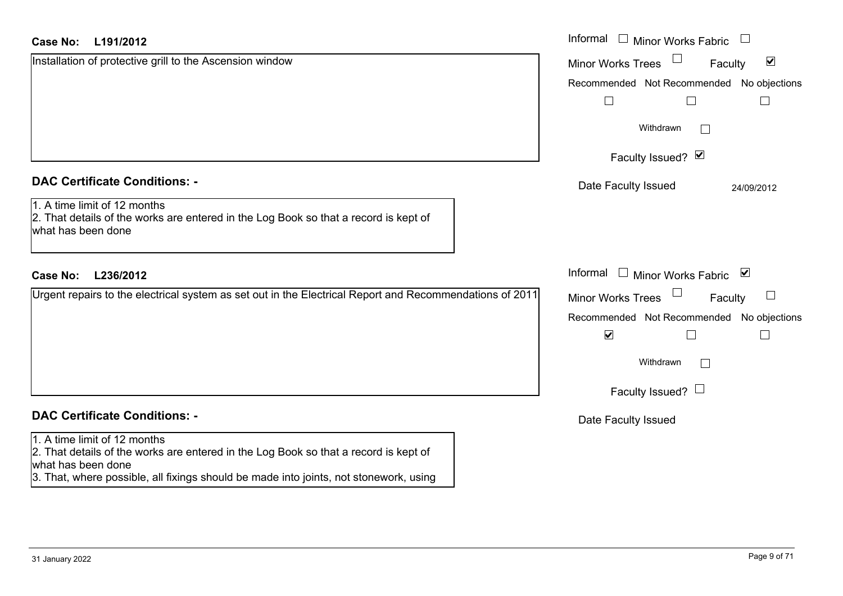|  | Case No: L191/2012 |  | Informal |
|--|--------------------|--|----------|
|--|--------------------|--|----------|

| Installation of protective grill to the Ascension window                                                                                   | $\blacktriangledown$<br><b>Minor Works Trees</b><br>Faculty |
|--------------------------------------------------------------------------------------------------------------------------------------------|-------------------------------------------------------------|
|                                                                                                                                            | Recommended Not Recommended No objections                   |
|                                                                                                                                            | $\blacksquare$                                              |
|                                                                                                                                            | Withdrawn                                                   |
|                                                                                                                                            | Faculty Issued? Ø                                           |
| <b>DAC Certificate Conditions: -</b>                                                                                                       | Date Faculty Issued<br>24/09/2012                           |
| 1. A time limit of 12 months<br>2. That details of the works are entered in the Log Book so that a record is kept of<br>what has been done |                                                             |
| <b>Case No:</b><br>L236/2012                                                                                                               | Informal □ Minor Works Fabric ⊠                             |
| Urgent repairs to the electrical system as set out in the Electrical Report and Recommendations of 2011                                    | <b>Minor Works Trees</b><br>$\sqcup$<br>Faculty             |
|                                                                                                                                            | Recommended Not Recommended No objections                   |
|                                                                                                                                            | $\blacktriangledown$                                        |
|                                                                                                                                            | Withdrawn<br>$\Box$                                         |
|                                                                                                                                            | Faculty Issued? $\Box$                                      |
| <b>DAC Certificate Conditions: -</b>                                                                                                       | Date Faculty Issued                                         |
| 1. A time limit of 12 months<br>2. That details of the works are entered in the Log Book so that a record is kept of<br>what has been done |                                                             |

3. That, where possible, all fixings should be made into joints, not stonework, using

Minor Works Fabric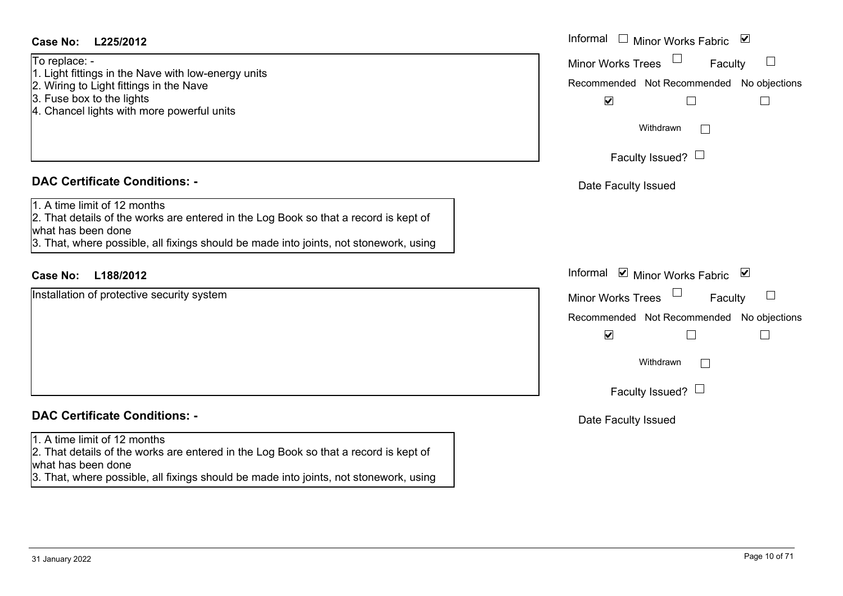what has been done

| To replace: -                                                                         |          |
|---------------------------------------------------------------------------------------|----------|
| 1. Light fittings in the Nave with low-energy units                                   | Minor W  |
| 2. Wiring to Light fittings in the Nave                                               | Recomm   |
| 3. Fuse box to the lights                                                             |          |
| 4. Chancel lights with more powerful units                                            |          |
|                                                                                       |          |
|                                                                                       |          |
|                                                                                       |          |
| <b>DAC Certificate Conditions: -</b>                                                  | Date I   |
| 1. A time limit of 12 months                                                          |          |
| 2. That details of the works are entered in the Log Book so that a record is kept of  |          |
| what has been done                                                                    |          |
| 3. That, where possible, all fixings should be made into joints, not stonework, using |          |
| <b>Case No:</b><br>L188/2012                                                          | Informal |
|                                                                                       |          |
|                                                                                       |          |
|                                                                                       | Minor W  |
|                                                                                       | Recomm   |
|                                                                                       |          |
| Installation of protective security system                                            |          |
|                                                                                       |          |

3. That, where possible, all fixings should be made into joints, not stonework, using

Date Faculty Issued

Minor Works Trees

 $\blacktriangledown$ 

Date Faculty Issued

Faculty Issued?  $\Box$ 

Withdrawn

Recommended Not Recommended No objections

 $\Box$ 

 $\Box$ 

Minor Works Fabric

Faculty

 $\Box$ 

 $\Box$ 

Minor Works Trees

 $\blacktriangledown$ 

Faculty Issued?  $\Box$ 

Withdrawn

Informal  $\Box$  Minor Works Fabric  $\Box$ 

Recommended Not Recommended No objections

 $\Box$ 

 $\Box$ 

Faculty

 $\Box$ 

 $\Box$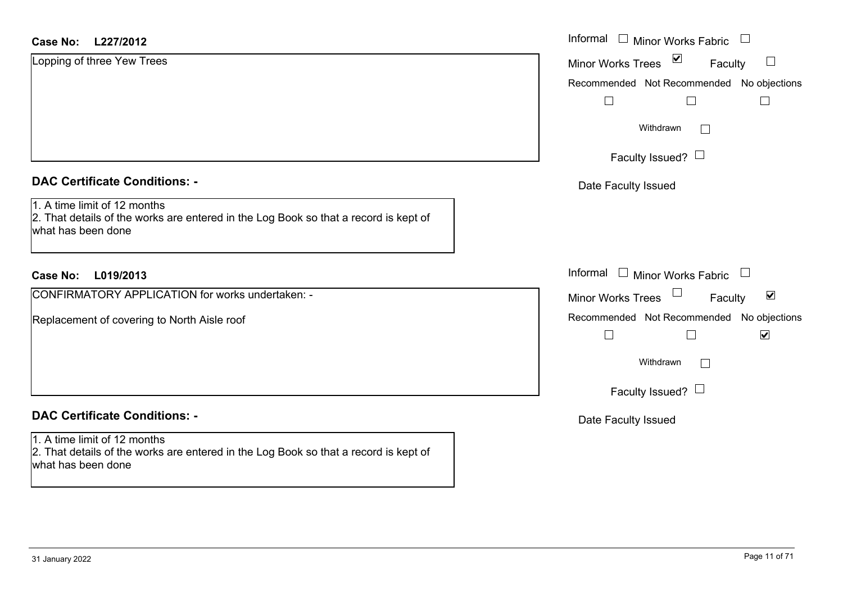| <b>Case No:</b><br>L227/2012                                                                                                               | Informal $\square$<br>$\begin{array}{c} \hline \end{array}$<br>Minor Works Fabric |
|--------------------------------------------------------------------------------------------------------------------------------------------|-----------------------------------------------------------------------------------|
| Lopping of three Yew Trees                                                                                                                 | $\blacktriangledown$<br>$\Box$<br>Minor Works Trees<br>Faculty                    |
|                                                                                                                                            | Recommended Not Recommended No objections                                         |
|                                                                                                                                            | $\mathbf{L}$                                                                      |
|                                                                                                                                            | Withdrawn<br>$\Box$                                                               |
|                                                                                                                                            | Faculty Issued? $\Box$                                                            |
| <b>DAC Certificate Conditions: -</b>                                                                                                       | Date Faculty Issued                                                               |
| 1. A time limit of 12 months<br>2. That details of the works are entered in the Log Book so that a record is kept of<br>what has been done |                                                                                   |
| <b>Case No:</b><br>L019/2013                                                                                                               | Informal<br>$\mathbf{L}$<br>Minor Works Fabric<br>$\Box$                          |
| CONFIRMATORY APPLICATION for works undertaken: -                                                                                           | $\blacktriangledown$<br><b>Minor Works Trees</b><br>Faculty                       |
| Replacement of covering to North Aisle roof                                                                                                | Recommended Not Recommended No objections<br>$\blacktriangledown$<br>$\Box$       |
|                                                                                                                                            | Withdrawn<br>$\mathbf{L}$                                                         |
|                                                                                                                                            | Faculty Issued? $\Box$                                                            |
| <b>DAC Certificate Conditions: -</b>                                                                                                       | Date Faculty Issued                                                               |
| 1. A time limit of 12 months<br>2. That details of the works are entered in the Log Book so that a record is kept of<br>what has been done |                                                                                   |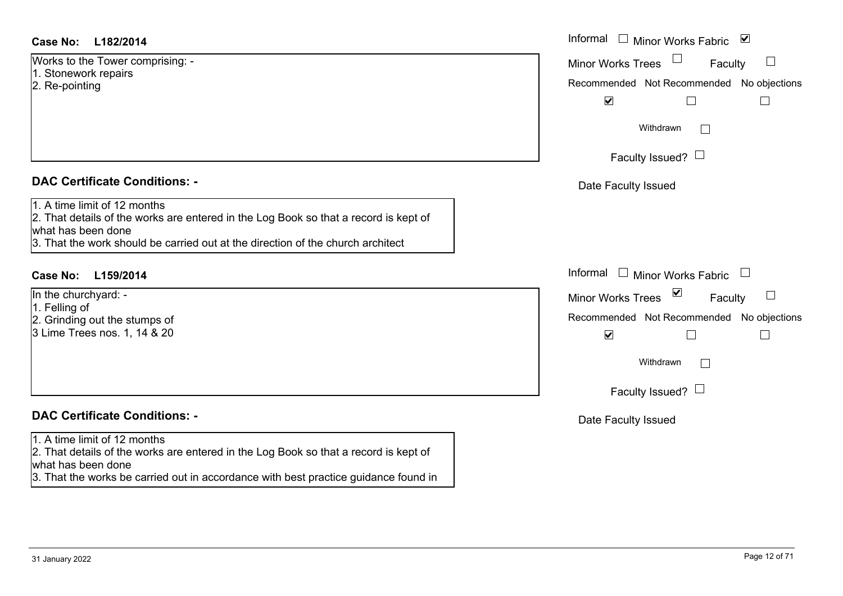#### **L182/2014Case No:** Informal

Works to the Tower comprising: - 1. Stonework repairs 2. Re-pointing

#### **DAC Certificate Conditions: -**

1. A time limit of 12 months

2. That details of the works are entered in the Log Book so that a record is kept of what has been done

3. That the work should be carried out at the direction of the church architect

# **L159/2014Case No:** Informal

In the churchyard: -1. Felling of 2. Grinding out the stumps of 3 Lime Trees nos. 1, 14 & 20

# **DAC Certificate Conditions: -**

#### 1. A time limit of 12 months

2. That details of the works are entered in the Log Book so that a record is kept of what has been done

3. That the works be carried out in accordance with best practice guidance found in

| Informal<br>$\overline{\mathbf{v}}$<br>Minor Works Fabric |
|-----------------------------------------------------------|
| <b>Minor Works Trees</b><br>Faculty                       |
| Recommended Not Recommended No objections                 |
| $\blacktriangledown$                                      |
| Withdrawn                                                 |
| Faculty Issued? L                                         |
| Date Faculty Issued                                       |
|                                                           |
|                                                           |
|                                                           |
| Informal<br><b>Minor Works Fabric</b>                     |
| ⊻<br><b>Minor Works Trees</b><br>Faculty                  |
| Recommended Not Recommended No objections                 |
| V                                                         |
| Withdrawn                                                 |
| Faculty Issued?                                           |
|                                                           |
| Date Faculty Issued                                       |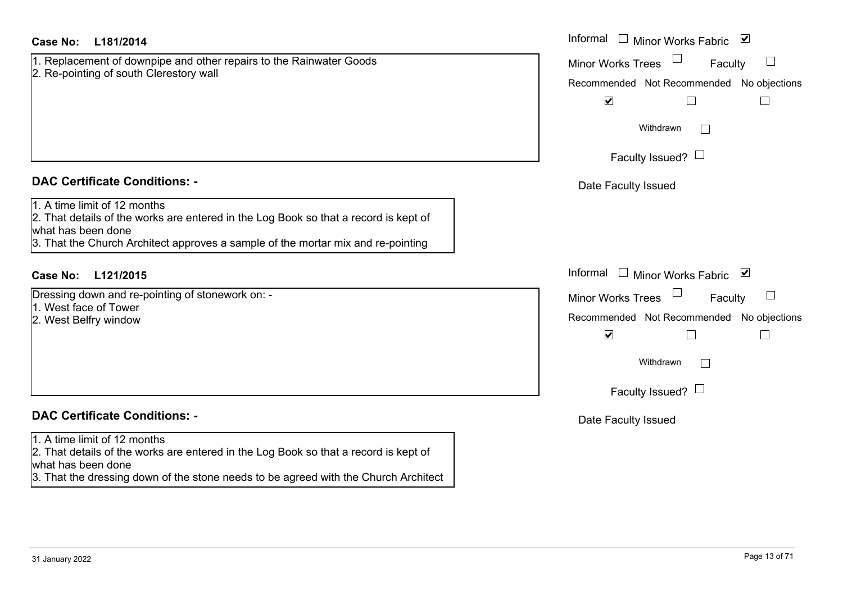1. Replacement of downpipe and other repairs to the Rainwater Goods 2. Re-pointing of south Clerestory wall

#### **DAC Certificate Conditions: -**

1. A time limit of 12 months

2. That details of the works are entered in the Log Book so that a record is kept of what has been done

3. That the Church Architect approves a sample of the mortar mix and re-pointing

# **L121/2015Case No:** Informal

Dressing down and re-pointing of stonework on: -

1. West face of Tower

2. West Belfry window

# **DAC Certificate Conditions: -**

#### 1. A time limit of 12 months

2. That details of the works are entered in the Log Book so that a record is kept of what has been done

3. That the dressing down of the stone needs to be agreed with the Church Architect

| L181/2014                                                                                                                                                                                | Informal $\Box$ Minor Works Fabric $\Box$                                                                          |
|------------------------------------------------------------------------------------------------------------------------------------------------------------------------------------------|--------------------------------------------------------------------------------------------------------------------|
| cement of downpipe and other repairs to the Rainwater Goods<br>inting of south Clerestory wall                                                                                           | <b>Minor Works Trees</b><br>$\Box$<br>Faculty<br>Recommended Not Recommended No objections                         |
|                                                                                                                                                                                          | $\blacktriangledown$                                                                                               |
|                                                                                                                                                                                          | Withdrawn                                                                                                          |
|                                                                                                                                                                                          | Faculty Issued? $\Box$                                                                                             |
| rtificate Conditions: -                                                                                                                                                                  | Date Faculty Issued                                                                                                |
| limit of 12 months<br>etails of the works are entered in the Log Book so that a record is kept of<br>been done<br>e Church Architect approves a sample of the mortar mix and re-pointing |                                                                                                                    |
| L121/2015                                                                                                                                                                                | Informal<br>□ Minor Works Fabric $\vert \blacktriangleright$                                                       |
| down and re-pointing of stonework on: -<br>ace of Tower<br>Belfry window                                                                                                                 | <b>Minor Works Trees</b><br>$\Box$<br>Faculty<br>Recommended Not Recommended No objections<br>$\blacktriangledown$ |
|                                                                                                                                                                                          | Withdrawn                                                                                                          |
|                                                                                                                                                                                          | Faculty Issued? $\Box$                                                                                             |
| rtificate Conditions: -                                                                                                                                                                  | Date Faculty Issued                                                                                                |
| limit of 12 monthe                                                                                                                                                                       |                                                                                                                    |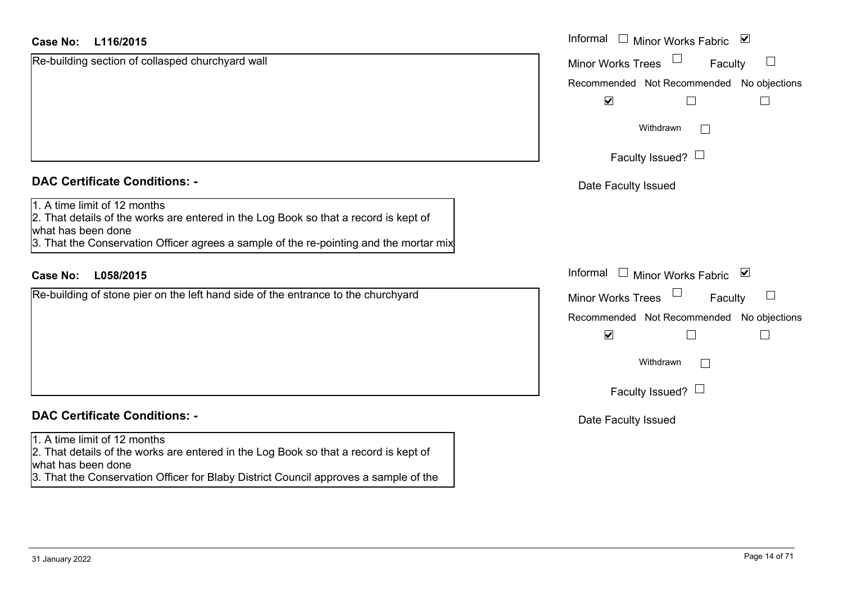## **L116/2015Case No:** Informal

|  | <b>DAC Certificate Conditions: -</b> |  |
|--|--------------------------------------|--|
|  |                                      |  |

Re-building section of collasped churchyard wall

1. A time limit of 12 months

2. That details of the works are entered in the Log Book so that a record is kept of what has been done

3. That the Conservation Officer agrees a sample of the re-pointing and the mortar mix

## **L058/2015Case No:** Informal

Re-building of stone pier on the left hand side of the entrance to the churchyard

# **DAC Certificate Conditions: -**

#### 1. A time limit of 12 months

2. That details of the works are entered in the Log Book so that a record is kept of what has been done

3. That the Conservation Officer for Blaby District Council approves a sample of the

| Informal<br>⊻<br><b>Minor Works Fabric</b>                        |
|-------------------------------------------------------------------|
| <b>Minor Works Trees</b><br>Faculty                               |
| Recommended Not Recommended No objections<br>$\blacktriangledown$ |
| Withdrawn                                                         |
| Faculty Issued? $\Box$                                            |
| Date Faculty Issued                                               |
|                                                                   |
|                                                                   |
| Informal<br>⊻<br><b>Minor Works Fabric</b>                        |
| <b>Minor Works Trees</b><br>Faculty                               |
| Recommended Not Recommended No objections<br>$\blacktriangledown$ |
| Withdrawn                                                         |
| Faculty Issued? I                                                 |
| Date Faculty Issued                                               |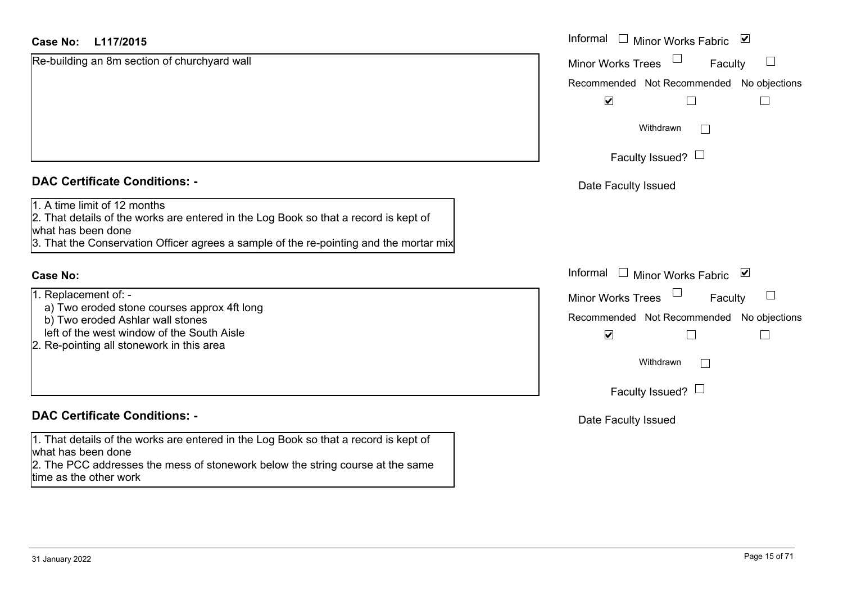## **L117/2015Case No:** Informal

|  | <b>DAC Certificate Conditions: -</b> |  |
|--|--------------------------------------|--|
|  |                                      |  |

Re-building an 8m section of churchyard wall

1. A time limit of 12 months

2. That details of the works are entered in the Log Book so that a record is kept of what has been done

3. That the Conservation Officer agrees a sample of the re-pointing and the mortar mix

#### **Case No:**

1. Replacement of: -

- a) Two eroded stone courses approx 4ft long
- b) Two eroded Ashlar wall stones
- left of the west window of the South Aisle
- 2. Re-pointing all stonework in this area

# **DAC Certificate Conditions: -**

1. That details of the works are entered in the Log Book so that a record is kept of what has been done

2. The PCC addresses the mess of stonework below the string course at the same time as the other work

| L117/2015                                                                                                                                                                                      | Informal $\Box$ Minor Works Fabric<br>$\blacktriangledown$ |  |  |
|------------------------------------------------------------------------------------------------------------------------------------------------------------------------------------------------|------------------------------------------------------------|--|--|
| ng an 8m section of churchyard wall                                                                                                                                                            | $\Box$<br>Minor Works Trees<br>$\Box$<br>Faculty           |  |  |
|                                                                                                                                                                                                | Recommended Not Recommended No objections                  |  |  |
|                                                                                                                                                                                                | $\blacktriangledown$                                       |  |  |
|                                                                                                                                                                                                | Withdrawn                                                  |  |  |
|                                                                                                                                                                                                | Faculty Issued? $\Box$                                     |  |  |
| rtificate Conditions: -                                                                                                                                                                        | Date Faculty Issued                                        |  |  |
| limit of 12 months<br>etails of the works are entered in the Log Book so that a record is kept of<br>been done<br>e Conservation Officer agrees a sample of the re-pointing and the mortar mix |                                                            |  |  |
|                                                                                                                                                                                                | Informal □ Minor Works Fabric<br>⊻                         |  |  |
| ement of: -                                                                                                                                                                                    | $\Box$<br>$\Box$<br>Minor Works Trees<br>Faculty           |  |  |
| eroded stone courses approx 4ft long<br>eroded Ashlar wall stones                                                                                                                              | Recommended Not Recommended No objections                  |  |  |
| the west window of the South Aisle<br>inting all stonework in this area                                                                                                                        | $\blacktriangledown$                                       |  |  |
|                                                                                                                                                                                                | Withdrawn                                                  |  |  |
|                                                                                                                                                                                                | Faculty Issued? $\Box$                                     |  |  |
| rtificate Conditions: -                                                                                                                                                                        | Date Faculty Issued                                        |  |  |
| etails of the works are entered in the Log Book so that a record is kept of<br>heen done                                                                                                       |                                                            |  |  |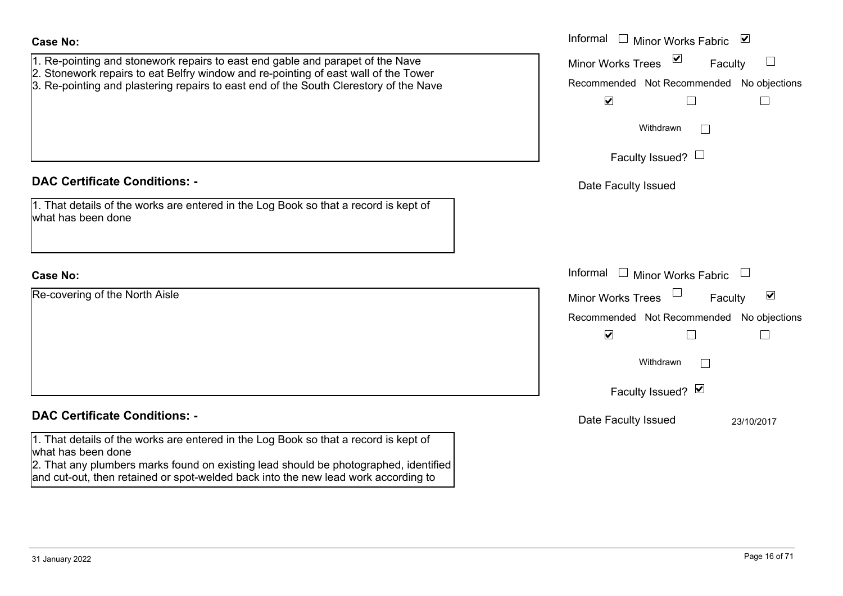| Re-covering of the North Aisle |  |  |
|--------------------------------|--|--|
|                                |  |  |
|                                |  |  |
|                                |  |  |
|                                |  |  |
|                                |  |  |

| Re-covering of the North Aisle                                                                                                                                                                                                                                                           | <b>Minor Works Trees</b>                  | $\blacktriangledown$<br>Faculty |  |
|------------------------------------------------------------------------------------------------------------------------------------------------------------------------------------------------------------------------------------------------------------------------------------------|-------------------------------------------|---------------------------------|--|
|                                                                                                                                                                                                                                                                                          | Recommended Not Recommended No objections |                                 |  |
|                                                                                                                                                                                                                                                                                          | $\blacktriangledown$<br>$\Box$            |                                 |  |
|                                                                                                                                                                                                                                                                                          | Withdrawn<br>$\mathbb{R}$                 |                                 |  |
|                                                                                                                                                                                                                                                                                          | Faculty Issued? Ø                         |                                 |  |
| <b>DAC Certificate Conditions: -</b>                                                                                                                                                                                                                                                     | Date Faculty Issued                       | 23/10/2017                      |  |
| 1. That details of the works are entered in the Log Book so that a record is kept of<br>what has been done<br>2. That any plumbers marks found on existing lead should be photographed, identified<br>and cut-out, then retained or spot-welded back into the new lead work according to |                                           |                                 |  |
|                                                                                                                                                                                                                                                                                          |                                           |                                 |  |
|                                                                                                                                                                                                                                                                                          |                                           |                                 |  |
| 31 January 2022                                                                                                                                                                                                                                                                          |                                           | Page 16 of 71                   |  |
|                                                                                                                                                                                                                                                                                          |                                           |                                 |  |

# 1. Re-pointing and stonework repairs to east end gable and parapet of the Nave 2. Stonework repairs to eat Belfry window and re-pointing of east wall of the Tower 3. Re-pointing and plastering repairs to east end of the South Clerestory of the Nave **Case No:** Informal **DAC Certificate Conditions: -**1. That details of the works are entered in the Log Book so that a record is kept of what has been doneInformal

| Informal<br>⊻<br>Minor Works Fabric                               |
|-------------------------------------------------------------------|
| ⊻<br><b>Minor Works Trees</b><br>Faculty                          |
| Recommended Not Recommended No objections<br>⊻                    |
| Withdrawn                                                         |
| Faculty Issued? $\Box$                                            |
| Date Faculty Issued                                               |
|                                                                   |
|                                                                   |
| Informal<br><b>Minor Works Fabric</b>                             |
| $\blacktriangledown$<br><b>Minor Works Trees</b><br>Faculty       |
| Recommended Not Recommended No objections<br>$\blacktriangledown$ |
| Withdrawn                                                         |
| Faculty Issued? Ø                                                 |
| Date Faculty Issued<br>23/10/2017                                 |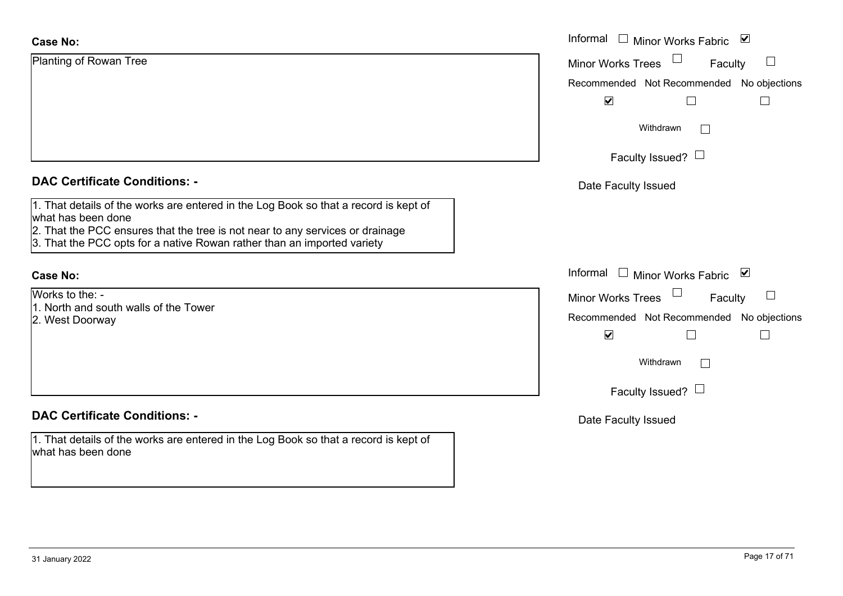| <b>Case No:</b>                                                                                                                                                                                                                                                        | Informal $\square$<br><b>Minor Works Fabric</b><br>$\boldsymbol{\vee}$ |
|------------------------------------------------------------------------------------------------------------------------------------------------------------------------------------------------------------------------------------------------------------------------|------------------------------------------------------------------------|
| Planting of Rowan Tree                                                                                                                                                                                                                                                 | Minor Works Trees<br>$\Box$<br>Faculty                                 |
|                                                                                                                                                                                                                                                                        | Recommended Not Recommended No objections                              |
|                                                                                                                                                                                                                                                                        | $\blacktriangledown$<br>$\Box$                                         |
|                                                                                                                                                                                                                                                                        | Withdrawn<br>$\Box$                                                    |
|                                                                                                                                                                                                                                                                        | Faculty Issued? $\Box$                                                 |
| <b>DAC Certificate Conditions: -</b>                                                                                                                                                                                                                                   | Date Faculty Issued                                                    |
| 1. That details of the works are entered in the Log Book so that a record is kept of<br>what has been done<br>2. That the PCC ensures that the tree is not near to any services or drainage<br>3. That the PCC opts for a native Rowan rather than an imported variety |                                                                        |
| <b>Case No:</b>                                                                                                                                                                                                                                                        | Informal □ Minor Works Fabric ⊠                                        |
| Works to the: -                                                                                                                                                                                                                                                        | Minor Works Trees<br>$\Box$<br>Faculty                                 |
| 1. North and south walls of the Tower<br>2. West Doorway                                                                                                                                                                                                               | Recommended Not Recommended No objections                              |
|                                                                                                                                                                                                                                                                        | $\blacktriangledown$<br>$\Box$<br>$\Box$                               |
|                                                                                                                                                                                                                                                                        | Withdrawn<br>$\Box$                                                    |
|                                                                                                                                                                                                                                                                        | Faculty Issued? $\Box$                                                 |
| <b>DAC Certificate Conditions: -</b>                                                                                                                                                                                                                                   | Date Faculty Issued                                                    |
| 1. That details of the works are entered in the Log Book so that a record is kept of<br>what has been done                                                                                                                                                             |                                                                        |
|                                                                                                                                                                                                                                                                        |                                                                        |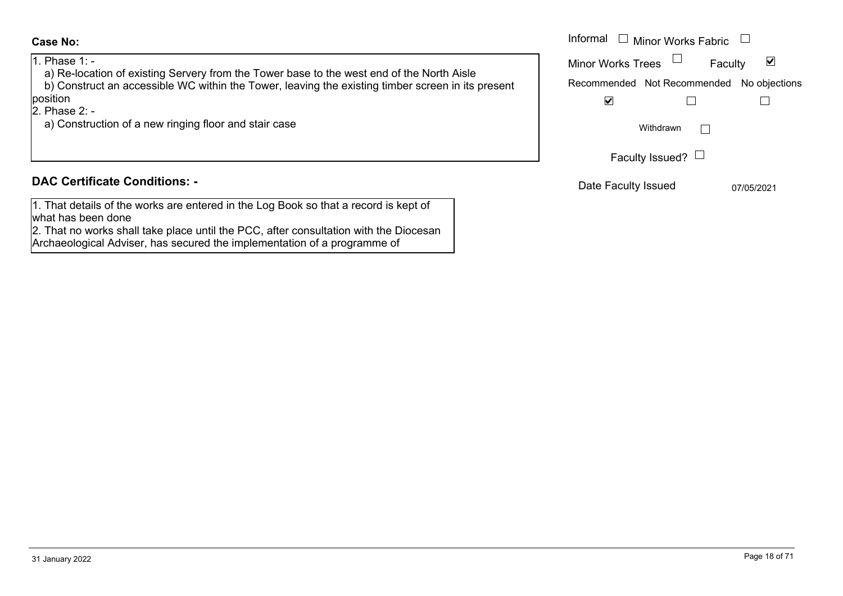1. Phase 1: -

 a) Re-location of existing Servery from the Tower base to the west end of the North Aisle b) Construct an accessible WC within the Tower, leaving the existing timber screen in its present position

2. Phase 2: -

a) Construction of a new ringing floor and stair case

# **DAC Certificate Conditions: -**

1. That details of the works are entered in the Log Book so that a record is kept of what has been done

2. That no works shall take place until the PCC, after consultation with the Diocesan Archaeological Adviser, has secured the implementation of a programme of

|                                                                                               | Informal<br>Minor Works Fabric            |
|-----------------------------------------------------------------------------------------------|-------------------------------------------|
| $1: -$<br>location of existing Servery from the Tower base to the west end of the North Aisle | ⊻<br><b>Minor Works Trees</b><br>Faculty  |
| istruct an accessible WC within the Tower, leaving the existing timber screen in its present  | Recommended Not Recommended No objections |
|                                                                                               | ⊻                                         |
| $2: -$<br>istruction of a new ringing floor and stair case                                    | Withdrawn                                 |
|                                                                                               | Faculty Issued? $\Box$                    |
| rtificate Conditions: -                                                                       | Date Faculty Issued<br>07/05/2021         |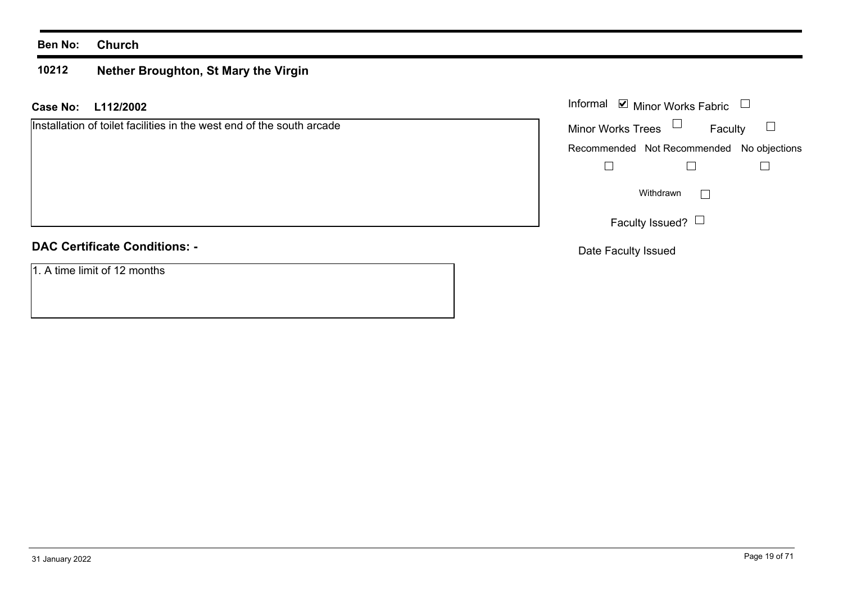#### **Ben No: Church**

#### **10212Nether Broughton, St Mary the Virgin**

**L112/2002 Case No:** Informal

Installation of toilet facilities in the west end of the south arcade

# **DAC Certificate Conditions: -**

1. A time limit of 12 months

|                          | Informal ■ Minor Works Fabric             |  |
|--------------------------|-------------------------------------------|--|
| <b>Minor Works Trees</b> | Faculty                                   |  |
|                          | Recommended Not Recommended No objections |  |
|                          |                                           |  |
|                          | Withdrawn                                 |  |
|                          | Faculty Issued?                           |  |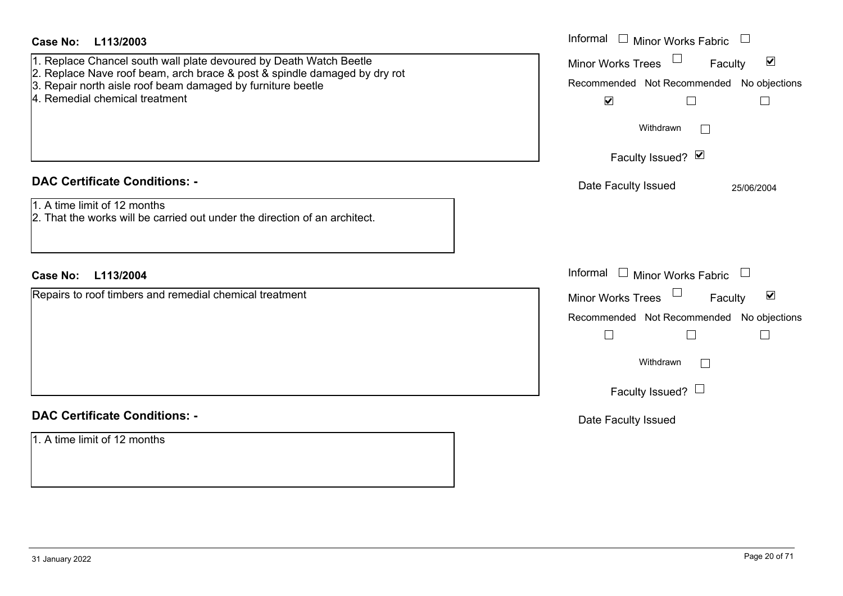| <b>Case No:</b><br>L113/2003<br>1. Replace Chancel south wall plate devoured by Death Watch Beetle<br>2. Replace Nave roof beam, arch brace & post & spindle damaged by dry rot<br>3. Repair north aisle roof beam damaged by furniture beetle<br>4. Remedial chemical treatment | Informal $\Box$ Minor Works Fabric $\Box$<br>Minor Works Trees<br>$\blacktriangledown$<br>Faculty<br>Recommended Not Recommended No objections<br>$\blacktriangledown$<br>$\Box$<br>$\Box$<br>Withdrawn<br>$\vert$ $\vert$ |
|----------------------------------------------------------------------------------------------------------------------------------------------------------------------------------------------------------------------------------------------------------------------------------|----------------------------------------------------------------------------------------------------------------------------------------------------------------------------------------------------------------------------|
|                                                                                                                                                                                                                                                                                  | Faculty Issued? Ø                                                                                                                                                                                                          |
| <b>DAC Certificate Conditions: -</b>                                                                                                                                                                                                                                             | Date Faculty Issued<br>25/06/2004                                                                                                                                                                                          |
| 1. A time limit of 12 months<br>2. That the works will be carried out under the direction of an architect.                                                                                                                                                                       |                                                                                                                                                                                                                            |
| Case No: L113/2004                                                                                                                                                                                                                                                               | Informal $\Box$ Minor Works Fabric $\Box$                                                                                                                                                                                  |
| Repairs to roof timbers and remedial chemical treatment                                                                                                                                                                                                                          | $\blacktriangledown$<br>Minor Works Trees<br>Faculty                                                                                                                                                                       |
|                                                                                                                                                                                                                                                                                  | Recommended Not Recommended No objections                                                                                                                                                                                  |
|                                                                                                                                                                                                                                                                                  | $\Box$<br>$\Box$<br>$\Box$                                                                                                                                                                                                 |
|                                                                                                                                                                                                                                                                                  | Withdrawn                                                                                                                                                                                                                  |
|                                                                                                                                                                                                                                                                                  | Faculty Issued? $\Box$                                                                                                                                                                                                     |
| <b>DAC Certificate Conditions: -</b>                                                                                                                                                                                                                                             | Date Faculty Issued                                                                                                                                                                                                        |
| 1. A time limit of 12 months                                                                                                                                                                                                                                                     |                                                                                                                                                                                                                            |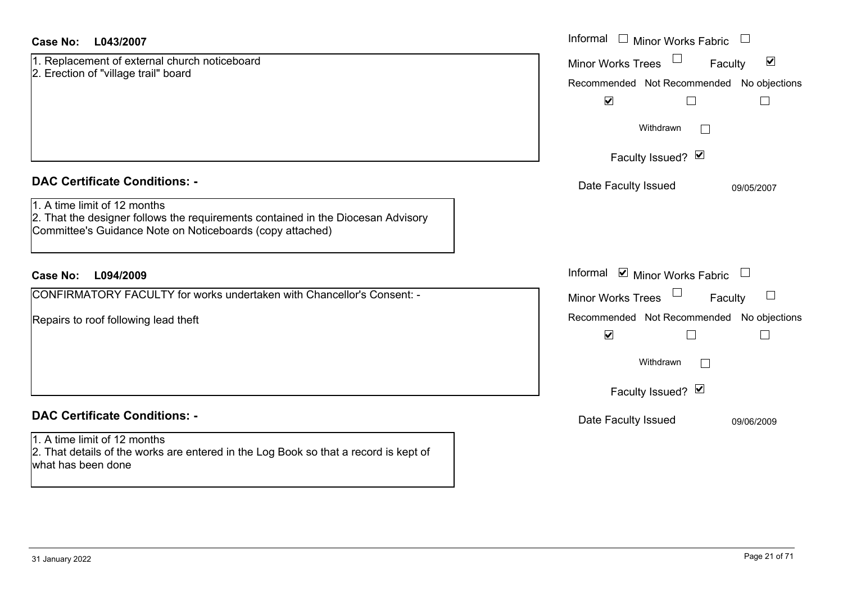| 1. Replacement of external church noticeboard |  |
|-----------------------------------------------|--|
| 2. Erection of "village trail" board          |  |
|                                               |  |
|                                               |  |
|                                               |  |
|                                               |  |

## **DAC Certificate Conditions: -**

|  |  |  | 1. A time limit of 12 months |
|--|--|--|------------------------------|
|  |  |  |                              |

 2. That the designer follows the requirements contained in the Diocesan Advisory Committee's Guidance Note on Noticeboards (copy attached)

# **L094/2009Case No:** Informal

CONFIRMATORY FACULTY for works undertaken with Chancellor's Consent: -

Repairs to roof following lead theft

# **DAC Certificate Conditions: -**

1. A time limit of 12 months 2. That details of the works are entered in the Log Book so that a record is kept of what has been done

| L043/2007                                                                                                                                          | Informal $\Box$ Minor Works Fabric                                                                                                         |
|----------------------------------------------------------------------------------------------------------------------------------------------------|--------------------------------------------------------------------------------------------------------------------------------------------|
| cement of external church noticeboard<br>on of "village trail" board                                                                               | $\blacktriangledown$<br><b>Minor Works Trees</b><br>Faculty<br>Recommended Not Recommended No objections<br>$\blacktriangledown$<br>$\Box$ |
|                                                                                                                                                    | Withdrawn<br>$\mathbf{L}$                                                                                                                  |
|                                                                                                                                                    | Faculty Issued? Ø                                                                                                                          |
| rtificate Conditions: -                                                                                                                            | Date Faculty Issued<br>09/05/2007                                                                                                          |
| limit of 12 months<br>e designer follows the requirements contained in the Diocesan Advisory<br>ee's Guidance Note on Noticeboards (copy attached) |                                                                                                                                            |
| L094/2009                                                                                                                                          | Informal ☑ Minor Works Fabric                                                                                                              |
| MATORY FACULTY for works undertaken with Chancellor's Consent: -                                                                                   | Minor Works Trees<br>$\Box$<br>Faculty                                                                                                     |
| o roof following lead theft                                                                                                                        | Recommended Not Recommended No objections<br>$\blacktriangledown$<br>$\overline{\phantom{a}}$<br>$\perp$                                   |
|                                                                                                                                                    | Withdrawn<br>$\Box$                                                                                                                        |
|                                                                                                                                                    | Faculty Issued? Ø                                                                                                                          |
| rtificate Conditions: -                                                                                                                            | Date Faculty Issued<br>09/06/2009                                                                                                          |
| limit of 12 months<br>etails of the works are entered in the Log Book so that a record is kept of                                                  |                                                                                                                                            |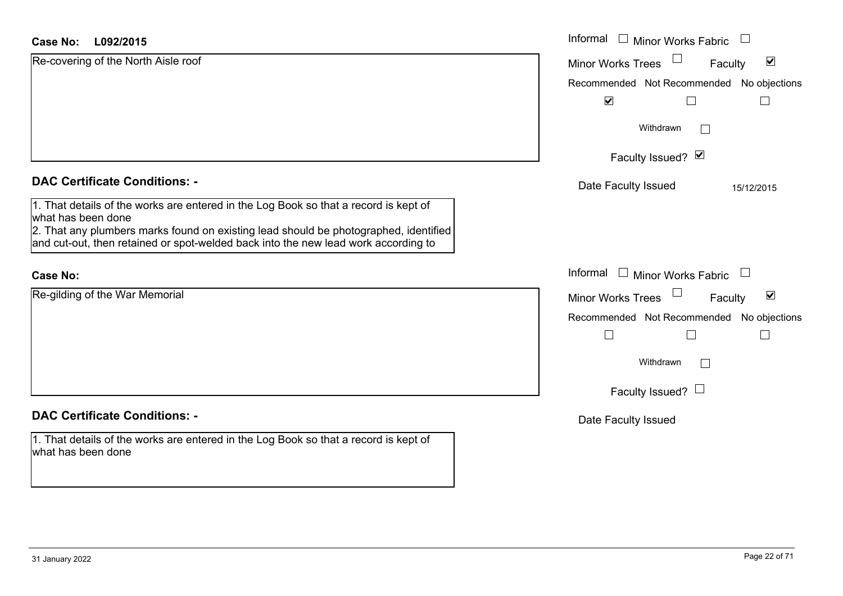| <b>Case No:</b><br>L092/2015                                                                                                                                                                                                                                                             | Informal $\Box$<br><b>Minor Works Fabric</b>                            |
|------------------------------------------------------------------------------------------------------------------------------------------------------------------------------------------------------------------------------------------------------------------------------------------|-------------------------------------------------------------------------|
| Re-covering of the North Aisle roof                                                                                                                                                                                                                                                      | $\blacktriangledown$<br>Minor Works Trees<br>Faculty                    |
|                                                                                                                                                                                                                                                                                          | Recommended Not Recommended No objections                               |
|                                                                                                                                                                                                                                                                                          | $\blacktriangledown$                                                    |
|                                                                                                                                                                                                                                                                                          | Withdrawn<br>$\sim$                                                     |
|                                                                                                                                                                                                                                                                                          | Faculty Issued? Ø                                                       |
| <b>DAC Certificate Conditions: -</b>                                                                                                                                                                                                                                                     | Date Faculty Issued<br>15/12/2015                                       |
| 1. That details of the works are entered in the Log Book so that a record is kept of<br>what has been done<br>2. That any plumbers marks found on existing lead should be photographed, identified<br>and cut-out, then retained or spot-welded back into the new lead work according to |                                                                         |
| <b>Case No:</b>                                                                                                                                                                                                                                                                          | Informal<br>Minor Works Fabric<br>$\begin{array}{c} \hline \end{array}$ |
| Re-gilding of the War Memorial                                                                                                                                                                                                                                                           | $\blacktriangledown$<br><b>Minor Works Trees</b><br>Faculty             |
|                                                                                                                                                                                                                                                                                          | Recommended Not Recommended No objections                               |
|                                                                                                                                                                                                                                                                                          |                                                                         |
|                                                                                                                                                                                                                                                                                          | Withdrawn<br>$\Box$                                                     |
|                                                                                                                                                                                                                                                                                          | Faculty Issued? $\Box$                                                  |
| <b>DAC Certificate Conditions: -</b>                                                                                                                                                                                                                                                     | Date Faculty Issued                                                     |
| 1. That details of the works are entered in the Log Book so that a record is kept of<br>what has been done                                                                                                                                                                               |                                                                         |
|                                                                                                                                                                                                                                                                                          |                                                                         |

L.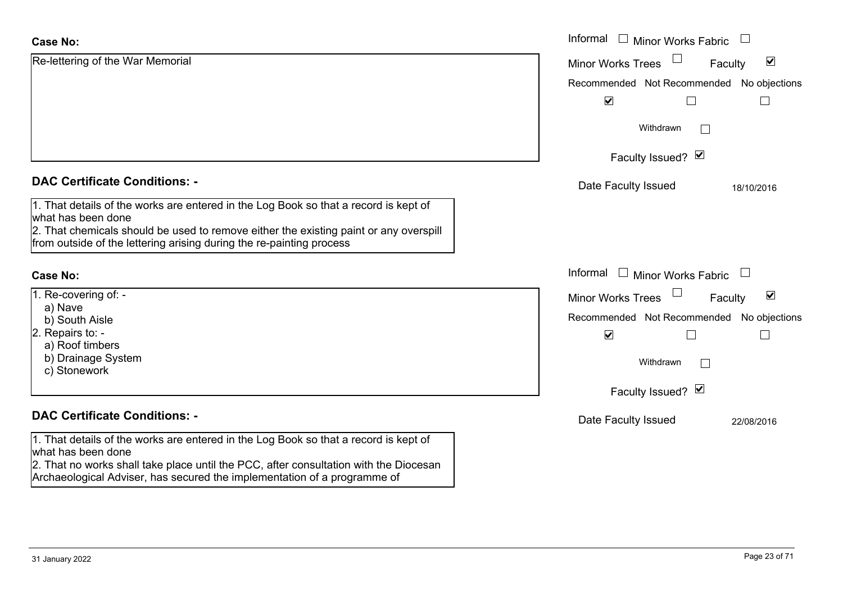| <b>Case No:</b>                                                                                                                                                                                                                                                             | Informal □ Minor Works Fabric                                  |
|-----------------------------------------------------------------------------------------------------------------------------------------------------------------------------------------------------------------------------------------------------------------------------|----------------------------------------------------------------|
| Re-lettering of the War Memorial                                                                                                                                                                                                                                            | $\blacktriangledown$<br><b>Minor Works Trees</b><br>Faculty    |
|                                                                                                                                                                                                                                                                             | Recommended Not Recommended No objections                      |
|                                                                                                                                                                                                                                                                             | $\blacktriangledown$                                           |
|                                                                                                                                                                                                                                                                             | Withdrawn                                                      |
|                                                                                                                                                                                                                                                                             | Faculty Issued? Ø                                              |
| <b>DAC Certificate Conditions: -</b>                                                                                                                                                                                                                                        | Date Faculty Issued<br>18/10/2016                              |
| 1. That details of the works are entered in the Log Book so that a record is kept of<br>what has been done<br>2. That chemicals should be used to remove either the existing paint or any overspill<br>from outside of the lettering arising during the re-painting process |                                                                |
| <b>Case No:</b>                                                                                                                                                                                                                                                             | Informal $\Box$ Minor Works Fabric<br>$\overline{\phantom{a}}$ |
| 1. Re-covering of: -                                                                                                                                                                                                                                                        | $\blacktriangledown$<br><b>Minor Works Trees</b><br>Faculty    |
| a) Nave<br>b) South Aisle                                                                                                                                                                                                                                                   | Recommended Not Recommended No objections                      |
| 2. Repairs to: -                                                                                                                                                                                                                                                            | $\blacktriangledown$<br>Г                                      |
| a) Roof timbers                                                                                                                                                                                                                                                             |                                                                |
| b) Drainage System                                                                                                                                                                                                                                                          | Withdrawn                                                      |
| c) Stonework                                                                                                                                                                                                                                                                |                                                                |
|                                                                                                                                                                                                                                                                             | Faculty Issued? Ø                                              |
| <b>DAC Certificate Conditions: -</b>                                                                                                                                                                                                                                        | Date Faculty Issued<br>22/08/2016                              |
| 1. That details of the works are entered in the Log Book so that a record is kept of<br>what has been done                                                                                                                                                                  |                                                                |
| 2. That no works shall take place until the PCC, after consultation with the Diocesan<br>Archaeological Adviser, has secured the implementation of a programme of                                                                                                           |                                                                |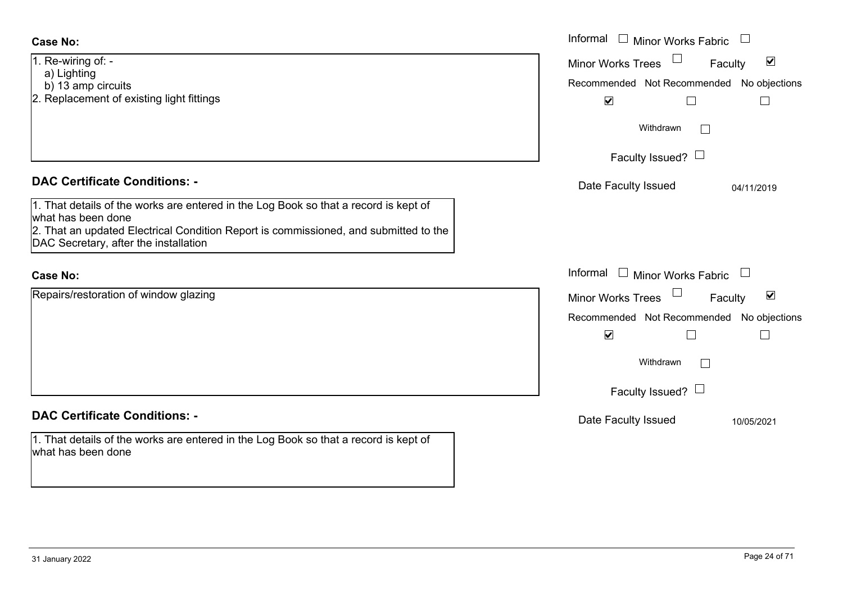| <b>Case No:</b>                                                                                                               | Informal □ Minor Works Fabric                               |
|-------------------------------------------------------------------------------------------------------------------------------|-------------------------------------------------------------|
| 1. Re-wiring of: -<br>a) Lighting                                                                                             | $\blacktriangledown$<br><b>Minor Works Trees</b><br>Faculty |
| b) 13 amp circuits                                                                                                            | Recommended Not Recommended No objections                   |
| 2. Replacement of existing light fittings                                                                                     | $\blacktriangledown$<br>$\Box$                              |
|                                                                                                                               | Withdrawn                                                   |
|                                                                                                                               | Faculty Issued? $\Box$                                      |
| <b>DAC Certificate Conditions: -</b>                                                                                          | Date Faculty Issued<br>04/11/2019                           |
| 1. That details of the works are entered in the Log Book so that a record is kept of                                          |                                                             |
| what has been done                                                                                                            |                                                             |
| 2. That an updated Electrical Condition Report is commissioned, and submitted to the<br>DAC Secretary, after the installation |                                                             |
|                                                                                                                               |                                                             |
| <b>Case No:</b>                                                                                                               | Informal $\Box$ Minor Works Fabric $\Box$                   |
| Repairs/restoration of window glazing                                                                                         | $\blacktriangledown$<br><b>Minor Works Trees</b><br>Faculty |
|                                                                                                                               | Recommended Not Recommended No objections                   |
|                                                                                                                               | $\blacktriangledown$                                        |
|                                                                                                                               | Withdrawn<br>$\mathbf{I}$                                   |
|                                                                                                                               | Faculty Issued? $\Box$                                      |
| <b>DAC Certificate Conditions: -</b>                                                                                          | Date Faculty Issued<br>10/05/2021                           |
| 1. That details of the works are entered in the Log Book so that a record is kept of<br>what has been done                    |                                                             |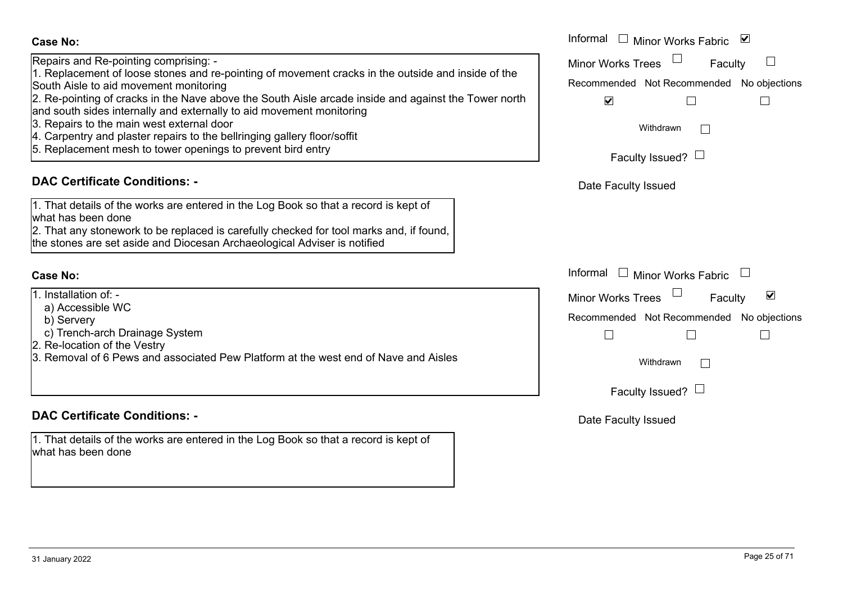Repairs and Re-pointing comprising: -

1. Replacement of loose stones and re-pointing of movement cracks in the outside and inside of the South Aisle to aid movement monitoring

2. Re-pointing of cracks in the Nave above the South Aisle arcade inside and against the Tower north

and south sides internally and externally to aid movement monitoring

- 3. Repairs to the main west external door
- 4. Carpentry and plaster repairs to the bellringing gallery floor/soffit
- 5. Replacement mesh to tower openings to prevent bird entry

# **DAC Certificate Conditions: -**

1. That details of the works are entered in the Log Book so that a record is kept of what has been done

2. That any stonework to be replaced is carefully checked for tool marks and, if found, the stones are set aside and Diocesan Archaeological Adviser is notified

#### **Case No:**

1. Installation of: -

- a) Accessible WC
- b) Servery
- c) Trench-arch Drainage System
- 2. Re-location of the Vestry
- 3. Removal of 6 Pews and associated Pew Platform at the west end of Nave and Aisles

# **DAC Certificate Conditions: -**

1. That details of the works are entered in the Log Book so that a record is kept of what has been done

|                                                                                                                                                                                                                                                                                                                                                                                                                                                                                              | Informal □ Minor Works Fabric<br>⊻                                                                                                       |
|----------------------------------------------------------------------------------------------------------------------------------------------------------------------------------------------------------------------------------------------------------------------------------------------------------------------------------------------------------------------------------------------------------------------------------------------------------------------------------------------|------------------------------------------------------------------------------------------------------------------------------------------|
| and Re-pointing comprising: -<br>cement of loose stones and re-pointing of movement cracks in the outside and inside of the<br>sle to aid movement monitoring<br>inting of cracks in the Nave above the South Aisle arcade inside and against the Tower north<br>h sides internally and externally to aid movement monitoring<br>s to the main west external door<br>ntry and plaster repairs to the bellringing gallery floor/soffit<br>cement mesh to tower openings to prevent bird entry | Minor Works Trees<br>Faculty<br>Recommended Not Recommended No objections<br>$\blacktriangledown$<br>Withdrawn<br>Faculty Issued? $\Box$ |
| rtificate Conditions: -                                                                                                                                                                                                                                                                                                                                                                                                                                                                      | Date Faculty Issued                                                                                                                      |
| etails of the works are entered in the Log Book so that a record is kept of<br>been done<br>ny stonework to be replaced is carefully checked for tool marks and, if found,<br>s are set aside and Diocesan Archaeological Adviser is notified                                                                                                                                                                                                                                                |                                                                                                                                          |
|                                                                                                                                                                                                                                                                                                                                                                                                                                                                                              | Informal □ Minor Works Fabric                                                                                                            |
| ation of: -<br>essible WC<br>very<br>nch-arch Drainage System<br>ation of the Vestry<br>val of 6 Pews and associated Pew Platform at the west end of Nave and Aisles                                                                                                                                                                                                                                                                                                                         | ☑<br><b>Minor Works Trees</b><br>Faculty<br>Recommended Not Recommended No objections<br>Withdrawn<br>Faculty Issued? $\Box$             |
| rtificato Conditione                                                                                                                                                                                                                                                                                                                                                                                                                                                                         |                                                                                                                                          |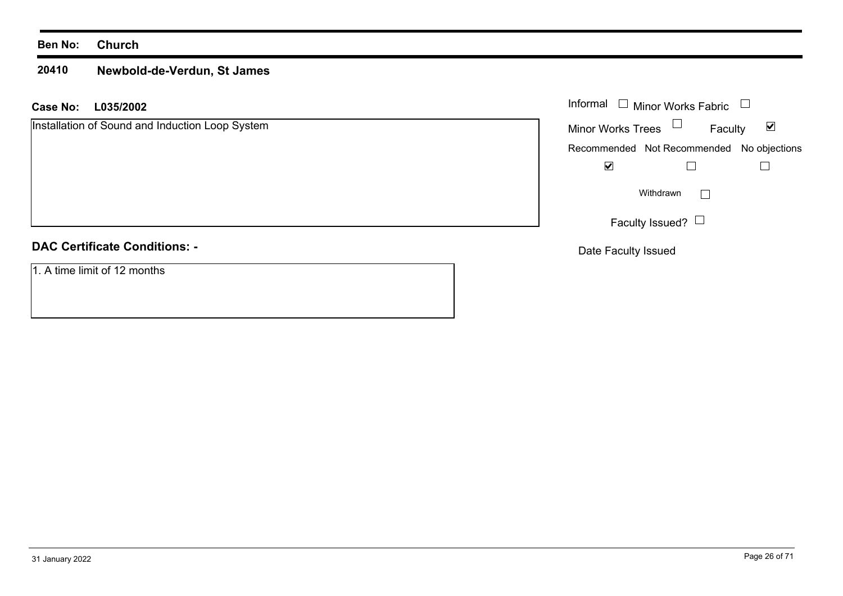#### **Ben No: Church**

#### **20410Newbold-de-Verdun, St James**

#### **L035/2002 Case No:** Informal

Installation of Sound and Induction Loop System

# **DAC Certificate Conditions: -**

1. A time limit of 12 months

| Informal<br>$\Box$ Minor Works Fabric |                                           |   |
|---------------------------------------|-------------------------------------------|---|
| <b>Minor Works Trees</b>              | Faculty                                   | M |
|                                       | Recommended Not Recommended No objections |   |
|                                       |                                           |   |
| Withdrawn                             |                                           |   |
| Faculty Issued?                       |                                           |   |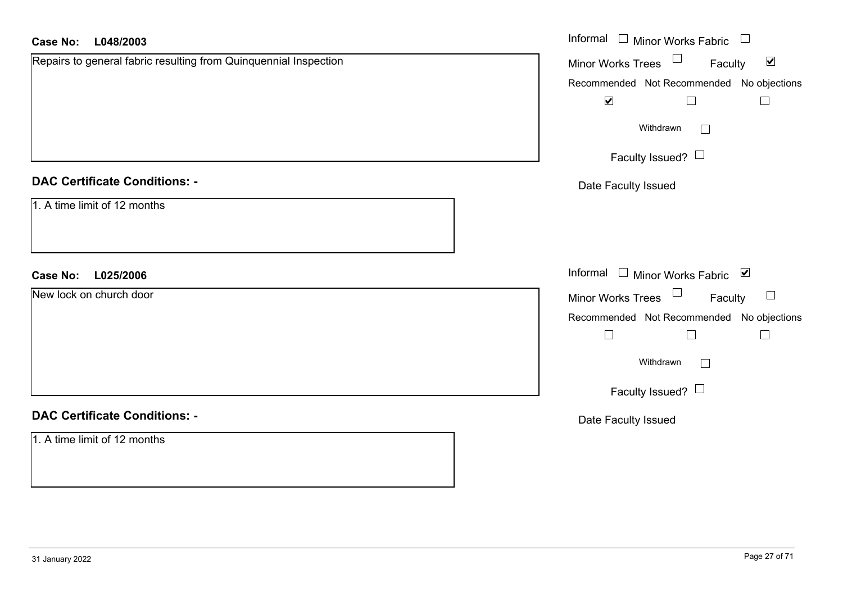| <b>Case No:</b><br>L048/2003                                     | Informal $\Box$ Minor Works Fabric $\Box$                   |
|------------------------------------------------------------------|-------------------------------------------------------------|
| Repairs to general fabric resulting from Quinquennial Inspection | Minor Works Trees $\Box$<br>$\blacktriangledown$<br>Faculty |
|                                                                  | Recommended Not Recommended No objections                   |
|                                                                  | $\blacktriangledown$<br>$\Box$<br>$\Box$                    |
|                                                                  | Withdrawn<br>$\Box$                                         |
|                                                                  | Faculty Issued?                                             |
| <b>DAC Certificate Conditions: -</b>                             | Date Faculty Issued                                         |
| 1. A time limit of 12 months                                     |                                                             |
| L025/2006<br><b>Case No:</b>                                     | Informal □ Minor Works Fabric ⊠                             |
| New lock on church door                                          | Minor Works Trees $\Box$<br>Faculty<br>$\Box$               |
|                                                                  | Recommended Not Recommended No objections                   |
|                                                                  | $\Box$<br>$\Box$<br>$\Box$                                  |
|                                                                  | Withdrawn<br>$\Box$                                         |
|                                                                  | Faculty Issued? $\Box$                                      |
| <b>DAC Certificate Conditions: -</b>                             | Date Faculty Issued                                         |
| 1. A time limit of 12 months                                     |                                                             |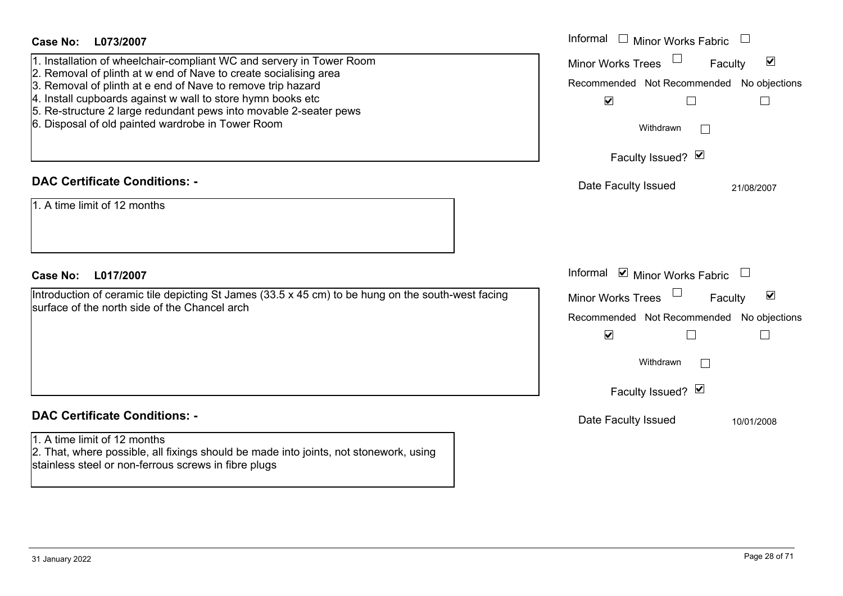| <b>Case No:</b><br>L073/2007<br>1. Installation of wheelchair-compliant WC and servery in Tower Room<br>2. Removal of plinth at w end of Nave to create socialising area<br>3. Removal of plinth at e end of Nave to remove trip hazard<br>4. Install cupboards against w wall to store hymn books etc<br>5. Re-structure 2 large redundant pews into movable 2-seater pews<br>6. Disposal of old painted wardrobe in Tower Room | Informal<br><b>Minor Works Fabric</b><br>$\blacktriangledown$<br><b>Minor Works Trees</b><br>Faculty<br>Recommended Not Recommended No objections<br>$\blacktriangledown$<br>$\Box$<br>$\Box$<br>Withdrawn<br>Faculty Issued? M |
|----------------------------------------------------------------------------------------------------------------------------------------------------------------------------------------------------------------------------------------------------------------------------------------------------------------------------------------------------------------------------------------------------------------------------------|---------------------------------------------------------------------------------------------------------------------------------------------------------------------------------------------------------------------------------|
| <b>DAC Certificate Conditions: -</b><br>1. A time limit of 12 months                                                                                                                                                                                                                                                                                                                                                             | Date Faculty Issued<br>21/08/2007                                                                                                                                                                                               |
| <b>Case No:</b><br>L017/2007<br>Introduction of ceramic tile depicting St James (33.5 x 45 cm) to be hung on the south-west facing<br>surface of the north side of the Chancel arch                                                                                                                                                                                                                                              | Informal ☑ Minor Works Fabric<br>$\blacktriangledown$<br>Minor Works Trees<br>Faculty<br>Recommended Not Recommended<br>No objections<br>$\blacktriangledown$<br>$\Box$<br>$\Box$<br>Withdrawn<br>Faculty Issued? M             |
| <b>DAC Certificate Conditions: -</b><br>1. A time limit of 12 months<br>2. That, where possible, all fixings should be made into joints, not stonework, using<br>stainless steel or non-ferrous screws in fibre plugs                                                                                                                                                                                                            | Date Faculty Issued<br>10/01/2008                                                                                                                                                                                               |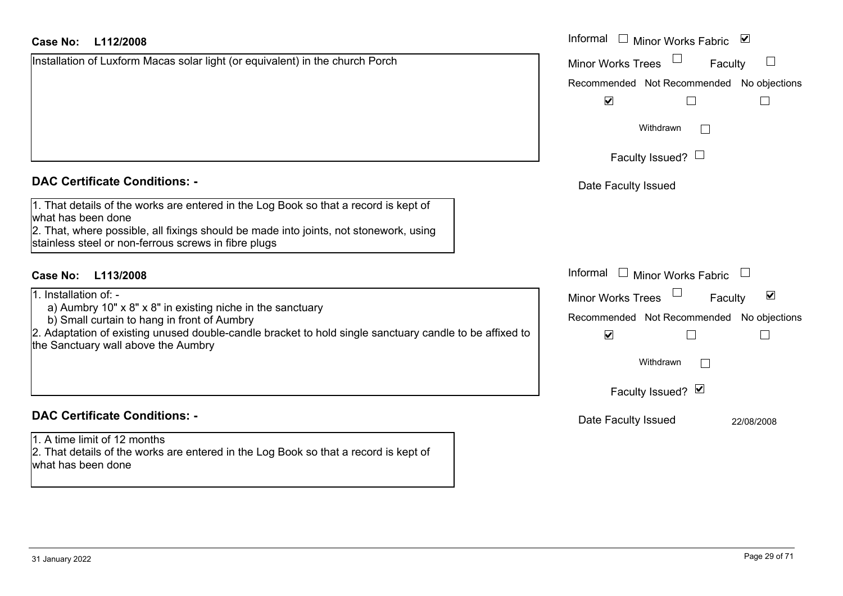## **L112/2008Case No:** Informal

Installation of Luxform Macas solar light (or equivalent) in the church Porch

#### **DAC Certificate Conditions: -**

1. That details of the works are entered in the Log Book so that a record is kept of what has been done 2. That, where possible, all fixings should be made into joints, not stonework, using

stainless steel or non-ferrous screws in fibre plugs

# **L113/2008Case No:** Informal

1. Installation of: -

- a) Aumbry 10" x 8" x 8" in existing niche in the sanctuary
- b) Small curtain to hang in front of Aumbry

2. Adaptation of existing unused double-candle bracket to hold single sanctuary candle to be affixed to the Sanctuary wall above the Aumbry

## **DAC Certificate Conditions: -**

1. A time limit of 12 months2. That details of the works are entered in the Log Book so that a record is kept of what has been done

| Informal<br>$\blacktriangledown$<br><b>Minor Works Fabric</b>        |
|----------------------------------------------------------------------|
| <b>Minor Works Trees</b><br>Faculty                                  |
| Recommended Not Recommended No objections<br>$\overline{\mathbf{v}}$ |
| Withdrawn                                                            |
| Faculty Issued? L                                                    |
| Date Faculty Issued                                                  |
|                                                                      |
|                                                                      |
| Informal<br>$\Box$ Minor Works Fabric                                |
| ⊻<br><b>Minor Works Trees</b><br>Faculty                             |
| Recommended Not Recommended No objections<br>$\blacktriangledown$    |
| Withdrawn                                                            |
| Faculty Issued? Ø                                                    |
| Date Faculty Issued<br>22/08/2008                                    |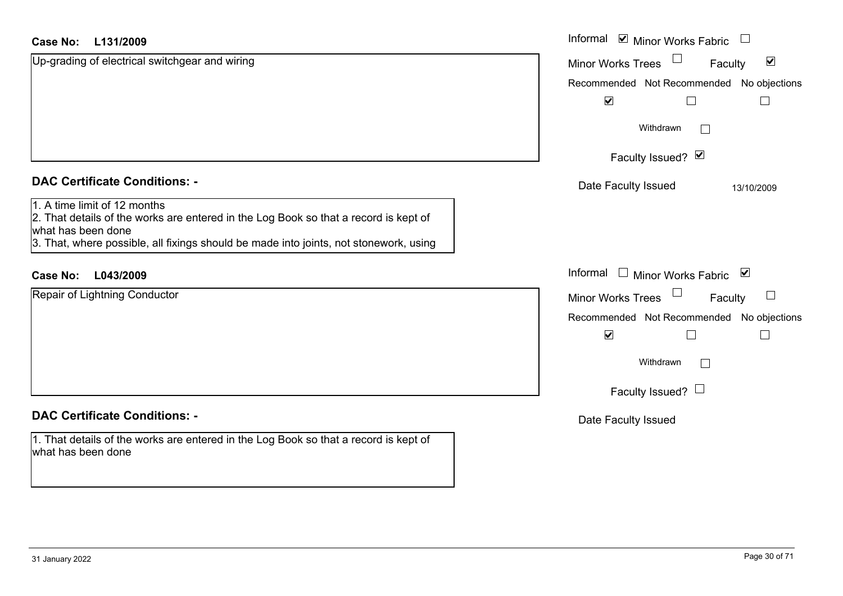| <b>Case No:</b><br>L131/2009                                                                                                                                                                                                        | Informal ⊠ Minor Works Fabric                               |
|-------------------------------------------------------------------------------------------------------------------------------------------------------------------------------------------------------------------------------------|-------------------------------------------------------------|
| Up-grading of electrical switchgear and wiring                                                                                                                                                                                      | $\blacktriangledown$<br><b>Minor Works Trees</b><br>Faculty |
|                                                                                                                                                                                                                                     | Recommended Not Recommended No objections                   |
|                                                                                                                                                                                                                                     | $\blacktriangledown$                                        |
|                                                                                                                                                                                                                                     | Withdrawn                                                   |
|                                                                                                                                                                                                                                     | Faculty Issued? Ø                                           |
| <b>DAC Certificate Conditions: -</b>                                                                                                                                                                                                | Date Faculty Issued<br>13/10/2009                           |
| 1. A time limit of 12 months<br>2. That details of the works are entered in the Log Book so that a record is kept of<br>what has been done<br>3. That, where possible, all fixings should be made into joints, not stonework, using |                                                             |
| <b>Case No:</b><br>L043/2009                                                                                                                                                                                                        | Informal<br>□ Minor Works Fabric ⊠                          |
| Repair of Lightning Conductor                                                                                                                                                                                                       | $\Box$<br>Minor Works Trees<br>Faculty                      |
|                                                                                                                                                                                                                                     | Recommended Not Recommended No objections                   |
|                                                                                                                                                                                                                                     | $\blacktriangledown$                                        |
|                                                                                                                                                                                                                                     | Withdrawn                                                   |
|                                                                                                                                                                                                                                     | Faculty Issued? $\Box$                                      |
| <b>DAC Certificate Conditions: -</b>                                                                                                                                                                                                | Date Faculty Issued                                         |
| 1. That details of the works are entered in the Log Book so that a record is kept of<br>what has been done                                                                                                                          |                                                             |

L.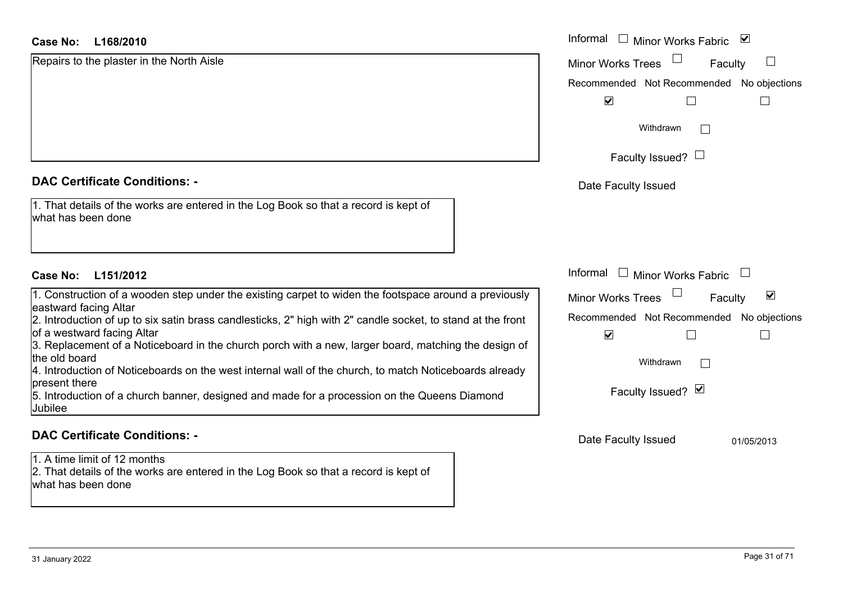## **DAC Certificate Conditions: -**

| 1. That details of the works are entered in the Log Book so that a record is kept of |  |
|--------------------------------------------------------------------------------------|--|
| what has been done                                                                   |  |

## **DAC Certificate Conditions: -**

1. A time limit of 12 months

2. That details of the works are entered in the Log Book so that a record is kept of what has been done

| <b>Case No:</b><br>L168/2010                                                                                                                                                                                                                  | Informal<br>⊻<br>$\Box$ Minor Works Fabric                                                                  |
|-----------------------------------------------------------------------------------------------------------------------------------------------------------------------------------------------------------------------------------------------|-------------------------------------------------------------------------------------------------------------|
| Repairs to the plaster in the North Aisle                                                                                                                                                                                                     | <b>Minor Works Trees</b><br>Faculty                                                                         |
|                                                                                                                                                                                                                                               | Recommended Not Recommended<br>No objections                                                                |
|                                                                                                                                                                                                                                               | $\blacktriangledown$                                                                                        |
|                                                                                                                                                                                                                                               | Withdrawn                                                                                                   |
|                                                                                                                                                                                                                                               | Faculty Issued? $\Box$                                                                                      |
| <b>DAC Certificate Conditions: -</b>                                                                                                                                                                                                          | Date Faculty Issued                                                                                         |
| 1. That details of the works are entered in the Log Book so that a record is kept of<br>what has been done                                                                                                                                    |                                                                                                             |
| <b>Case No:</b><br>L151/2012                                                                                                                                                                                                                  | Informal<br>$\Box$ Minor Works Fabric                                                                       |
| 1. Construction of a wooden step under the existing carpet to widen the footspace around a previously<br>eastward facing Altar<br>2. Introduction of up to six satin brass candlesticks, 2" high with 2" candle socket, to stand at the front | $\blacktriangledown$<br><b>Minor Works Trees</b><br>Faculty<br>Recommended Not Recommended<br>No objections |
| of a westward facing Altar<br>3. Replacement of a Noticeboard in the church porch with a new, larger board, matching the design of<br>the old board                                                                                           | $\blacktriangledown$                                                                                        |
| 4. Introduction of Noticeboards on the west internal wall of the church, to match Noticeboards already<br>present there                                                                                                                       | Withdrawn<br>$\mathbf{I}$                                                                                   |
| 5. Introduction of a church banner, designed and made for a procession on the Queens Diamond<br>Jubilee                                                                                                                                       | Faculty Issued? Ø                                                                                           |
| <b>DAC Certificate Conditions: -</b>                                                                                                                                                                                                          | Date Faculty Issued<br>01/05/2013                                                                           |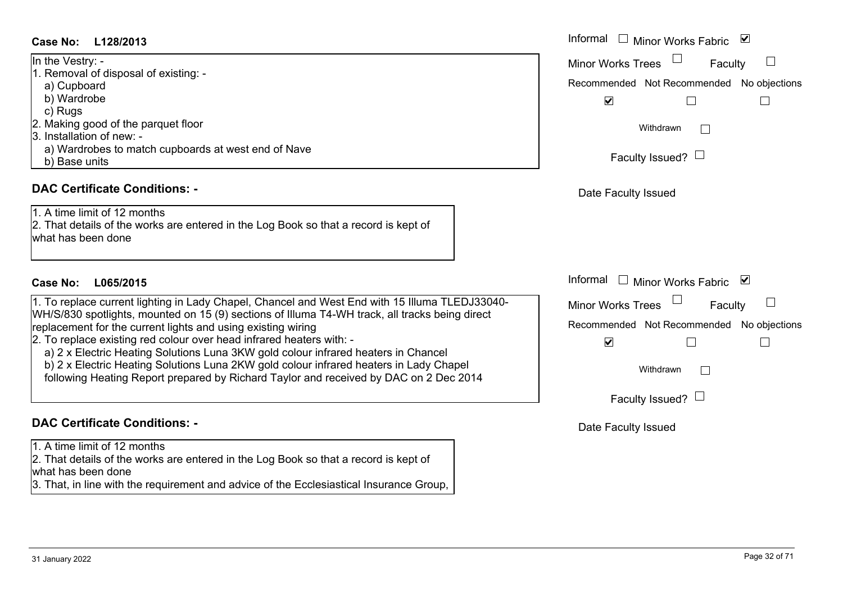#### **L128/2013Case No:** Informal

| In the Vestry: -                                    |
|-----------------------------------------------------|
| 1. Removal of disposal of existing: -               |
| a) Cupboard                                         |
| b) Wardrobe                                         |
| c) Rugs                                             |
| 2. Making good of the parquet floor                 |
| 3. Installation of new: -                           |
| a) Wardrobes to match cupboards at west end of Nave |
| Base units                                          |

#### **DAC Certificate Conditions: -**

1. A time limit of 12 months 2. That details of the works are entered in the Log Book so that a record is kept of what has been done

# **L065/2015Case No:** Informal

1. To replace current lighting in Lady Chapel, Chancel and West End with 15 Illuma TLEDJ33040- WH/S/830 spotlights, mounted on 15 (9) sections of Illuma T4-WH track, all tracks being direct replacement for the current lights and using existing wiring

2. To replace existing red colour over head infrared heaters with: -

a) 2 x Electric Heating Solutions Luna 3KW gold colour infrared heaters in Chancel

b) 2 x Electric Heating Solutions Luna 2KW gold colour infrared heaters in Lady Chapel

following Heating Report prepared by Richard Taylor and received by DAC on 2 Dec 2014

## **DAC Certificate Conditions: -**

1. A time limit of 12 months

2. That details of the works are entered in the Log Book so that a record is kept of what has been done

3. That, in line with the requirement and advice of the Ecclesiastical Insurance Group,

| Informal<br>$\overline{\mathbf{v}}$<br>Minor Works Fabric |
|-----------------------------------------------------------|
| <b>Minor Works Trees</b><br>Faculty                       |
| Recommended Not Recommended No objections                 |
| $\blacktriangledown$                                      |
| Withdrawn                                                 |
| Faculty Issued? $\Box$                                    |
| Date Faculty Issued                                       |
|                                                           |
|                                                           |
|                                                           |
| Informal<br>⊻<br><b>Minor Works Fabric</b>                |
| <b>Minor Works Trees</b><br>Faculty                       |
| Recommended Not Recommended No objections                 |
| $\blacktriangledown$                                      |
| Withdrawn                                                 |
| Faculty Issued? $\Box$                                    |
| Date Faculty Issued                                       |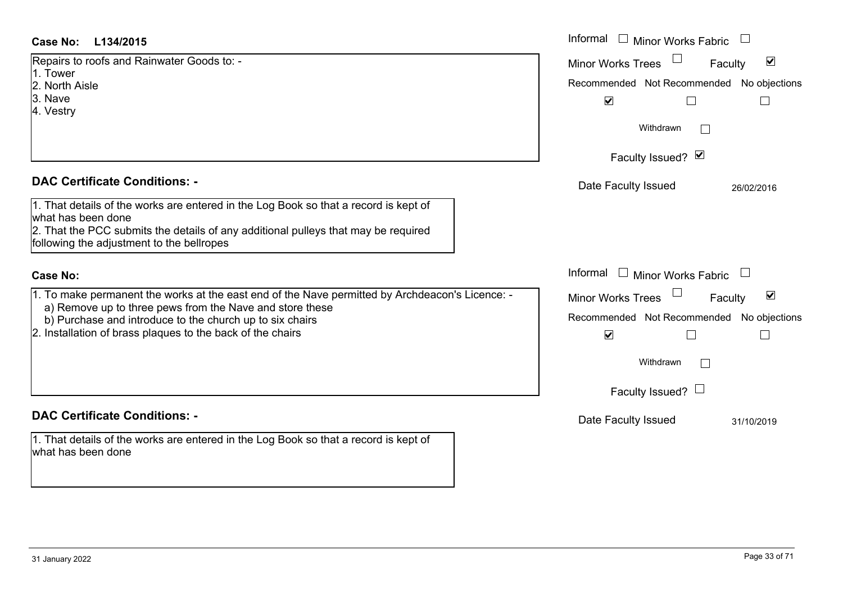| L134/2015<br>Case No:                                                                                                                                       | Informal □ Minor Works Fabric                               |
|-------------------------------------------------------------------------------------------------------------------------------------------------------------|-------------------------------------------------------------|
| Repairs to roofs and Rainwater Goods to: -<br>1. Tower                                                                                                      | $\blacktriangledown$<br>Minor Works Trees<br>Faculty        |
| 2. North Aisle                                                                                                                                              | Recommended Not Recommended No objections                   |
| 3. Nave                                                                                                                                                     | $\blacktriangledown$                                        |
| 4. Vestry                                                                                                                                                   |                                                             |
|                                                                                                                                                             | Withdrawn                                                   |
|                                                                                                                                                             | Faculty Issued? Ø                                           |
| <b>DAC Certificate Conditions: -</b>                                                                                                                        | Date Faculty Issued<br>26/02/2016                           |
| 1. That details of the works are entered in the Log Book so that a record is kept of<br>what has been done                                                  |                                                             |
| 2. That the PCC submits the details of any additional pulleys that may be required<br>following the adjustment to the bellropes                             |                                                             |
| <b>Case No:</b>                                                                                                                                             | Informal $\Box$ Minor Works Fabric                          |
| 1. To make permanent the works at the east end of the Nave permitted by Archdeacon's Licence: -<br>a) Remove up to three pews from the Nave and store these | $\blacktriangledown$<br><b>Minor Works Trees</b><br>Faculty |
| b) Purchase and introduce to the church up to six chairs                                                                                                    | Recommended Not Recommended No objections                   |
| 2. Installation of brass plaques to the back of the chairs                                                                                                  | $\blacktriangledown$                                        |
|                                                                                                                                                             | Withdrawn                                                   |
|                                                                                                                                                             | Faculty Issued? $\Box$                                      |
| <b>DAC Certificate Conditions: -</b>                                                                                                                        | Date Faculty Issued<br>31/10/2019                           |
| 1. That details of the works are entered in the Log Book so that a record is kept of<br>what has been done                                                  |                                                             |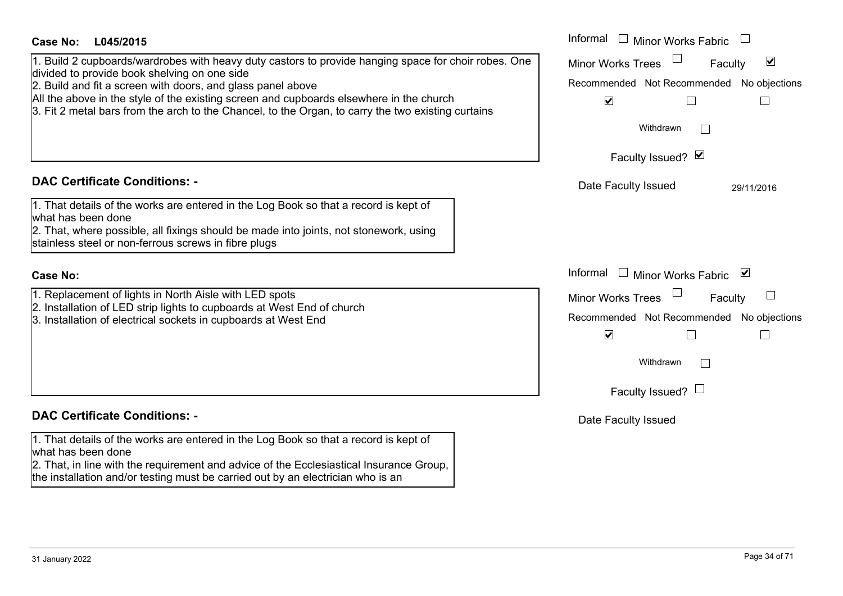| <b>Case No:</b><br>L045/2015                                                                                                                                                                  | Informal<br>$\Box$ Minor Works Fabric                       |
|-----------------------------------------------------------------------------------------------------------------------------------------------------------------------------------------------|-------------------------------------------------------------|
| 1. Build 2 cupboards/wardrobes with heavy duty castors to provide hanging space for choir robes. One<br>divided to provide book shelving on one side                                          | $\blacktriangledown$<br><b>Minor Works Trees</b><br>Faculty |
| 2. Build and fit a screen with doors, and glass panel above                                                                                                                                   | Recommended Not Recommended No objections                   |
| All the above in the style of the existing screen and cupboards elsewhere in the church<br>3. Fit 2 metal bars from the arch to the Chancel, to the Organ, to carry the two existing curtains | $\blacktriangledown$<br>$\mathbf{L}$                        |
|                                                                                                                                                                                               | Withdrawn                                                   |
|                                                                                                                                                                                               | Faculty Issued? Ø                                           |
| <b>DAC Certificate Conditions: -</b>                                                                                                                                                          | Date Faculty Issued<br>29/11/2016                           |
| 1. That details of the works are entered in the Log Book so that a record is kept of<br>what has been done                                                                                    |                                                             |
| 2. That, where possible, all fixings should be made into joints, not stonework, using<br>stainless steel or non-ferrous screws in fibre plugs                                                 |                                                             |
|                                                                                                                                                                                               |                                                             |
| <b>Case No:</b>                                                                                                                                                                               | Informal<br>$\Box$ Minor Works Fabric $\Box$                |
| 1. Replacement of lights in North Aisle with LED spots<br>2. Installation of LED strip lights to cupboards at West End of church                                                              | <b>Minor Works Trees</b><br>Faculty                         |
| 3. Installation of electrical sockets in cupboards at West End                                                                                                                                | Recommended Not Recommended No objections                   |
|                                                                                                                                                                                               | $\blacktriangledown$<br>$\Box$<br>$\mathbb{R}^n$            |
|                                                                                                                                                                                               | Withdrawn                                                   |
|                                                                                                                                                                                               | Faculty Issued? $\Box$                                      |
| <b>DAC Certificate Conditions: -</b>                                                                                                                                                          | Date Faculty Issued                                         |
| 1. That details of the works are entered in the Log Book so that a record is kept of<br>what has been done                                                                                    |                                                             |
| 2. That, in line with the requirement and advice of the Ecclesiastical Insurance Group,                                                                                                       |                                                             |
| the installation and/or testing must be carried out by an electrician who is an                                                                                                               |                                                             |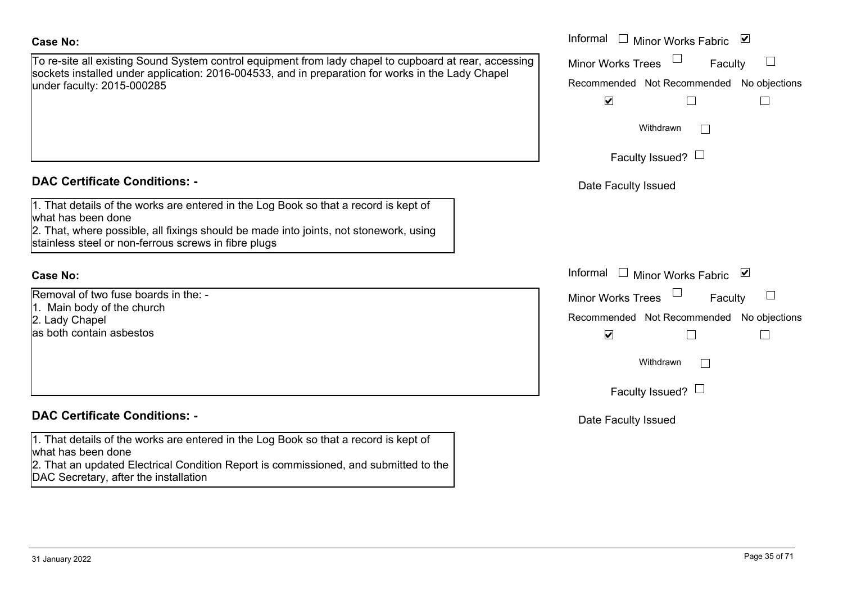To re-site all existing Sound System control equipment from lady chapel to cupboard at rear, accessing sockets installed under application: 2016-004533, and in preparation for works in the Lady Chapel under faculty: 2015-000285

## **DAC Certificate Conditions: -**

1. That details of the works are entered in the Log Book so that a record is kept of what has been done2. That, where possible, all fixings should be made into joints, not stonework, using

stainless steel or non-ferrous screws in fibre plugs

#### **Case No:**

Removal of two fuse boards in the: -1. Main body of the church 2. Lady Chapel as both contain asbestos

# **DAC Certificate Conditions: -**

1. That details of the works are entered in the Log Book so that a record is kept of what has been done

2. That an updated Electrical Condition Report is commissioned, and submitted to the DAC Secretary, after the installation

|                                                                                                                                                                                                                        | Informal $\square$<br>Minor Works Fabric ⊠                                                                     |
|------------------------------------------------------------------------------------------------------------------------------------------------------------------------------------------------------------------------|----------------------------------------------------------------------------------------------------------------|
| all existing Sound System control equipment from lady chapel to cupboard at rear, accessing<br>nstalled under application: 2016-004533, and in preparation for works in the Lady Chapel<br>culty: 2015-000285          | <b>Minor Works Trees</b><br>Faculty<br>Recommended Not Recommended No objections<br>$\blacktriangledown$       |
|                                                                                                                                                                                                                        | Withdrawn<br>Faculty Issued? $\Box$                                                                            |
| rtificate Conditions: -                                                                                                                                                                                                | Date Faculty Issued                                                                                            |
| etails of the works are entered in the Log Book so that a record is kept of<br>been done<br>vhere possible, all fixings should be made into joints, not stonework, using<br>steel or non-ferrous screws in fibre plugs |                                                                                                                |
|                                                                                                                                                                                                                        | Informal $\square$<br>Minor Works Fabric ⊠                                                                     |
| of two fuse boards in the: -<br>body of the church<br>Chapel<br>ontain asbestos                                                                                                                                        | Minor Works Trees<br>Faculty<br>Recommended Not Recommended No objections<br>$\blacktriangledown$<br>Withdrawn |
| rtificate Conditions: -                                                                                                                                                                                                | Faculty Issued? $\Box$<br>Date Faculty Issued                                                                  |
|                                                                                                                                                                                                                        |                                                                                                                |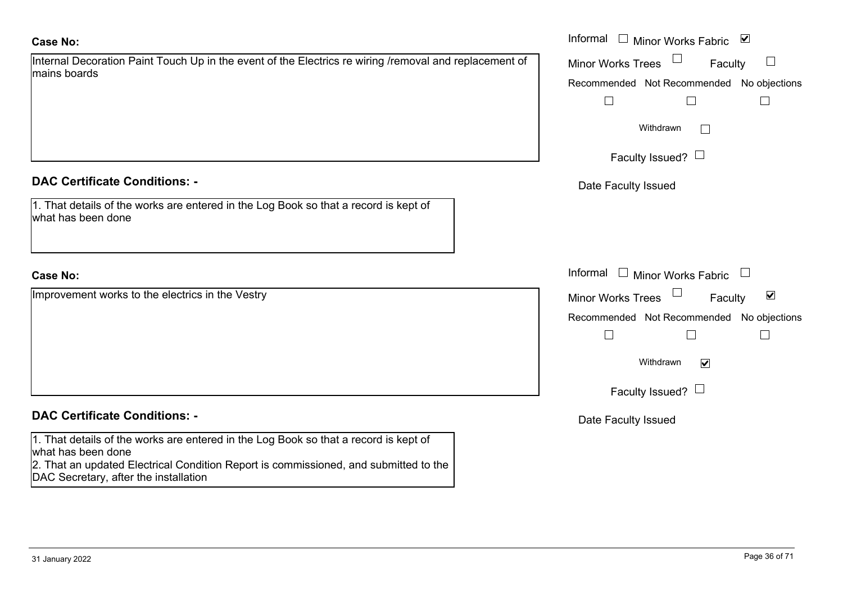| Internal Decoration Paint Touch Up in the event of the Electrics re wiring /removal and replacement of |  |
|--------------------------------------------------------------------------------------------------------|--|
| mains boards                                                                                           |  |

## **DAC Certificate Conditions: -**

| 1. That details of the works are entered in the Log Book so that a record is kept of |  |
|--------------------------------------------------------------------------------------|--|
| what has been done                                                                   |  |

## **Case No:**

# **DAC Certificate Conditions: -**

1. That details of the works are entered in the Log Book so that a record is kept of what has been done

2. That an updated Electrical Condition Report is commissioned, and submitted to the DAC Secretary, after the installation

|                                                                                                       | Informal $\square$<br>$\checkmark$<br>Minor Works Fabric |
|-------------------------------------------------------------------------------------------------------|----------------------------------------------------------|
| Decoration Paint Touch Up in the event of the Electrics re wiring /removal and replacement of<br>ards | <b>Minor Works Trees</b><br>Faculty<br>$\Box$            |
|                                                                                                       | Recommended Not Recommended No objections                |
|                                                                                                       |                                                          |
|                                                                                                       | Withdrawn                                                |
|                                                                                                       | Faculty Issued? $\Box$                                   |
| rtificate Conditions: -                                                                               | Date Faculty Issued                                      |
| etails of the works are entered in the Log Book so that a record is kept of<br>been done              |                                                          |
|                                                                                                       | Informal $\Box$ Minor Works Fabric $\Box$                |
| nent works to the electrics in the Vestry                                                             | Minor Works Trees<br>$\blacktriangledown$<br>Faculty     |
|                                                                                                       | No objections<br>Recommended Not Recommended             |
|                                                                                                       |                                                          |
|                                                                                                       | Withdrawn<br>$\blacktriangledown$                        |
|                                                                                                       | Faculty Issued? $\Box$                                   |
|                                                                                                       |                                                          |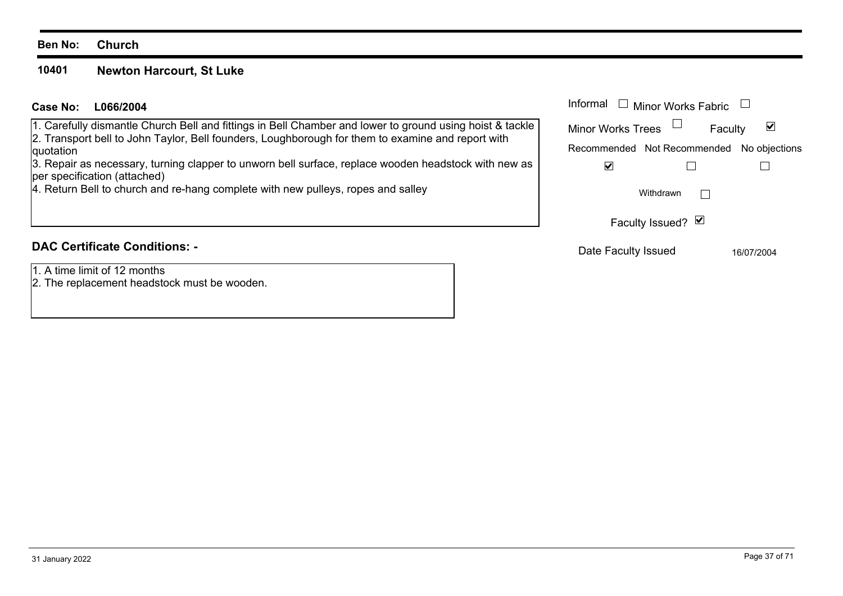#### **Ben No: Church**

#### **10401Newton Harcourt, St Luke**

## **L066/2004Case No:** Informal

1. Carefully dismantle Church Bell and fittings in Bell Chamber and lower to ground using hoist & tackle 2. Transport bell to John Taylor, Bell founders, Loughborough for them to examine and report with duotation

3. Repair as necessary, turning clapper to unworn bell surface, replace wooden headstock with new as per specification (attached)

4. Return Bell to church and re-hang complete with new pulleys, ropes and salley

# **DAC Certificate Conditions: -**

1. A time limit of 12 months

2. The replacement headstock must be wooden.

| Informal                                  | $\Box$ Minor Works Fabric |            |
|-------------------------------------------|---------------------------|------------|
| <b>Minor Works Trees</b>                  | Faculty                   |            |
| Recommended Not Recommended No objections |                           |            |
|                                           |                           |            |
|                                           | Withdrawn                 |            |
| Faculty Issued? Ø                         |                           |            |
| Date Faculty Issued                       |                           | 16/07/2004 |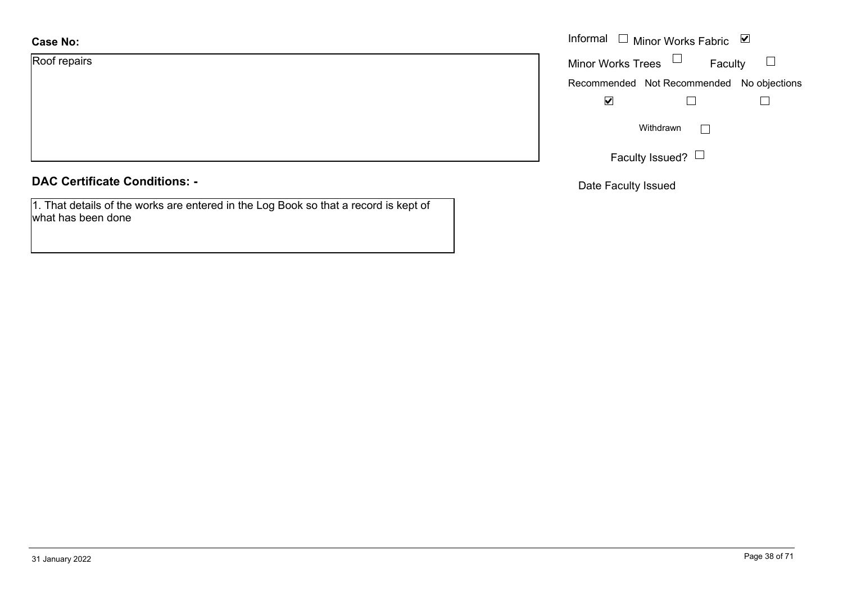| <b>Case No:</b> | Informal |
|-----------------|----------|
| Roof repairs    | Minor W  |
|                 | Recomm   |
|                 |          |
|                 |          |
|                 |          |
|                 |          |

## **DAC Certificate Conditions: -**

1. That details of the works are entered in the Log Book so that a record is kept of what has been done

|                          | Informal $\Box$ Minor Works Fabric        | ⊻ |
|--------------------------|-------------------------------------------|---|
| <b>Minor Works Trees</b> | Faculty                                   |   |
|                          | Recommended Not Recommended No objections |   |
|                          |                                           |   |
|                          | Withdrawn                                 |   |
|                          | Faculty Issued?                           |   |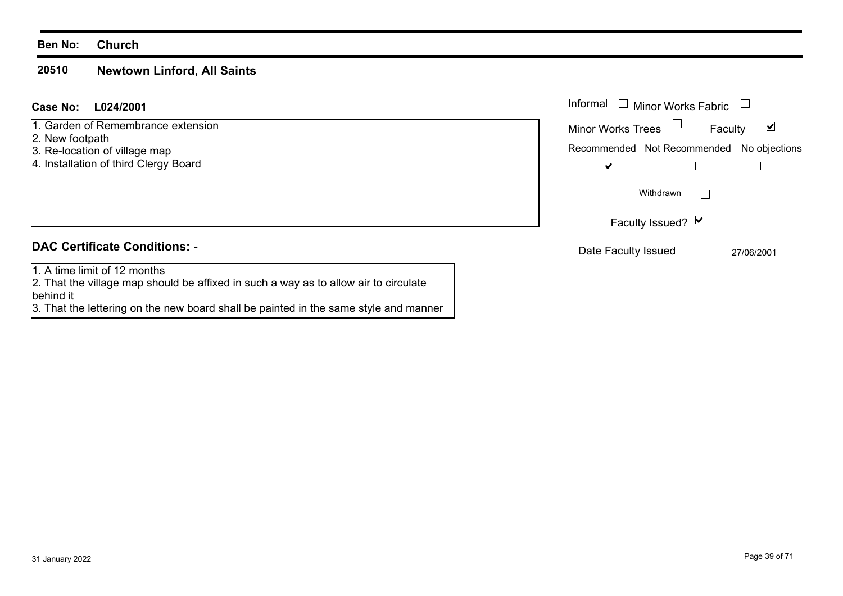#### **Ben No: Church**

#### **20510Newtown Linford, All Saints**

**L024/2001 Case No:** Informal

1. Garden of Remembrance extension

- 2. New footpath
- 3. Re-location of village map
- 4. Installation of third Clergy Board

# **DAC Certificate Conditions: -**

1. A time limit of 12 months2. That the village map should be affixed in such a way as to allow air to circulate

behind it 3. That the lettering on the new board shall be painted in the same style and manner

| Informal                 | Minor Works Fabric                        |         |
|--------------------------|-------------------------------------------|---------|
| <b>Minor Works Trees</b> |                                           | Faculty |
|                          | Recommended Not Recommended No objections |         |
|                          |                                           |         |
|                          | Withdrawn<br>Faculty Issued? Ø            |         |
|                          |                                           |         |

Date Faculty Issued 27/06/2001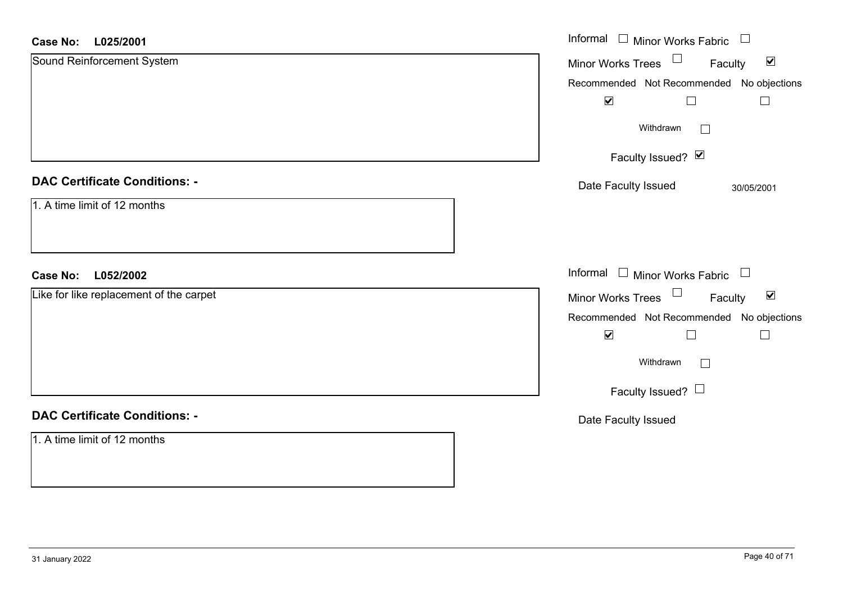#### **L025/2001Case No:**

| L025/2001<br><b>Case No:</b>            | Informal $\Box$ Minor Works Fabric $\Box$                              |
|-----------------------------------------|------------------------------------------------------------------------|
| Sound Reinforcement System              | Minor Works Trees <sup>1</sup><br>$\blacktriangledown$<br>Faculty      |
|                                         | Recommended Not Recommended No objections<br>$\blacktriangledown$<br>⊔ |
|                                         | Withdrawn<br>$\Box$                                                    |
|                                         | Faculty Issued? Ø                                                      |
| <b>DAC Certificate Conditions: -</b>    | Date Faculty Issued<br>30/05/2001                                      |
| 1. A time limit of 12 months            |                                                                        |
| L052/2002<br><b>Case No:</b>            | Informal □ Minor Works Fabric □                                        |
| Like for like replacement of the carpet | Minor Works Trees $\Box$<br>$\blacktriangledown$<br>Faculty            |
|                                         | Recommended Not Recommended No objections                              |
|                                         | $\blacktriangledown$<br>$\overline{\phantom{a}}$                       |
|                                         | Withdrawn<br>$\Box$                                                    |
|                                         | Faculty Issued? $\Box$                                                 |
| <b>DAC Certificate Conditions: -</b>    | Date Faculty Issued                                                    |
| 1. A time limit of 12 months            |                                                                        |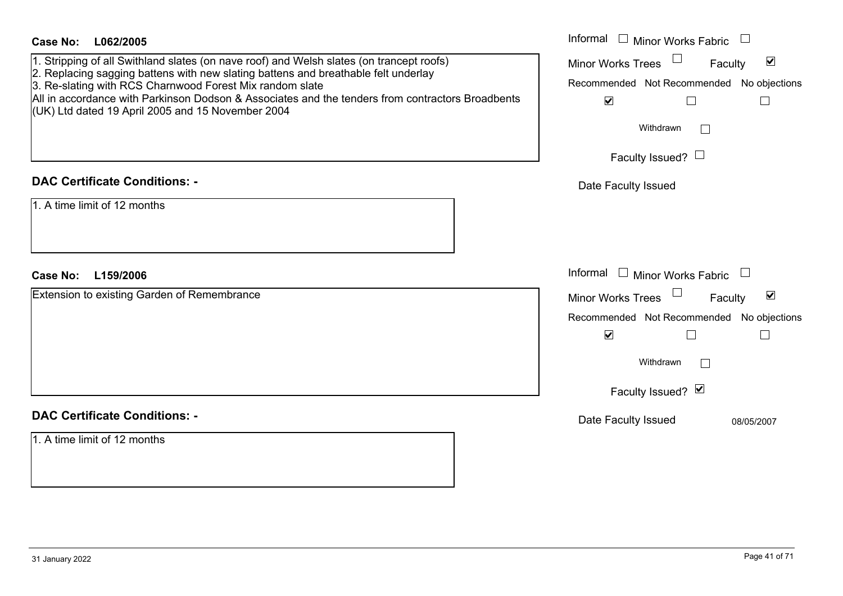| <b>Case No:</b><br>L062/2005                                                                                                                                                                                                                                                                                                                                                                                                                | Informal □ Minor Works Fabric                                                                                                                                                                                                        |
|---------------------------------------------------------------------------------------------------------------------------------------------------------------------------------------------------------------------------------------------------------------------------------------------------------------------------------------------------------------------------------------------------------------------------------------------|--------------------------------------------------------------------------------------------------------------------------------------------------------------------------------------------------------------------------------------|
| 1. Stripping of all Swithland slates (on nave roof) and Welsh slates (on trancept roofs)<br>2. Replacing sagging battens with new slating battens and breathable felt underlay<br>3. Re-slating with RCS Charnwood Forest Mix random slate<br>All in accordance with Parkinson Dodson & Associates and the tenders from contractors Broadbents<br>(UK) Ltd dated 19 April 2005 and 15 November 2004<br><b>DAC Certificate Conditions: -</b> | $\blacktriangledown$<br><b>Minor Works Trees</b><br>Faculty<br>Recommended Not Recommended No objections<br>$\blacktriangledown$<br>$\Box$<br>$\overline{\phantom{a}}$<br>Withdrawn<br>Faculty Issued? $\Box$<br>Date Faculty Issued |
| 1. A time limit of 12 months                                                                                                                                                                                                                                                                                                                                                                                                                |                                                                                                                                                                                                                                      |
| <b>Case No:</b><br>L159/2006                                                                                                                                                                                                                                                                                                                                                                                                                | Informal $\Box$ Minor Works Fabric                                                                                                                                                                                                   |
| Extension to existing Garden of Remembrance                                                                                                                                                                                                                                                                                                                                                                                                 | $\blacktriangledown$<br><b>Minor Works Trees</b><br>Faculty<br>Recommended Not Recommended No objections<br>$\blacktriangledown$<br>$\Box$<br>$\Box$<br>Withdrawn<br>$\sim$<br>Faculty Issued? Ø                                     |
| <b>DAC Certificate Conditions: -</b><br>1. A time limit of 12 months                                                                                                                                                                                                                                                                                                                                                                        | Date Faculty Issued<br>08/05/2007                                                                                                                                                                                                    |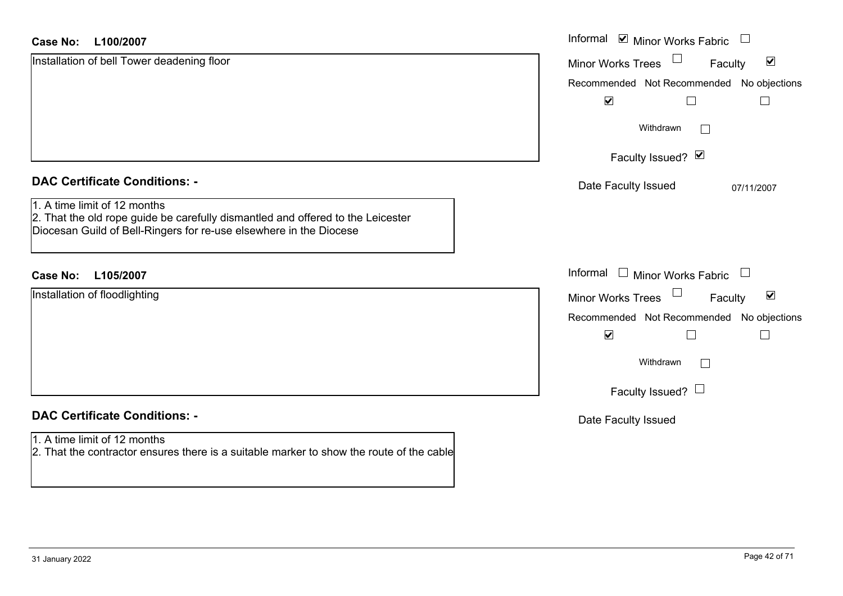| <b>Case No:</b><br>L100/2007                                                                                                                                                          | Informal Ø Minor Works Fabric U                      |
|---------------------------------------------------------------------------------------------------------------------------------------------------------------------------------------|------------------------------------------------------|
| Installation of bell Tower deadening floor                                                                                                                                            | $\blacktriangledown$<br>Minor Works Trees<br>Faculty |
|                                                                                                                                                                                       | Recommended Not Recommended No objections            |
|                                                                                                                                                                                       | $\blacktriangledown$                                 |
|                                                                                                                                                                                       | Withdrawn<br>$\mathbf{I}$                            |
|                                                                                                                                                                                       | Faculty Issued? $\vee$                               |
| <b>DAC Certificate Conditions: -</b>                                                                                                                                                  | Date Faculty Issued<br>07/11/2007                    |
| 1. A time limit of 12 months<br>2. That the old rope guide be carefully dismantled and offered to the Leicester<br>Diocesan Guild of Bell-Ringers for re-use elsewhere in the Diocese |                                                      |
| <b>Case No:</b><br>L105/2007                                                                                                                                                          | Informal $\Box$ Minor Works Fabric $\Box$            |
| Installation of floodlighting                                                                                                                                                         | Minor Works Trees<br>$\blacktriangledown$<br>Faculty |
|                                                                                                                                                                                       | Recommended Not Recommended No objections            |
|                                                                                                                                                                                       | $\blacktriangledown$                                 |
|                                                                                                                                                                                       | Withdrawn<br>$\Box$                                  |
|                                                                                                                                                                                       | Faculty Issued? $\Box$                               |
| <b>DAC Certificate Conditions: -</b>                                                                                                                                                  | Date Faculty Issued                                  |
| 1. A time limit of 12 months<br>2. That the contractor ensures there is a suitable marker to show the route of the cable                                                              |                                                      |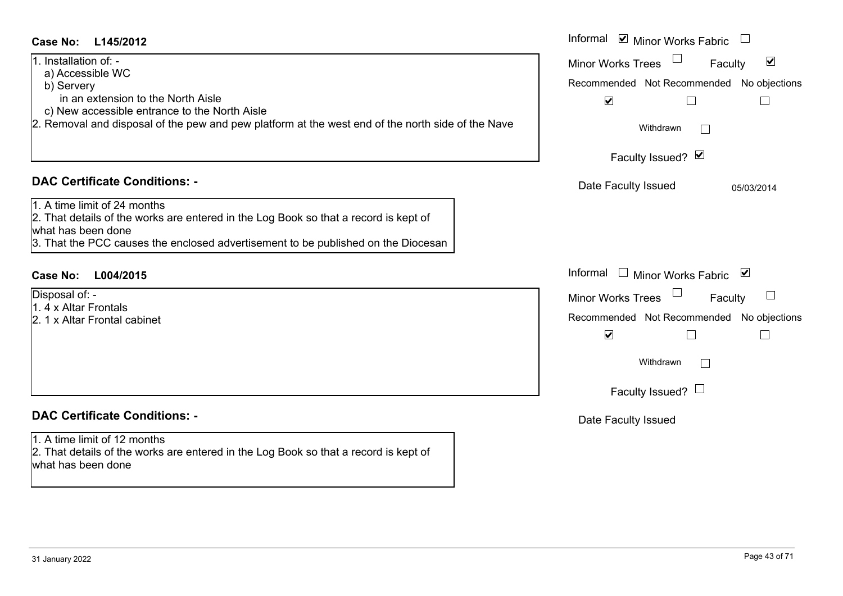| 1. Installation of: -<br>a) Accessible WC                                                                            | $\blacktriangledown$<br>Minor Works Trees<br>Faculty          |
|----------------------------------------------------------------------------------------------------------------------|---------------------------------------------------------------|
| b) Servery                                                                                                           | Recommended Not Recommended No objections                     |
| in an extension to the North Aisle                                                                                   | $\blacktriangledown$<br>$\Box$<br>$\mathcal{L}_{\mathcal{A}}$ |
| c) New accessible entrance to the North Aisle                                                                        |                                                               |
| 2. Removal and disposal of the pew and pew platform at the west end of the north side of the Nave                    | Withdrawn                                                     |
|                                                                                                                      | Faculty Issued? Ø                                             |
| <b>DAC Certificate Conditions: -</b>                                                                                 | Date Faculty Issued<br>05/03/2014                             |
| 1. A time limit of 24 months                                                                                         |                                                               |
| 2. That details of the works are entered in the Log Book so that a record is kept of                                 |                                                               |
| what has been done                                                                                                   |                                                               |
| 3. That the PCC causes the enclosed advertisement to be published on the Diocesan                                    |                                                               |
|                                                                                                                      |                                                               |
| <b>Case No:</b><br>L004/2015                                                                                         | Informal<br>□ Minor Works Fabric $\sqrt{\phantom{a}}$         |
| Disposal of: -                                                                                                       | <b>Minor Works Trees</b><br>Faculty                           |
| 1.4 x Altar Frontals                                                                                                 |                                                               |
|                                                                                                                      |                                                               |
| 2. 1 x Altar Frontal cabinet                                                                                         | Recommended Not Recommended No objections                     |
|                                                                                                                      | $\blacktriangledown$<br>$\Box$<br>$\mathbb{R}^n$              |
|                                                                                                                      | Withdrawn<br>$\vert \ \ \vert$                                |
|                                                                                                                      | Faculty Issued? $\Box$                                        |
| <b>DAC Certificate Conditions: -</b>                                                                                 |                                                               |
|                                                                                                                      | Date Faculty Issued                                           |
| 1. A time limit of 12 months<br>2. That details of the works are entered in the Log Book so that a record is kept of |                                                               |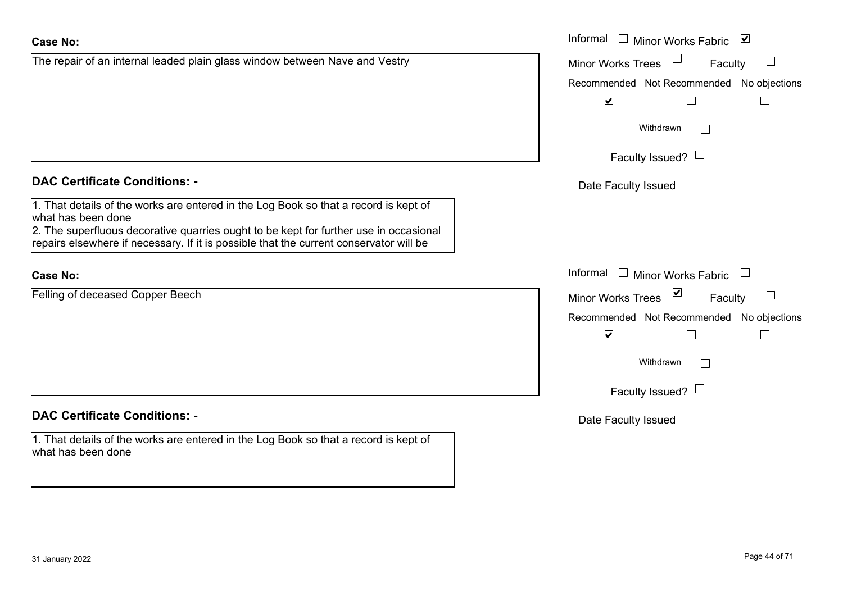| <b>Case No:</b>                                                                                                                                                                 | Informal □ Minor Works Fabric ⊠               |
|---------------------------------------------------------------------------------------------------------------------------------------------------------------------------------|-----------------------------------------------|
| The repair of an internal leaded plain glass window between Nave and Vestry                                                                                                     | Minor Works Trees<br>Faculty<br>⊔             |
|                                                                                                                                                                                 | Recommended Not Recommended No objections     |
|                                                                                                                                                                                 | $\blacktriangledown$<br>$\Box$                |
|                                                                                                                                                                                 | Withdrawn                                     |
|                                                                                                                                                                                 | Faculty Issued? $\Box$                        |
| <b>DAC Certificate Conditions: -</b>                                                                                                                                            | Date Faculty Issued                           |
| 1. That details of the works are entered in the Log Book so that a record is kept of<br>what has been done                                                                      |                                               |
| 2. The superfluous decorative quarries ought to be kept for further use in occasional<br>repairs elsewhere if necessary. If it is possible that the current conservator will be |                                               |
| <b>Case No:</b>                                                                                                                                                                 | Informal<br>$\Box$ Minor Works Fabric         |
| Felling of deceased Copper Beech                                                                                                                                                | ⊻<br><b>Minor Works Trees</b><br>⊔<br>Faculty |
|                                                                                                                                                                                 | Recommended Not Recommended No objections     |
|                                                                                                                                                                                 | $\blacktriangledown$<br>Г                     |
|                                                                                                                                                                                 | Withdrawn                                     |
|                                                                                                                                                                                 | Faculty Issued? $\Box$                        |
| <b>DAC Certificate Conditions: -</b>                                                                                                                                            | Date Faculty Issued                           |
| 1. That details of the works are entered in the Log Book so that a record is kept of<br>what has been done                                                                      |                                               |
|                                                                                                                                                                                 |                                               |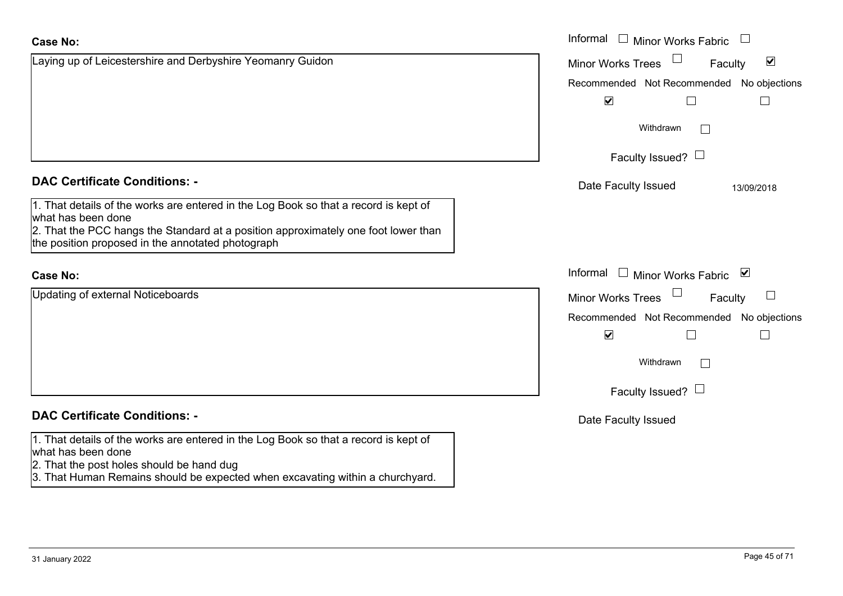|                                                                                                                                                                                                                                                       | <b>VVILHULAWII</b>                                 |
|-------------------------------------------------------------------------------------------------------------------------------------------------------------------------------------------------------------------------------------------------------|----------------------------------------------------|
|                                                                                                                                                                                                                                                       | Faculty Issued? $\Box$                             |
| <b>DAC Certificate Conditions: -</b>                                                                                                                                                                                                                  | Date Faculty Issued                                |
| 1. That details of the works are entered in the Log Book so that a record is kept of<br>what has been done<br>2. That the PCC hangs the Standard at a position approximately one foot lower than<br>the position proposed in the annotated photograph |                                                    |
| <b>Case No:</b>                                                                                                                                                                                                                                       | Informal<br>Minor Works Fa                         |
| Updating of external Noticeboards                                                                                                                                                                                                                     | <b>Minor Works Trees</b>                           |
|                                                                                                                                                                                                                                                       | Recommended Not Recomme<br>$\overline{\mathbf{v}}$ |
|                                                                                                                                                                                                                                                       | Withdrawn                                          |
|                                                                                                                                                                                                                                                       | Faculty Issued? $\Box$                             |
|                                                                                                                                                                                                                                                       |                                                    |

# **DAC Certificate Conditions: -**

Laying up of Leicestershire and Derbyshire Yeomanry Guidon

**DAC Certificate Conditions: -**

1. That details of the works are entered in the Log Book so that a record is kept of what has been done

- 2. That the post holes should be hand dug
- 3. That Human Remains should be expected when excavating within a churchyard.

|                                                                                                                                                                                                                 | Informal $\square$<br><b>Minor Works Fabric</b>      |
|-----------------------------------------------------------------------------------------------------------------------------------------------------------------------------------------------------------------|------------------------------------------------------|
| o of Leicestershire and Derbyshire Yeomanry Guidon                                                                                                                                                              | $\blacktriangledown$<br>Minor Works Trees<br>Faculty |
|                                                                                                                                                                                                                 | Recommended Not Recommended No objections            |
|                                                                                                                                                                                                                 | $\blacktriangledown$                                 |
|                                                                                                                                                                                                                 | Withdrawn                                            |
|                                                                                                                                                                                                                 | Faculty Issued? $\Box$                               |
| rtificate Conditions: -                                                                                                                                                                                         | Date Faculty Issued<br>13/09/2018                    |
| etails of the works are entered in the Log Book so that a record is kept of<br>been done<br>e PCC hangs the Standard at a position approximately one foot lower than<br>on proposed in the annotated photograph |                                                      |
|                                                                                                                                                                                                                 | Informal<br>Minor Works Fabric ⊠<br>$\mathbf{1}$     |
| of external Noticeboards                                                                                                                                                                                        | Minor Works Trees<br>$\Box$<br>Faculty               |
|                                                                                                                                                                                                                 | Recommended Not Recommended No objections            |
|                                                                                                                                                                                                                 | $\blacktriangledown$                                 |
|                                                                                                                                                                                                                 | Withdrawn                                            |
|                                                                                                                                                                                                                 |                                                      |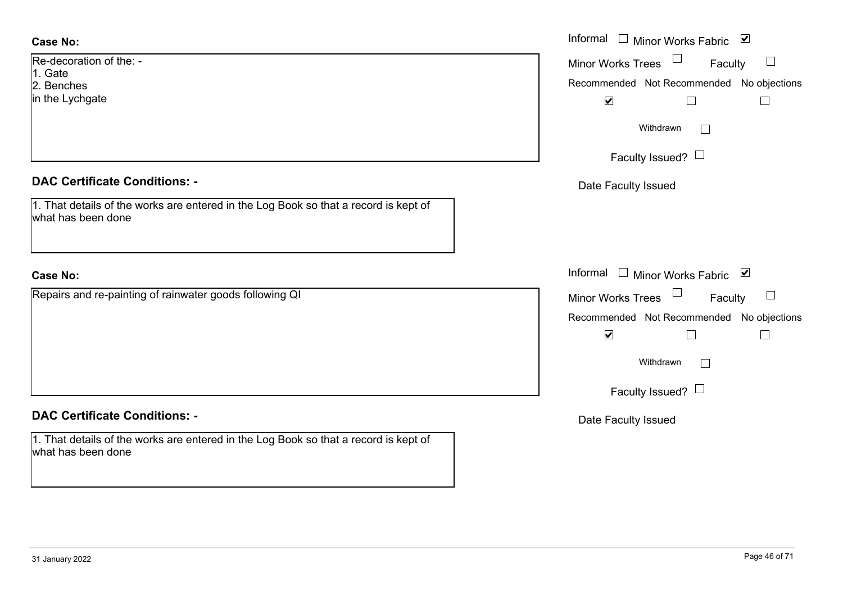| <b>Case No:</b>                                                                                            | Informal □ Minor Works Fabric ⊠                  |
|------------------------------------------------------------------------------------------------------------|--------------------------------------------------|
| Re-decoration of the: -<br>1. Gate                                                                         | $\Box$<br>Minor Works Trees<br>$\Box$<br>Faculty |
| 2. Benches                                                                                                 | Recommended Not Recommended No objections        |
| in the Lychgate                                                                                            | $\blacktriangledown$<br>$\Box$<br>$\Box$         |
|                                                                                                            | Withdrawn<br>$\Box$                              |
|                                                                                                            | Faculty Issued? $\Box$                           |
| <b>DAC Certificate Conditions: -</b>                                                                       | Date Faculty Issued                              |
| 1. That details of the works are entered in the Log Book so that a record is kept of<br>what has been done |                                                  |
|                                                                                                            |                                                  |
| <b>Case No:</b>                                                                                            | Informal $\Box$ Minor Works Fabric<br>⊻          |
| Repairs and re-painting of rainwater goods following QI                                                    | Minor Works Trees<br>$\Box$<br>Faculty           |
|                                                                                                            | Recommended Not Recommended No objections        |
|                                                                                                            | $\blacktriangledown$<br>⊔<br>$\Box$              |
|                                                                                                            | Withdrawn<br>$\Box$                              |
|                                                                                                            | Faculty Issued? $\Box$                           |
|                                                                                                            |                                                  |
| <b>DAC Certificate Conditions: -</b>                                                                       | Date Faculty Issued                              |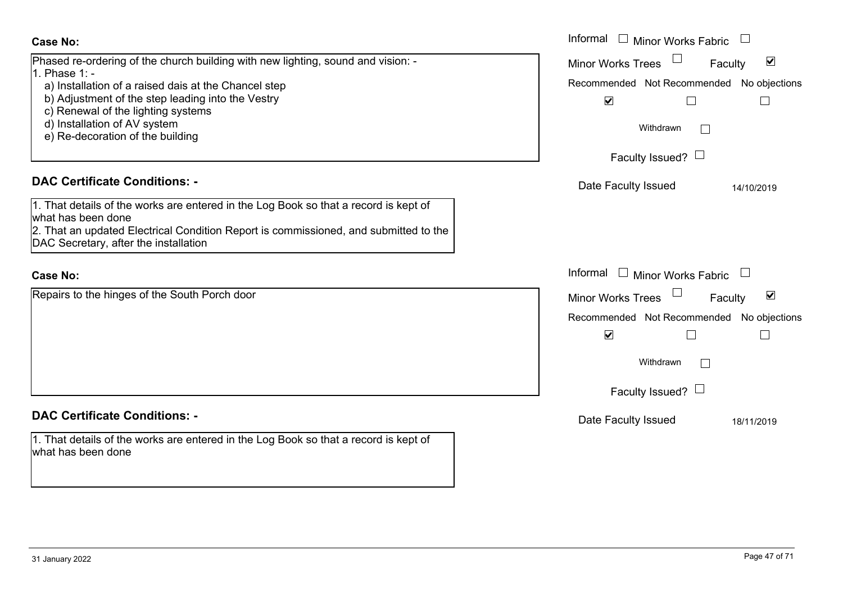| <b>Case No:</b>                                                                                            | Informal □ Minor Works Fabric                               |
|------------------------------------------------------------------------------------------------------------|-------------------------------------------------------------|
| Phased re-ordering of the church building with new lighting, sound and vision: -<br>1. Phase 1: -          | $\blacktriangledown$<br><b>Minor Works Trees</b><br>Faculty |
| a) Installation of a raised dais at the Chancel step                                                       | Recommended Not Recommended No objections                   |
| b) Adjustment of the step leading into the Vestry                                                          | $\blacktriangledown$<br>$\mathsf{L}$                        |
| c) Renewal of the lighting systems                                                                         |                                                             |
| d) Installation of AV system                                                                               | Withdrawn                                                   |
| e) Re-decoration of the building                                                                           |                                                             |
|                                                                                                            | Faculty Issued? $\Box$                                      |
| <b>DAC Certificate Conditions: -</b>                                                                       | Date Faculty Issued<br>14/10/2019                           |
| 1. That details of the works are entered in the Log Book so that a record is kept of                       |                                                             |
| what has been done                                                                                         |                                                             |
| 2. That an updated Electrical Condition Report is commissioned, and submitted to the                       |                                                             |
| DAC Secretary, after the installation                                                                      |                                                             |
|                                                                                                            |                                                             |
| <b>Case No:</b>                                                                                            | Informal $\Box$ Minor Works Fabric $\Box$                   |
| Repairs to the hinges of the South Porch door                                                              | $\blacktriangledown$<br><b>Minor Works Trees</b><br>Faculty |
|                                                                                                            | Recommended Not Recommended No objections                   |
|                                                                                                            | $\blacktriangledown$<br>$\mathcal{L}$                       |
|                                                                                                            | Withdrawn                                                   |
|                                                                                                            |                                                             |
|                                                                                                            | Faculty Issued? $\Box$                                      |
| <b>DAC Certificate Conditions: -</b>                                                                       | Date Faculty Issued<br>18/11/2019                           |
|                                                                                                            |                                                             |
| 1. That details of the works are entered in the Log Book so that a record is kept of<br>what has been done |                                                             |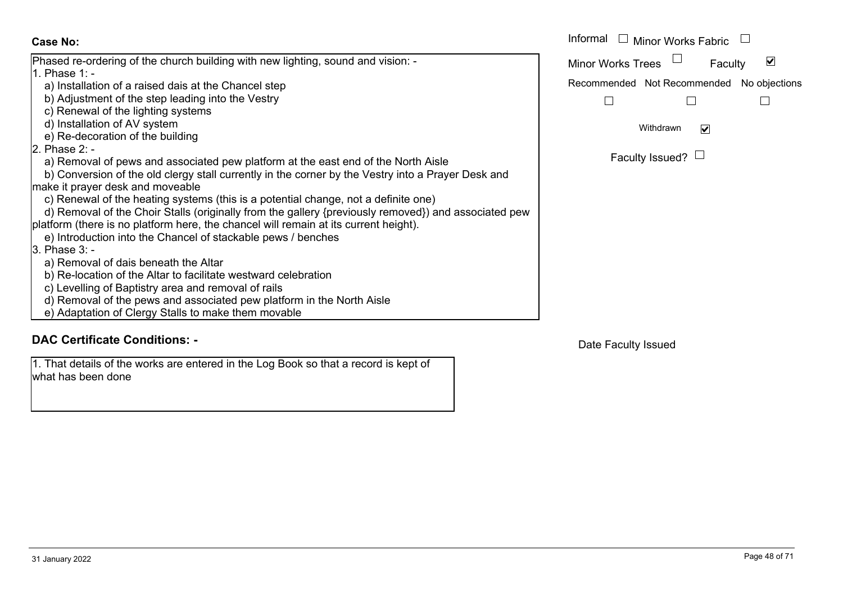#### Informal  $\Box$  Minor Works Fabric  $\Box$  Informal **Case No:**Phased re-ordering of the church building with new lighting, sound and vision: - Minor Works Trees<sup>1</sup>  $\blacktriangledown$ Faculty 1. Phase  $1$  a) Installation of a raised dais at the Chancel step Recommended Not Recommended No objections b) Adjustment of the step leading into the Vestry  $\Box$  $\Box$  $\Box$  c) Renewal of the lighting systems d) Installation of AV system Withdrawn $\overline{\mathbf{v}}$  e) Re-decoration of the building 2. Phase  $2 -$ Faculty Issued?  $\Box$  a) Removal of pews and associated pew platform at the east end of the North Aisle b) Conversion of the old clergy stall currently in the corner by the Vestry into a Prayer Desk and make it prayer desk and moveable c) Renewal of the heating systems (this is a potential change, not a definite one) d) Removal of the Choir Stalls (originally from the gallery {previously removed}) and associated pew platform (there is no platform here, the chancel will remain at its current height). e) Introduction into the Chancel of stackable pews / benches 3. Phase 3: a) Removal of dais beneath the Altar b) Re-location of the Altar to facilitate westward celebration c) Levelling of Baptistry area and removal of rails d) Removal of the pews and associated pew platform in the North Aisle e) Adaptation of Clergy Stalls to make them movable

# **DAC Certificate Conditions: -**

1. That details of the works are entered in the Log Book so that a record is kept of what has been done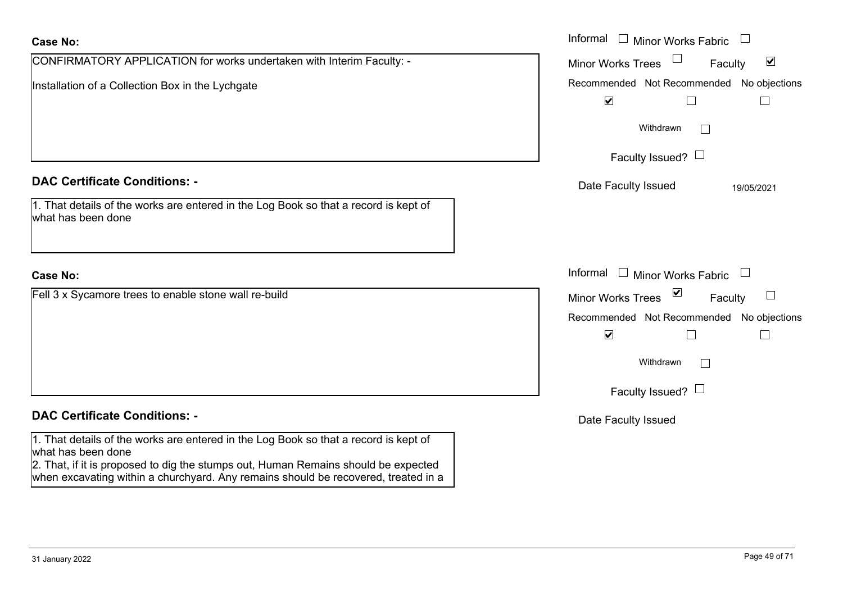# CONFIRMATORY APPLICATION for works undertaken with Interim Faculty: - Installation of a Collection Box in the Lychgate **Case No:** Informal **DAC Certificate Conditions: -**1. That details of the works are entered in the Log Book so that a record is kept of what has been doneFell 3 x Sycamore trees to enable stone wall re-build **Case No:**Informal

# **DAC Certificate Conditions: -**

1. That details of the works are entered in the Log Book so that a record is kept of what has been done

2. That, if it is proposed to dig the stumps out, Human Remains should be expected when excavating within a churchyard. Any remains should be recovered, treated in a

| Informal<br>Minor Works Fabric                  |  |
|-------------------------------------------------|--|
| ⊻<br><b>Minor Works Trees</b><br>Faculty        |  |
| Recommended Not Recommended No objections       |  |
| $\blacktriangledown$                            |  |
| Withdrawn                                       |  |
| Faculty Issued?                                 |  |
| Date Faculty Issued<br>19/05/2021               |  |
|                                                 |  |
| Informal<br><b>Minor Works Fabric</b><br>$\Box$ |  |
| ⊻<br><b>Minor Works Trees</b><br>Faculty        |  |
| Recommended Not Recommended No objections       |  |
| $\blacktriangledown$                            |  |
| Withdrawn                                       |  |
| Faculty Issued? I                               |  |
| Date Faculty Issued                             |  |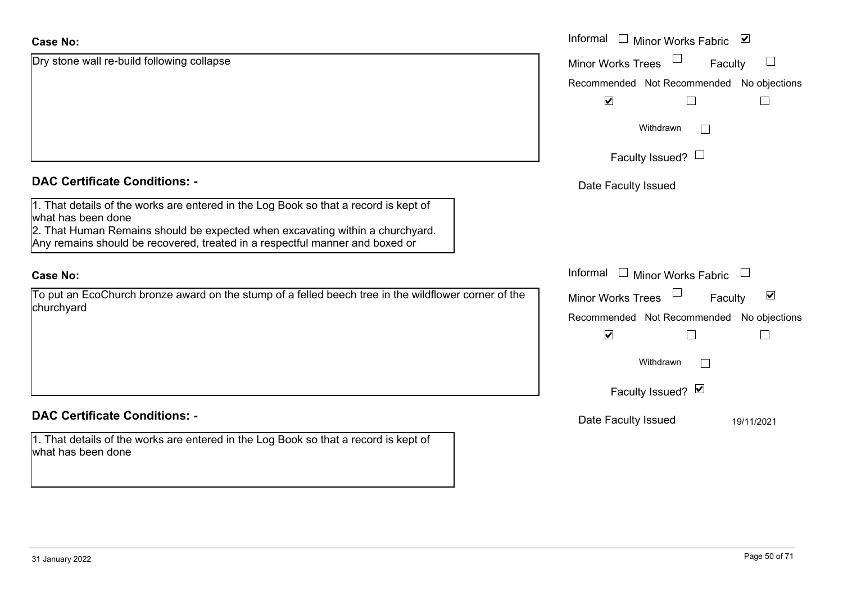| <b>Case No:</b>                                                                                                                                                                                                                                                             | Informal □ Minor Works Fabric<br>⊻                          |
|-----------------------------------------------------------------------------------------------------------------------------------------------------------------------------------------------------------------------------------------------------------------------------|-------------------------------------------------------------|
| Dry stone wall re-build following collapse                                                                                                                                                                                                                                  | $\Box$<br><b>Minor Works Trees</b><br>Faculty               |
|                                                                                                                                                                                                                                                                             | Recommended Not Recommended No objections                   |
|                                                                                                                                                                                                                                                                             | $\blacktriangledown$<br>$\Box$                              |
|                                                                                                                                                                                                                                                                             | Withdrawn<br>$\perp$                                        |
|                                                                                                                                                                                                                                                                             | Faculty Issued? $\Box$                                      |
| <b>DAC Certificate Conditions: -</b>                                                                                                                                                                                                                                        | Date Faculty Issued                                         |
| 1. That details of the works are entered in the Log Book so that a record is kept of<br>what has been done<br>2. That Human Remains should be expected when excavating within a churchyard.<br>Any remains should be recovered, treated in a respectful manner and boxed or |                                                             |
| <b>Case No:</b>                                                                                                                                                                                                                                                             | Informal □ Minor Works Fabric                               |
| To put an EcoChurch bronze award on the stump of a felled beech tree in the wildflower corner of the                                                                                                                                                                        | $\blacktriangledown$<br><b>Minor Works Trees</b><br>Faculty |
| churchyard                                                                                                                                                                                                                                                                  | Recommended Not Recommended No objections                   |
|                                                                                                                                                                                                                                                                             | $\blacktriangledown$<br>$\mathbf{L}$                        |
|                                                                                                                                                                                                                                                                             | Withdrawn<br>$\Box$                                         |
|                                                                                                                                                                                                                                                                             | Faculty Issued? Ø                                           |
| <b>DAC Certificate Conditions: -</b>                                                                                                                                                                                                                                        | Date Faculty Issued<br>19/11/2021                           |
| 1. That details of the works are entered in the Log Book so that a record is kept of<br>what has been done                                                                                                                                                                  |                                                             |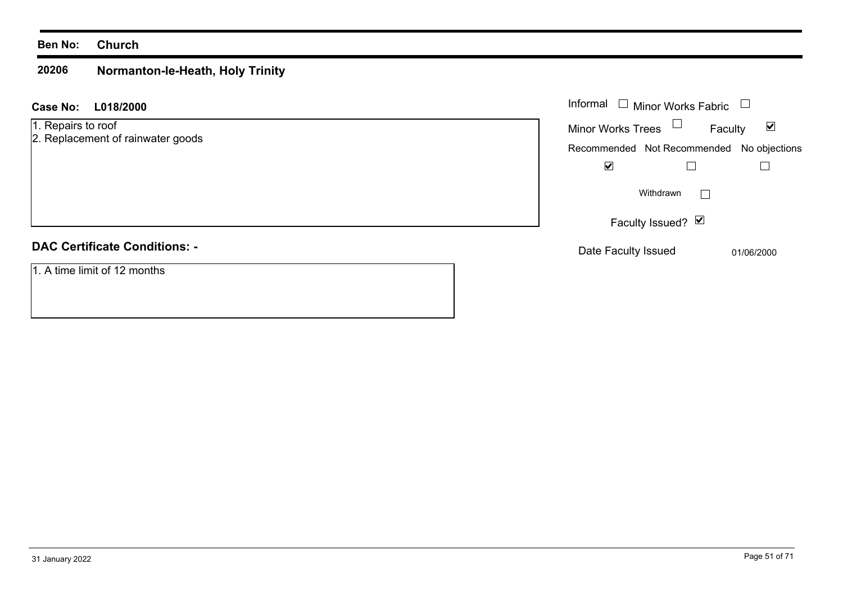#### **Ben No: Church**

#### **20206 Normanton-le-Heath, Holy Trinity**

| <b>Case No:</b><br>L018/2000                            | Informal $\Box$ Minor Works Fabric                                                                       |
|---------------------------------------------------------|----------------------------------------------------------------------------------------------------------|
| 1. Repairs to roof<br>2. Replacement of rainwater goods | Minor Works Trees $\Box$<br>$\blacktriangledown$<br>Faculty<br>Recommended Not Recommended No objections |
|                                                         | $\overline{\mathbf{v}}$                                                                                  |
|                                                         | Withdrawn                                                                                                |
|                                                         | Faculty Issued? Ø                                                                                        |
| <b>DAC Certificate Conditions: -</b>                    | Date Faculty Issued<br>01/06/2000                                                                        |
| $\overline{1. A}$ time limit of 12 months               |                                                                                                          |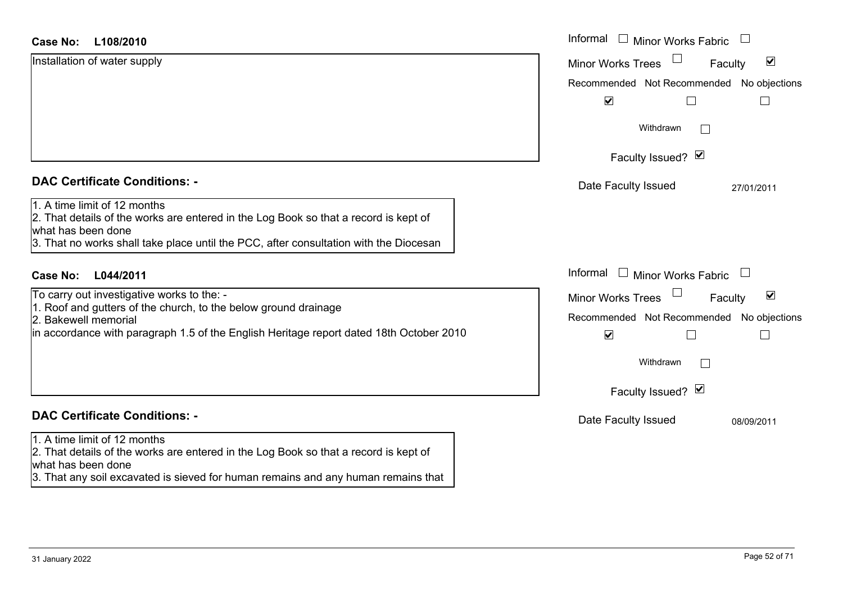| <b>Case No:</b><br>L108/2010                                                                                                                                                                                                        | Informal □ Minor Works Fabric                               |
|-------------------------------------------------------------------------------------------------------------------------------------------------------------------------------------------------------------------------------------|-------------------------------------------------------------|
| Installation of water supply                                                                                                                                                                                                        | $\blacktriangledown$<br><b>Minor Works Trees</b><br>Faculty |
|                                                                                                                                                                                                                                     | Recommended Not Recommended No objections                   |
|                                                                                                                                                                                                                                     | $\blacktriangledown$                                        |
|                                                                                                                                                                                                                                     | Withdrawn                                                   |
|                                                                                                                                                                                                                                     | Faculty Issued? Ø                                           |
| <b>DAC Certificate Conditions: -</b>                                                                                                                                                                                                | Date Faculty Issued<br>27/01/2011                           |
| 1. A time limit of 12 months<br>2. That details of the works are entered in the Log Book so that a record is kept of<br>what has been done<br>3. That no works shall take place until the PCC, after consultation with the Diocesan |                                                             |
| L044/2011<br><b>Case No:</b>                                                                                                                                                                                                        | Informal<br>$\Box$ Minor Works Fabric                       |
| To carry out investigative works to the: -                                                                                                                                                                                          | $\blacktriangledown$<br><b>Minor Works Trees</b><br>Faculty |
| 1. Roof and gutters of the church, to the below ground drainage<br>2. Bakewell memorial                                                                                                                                             | Recommended Not Recommended No objections                   |
| in accordance with paragraph 1.5 of the English Heritage report dated 18th October 2010                                                                                                                                             | $\blacktriangledown$<br>$\vert \ \ \vert$<br>H              |
|                                                                                                                                                                                                                                     | Withdrawn                                                   |
|                                                                                                                                                                                                                                     | Faculty Issued? Ø                                           |
| <b>DAC Certificate Conditions: -</b>                                                                                                                                                                                                | Date Faculty Issued<br>08/09/2011                           |
| 1. A time limit of 12 months<br>2. That details of the works are entered in the Log Book so that a record is kept of<br>what has been done<br>3. That any soil excavated is sieved for human remains and any human remains that     |                                                             |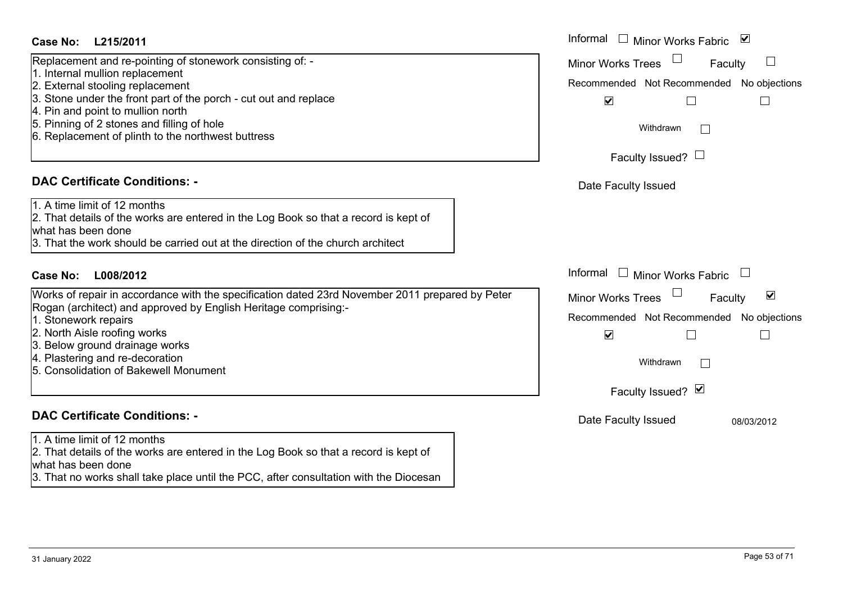#### Informal  $\Box$  Minor Works Fabric  $\Box$ **L215/2011Case No:** Informal Replacement and re-pointing of stonework consisting of: - Minor Works Trees<sup>1</sup> Faculty  $\Box$ 1. Internal mullion replacement 2. External stooling replacement Recommended Not Recommended No objections 3. Stone under the front part of the porch - cut out and replace  $\overline{\mathbf{v}}$  $\Box$  $\Box$ 4. Pin and point to mullion north 5. Pinning of 2 stones and filling of hole Withdrawn $\Box$ 6. Replacement of plinth to the northwest buttress Faculty Issued?  $\Box$ **DAC Certificate Conditions: -**Date Faculty Issued 1. A time limit of 12 months2. That details of the works are entered in the Log Book so that a record is kept of what has been done3. That the work should be carried out at the direction of the church architectInformal  $\Box$  Minor Works Fabric  $\Box$ **L008/2012Case No:** Informal Works of repair in accordance with the specification dated 23rd November 2011 prepared by Peter Faculty  $\overline{\mathsf{v}}$ Minor Works Trees Rogan (architect) and approved by English Heritage comprising:- 1. Stonework repairs Recommended Not Recommended No objections 2. North Aisle roofing works  $\overline{\mathbf{v}}$  $\Box$  $\Box$ 3. Below ground drainage works 4. Plastering and re-decoration Withdrawn $\Box$ 5. Consolidation of Bakewell MonumentFaculty Issued? Ø **DAC Certificate Conditions: -**Date Faculty Issued 08/03/2012 1. A time limit of 12 months2. That details of the works are entered in the Log Book so that a record is kept of what has been done 3. That no works shall take place until the PCC, after consultation with the Diocesan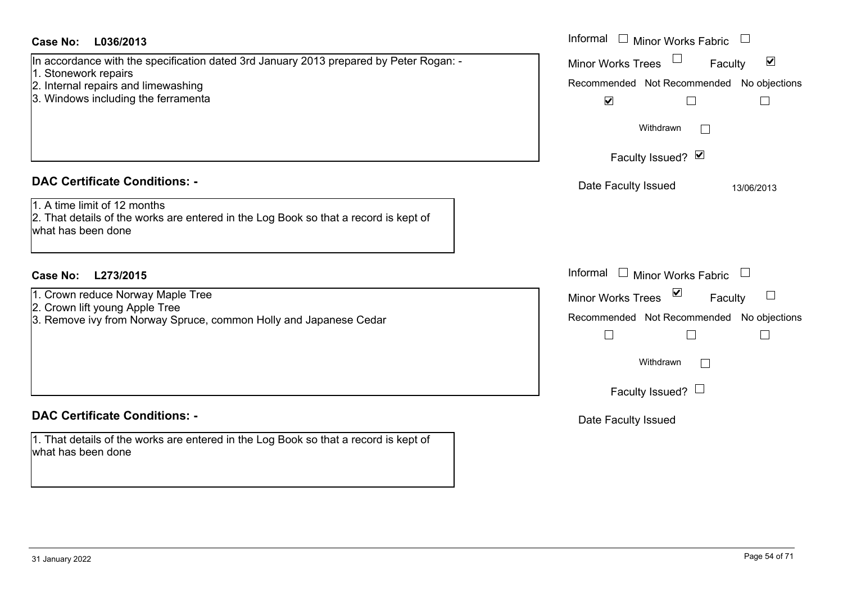## **L036/2013Case No:** Informal

#### **DAC Certificate Conditions: -**

- 1. Crown reduce Norway Maple Tree
- 2. Crown lift young Apple Tree

# **DAC Certificate Conditions: -**

1. That details of the works are entered in the Log Book so that a record is kept of what has been done

| <b>Case No:</b><br>L036/2013                                                                                                                                                                 | Informal □ Minor Works Fabric                                                                                                                 |
|----------------------------------------------------------------------------------------------------------------------------------------------------------------------------------------------|-----------------------------------------------------------------------------------------------------------------------------------------------|
| In accordance with the specification dated 3rd January 2013 prepared by Peter Rogan: -<br>1. Stonework repairs<br>2. Internal repairs and limewashing<br>3. Windows including the ferramenta | $\blacktriangledown$<br>Minor Works Trees<br>Faculty<br>Recommended Not Recommended No objections<br>$\blacktriangledown$<br>$\Box$           |
|                                                                                                                                                                                              | Withdrawn<br>Faculty Issued? Ø                                                                                                                |
| <b>DAC Certificate Conditions: -</b>                                                                                                                                                         | Date Faculty Issued<br>13/06/2013                                                                                                             |
| 1. A time limit of 12 months<br>2. That details of the works are entered in the Log Book so that a record is kept of<br>what has been done                                                   |                                                                                                                                               |
| Case No:<br>L273/2015                                                                                                                                                                        | Informal $\Box$ Minor Works Fabric $\Box$                                                                                                     |
| 1. Crown reduce Norway Maple Tree<br>2. Crown lift young Apple Tree<br>3. Remove ivy from Norway Spruce, common Holly and Japanese Cedar                                                     | $\overline{\mathsf{K}}$<br>Minor Works Trees<br>$\begin{array}{c} \hline \end{array}$<br>Faculty<br>Recommended Not Recommended No objections |
|                                                                                                                                                                                              | Withdrawn                                                                                                                                     |
|                                                                                                                                                                                              | Faculty Issued? $\Box$                                                                                                                        |
| <b>DAC Certificate Conditions: -</b>                                                                                                                                                         | Date Faculty Issued                                                                                                                           |
| 1 That details of the works are entered in the Log Book so that a record is kent of                                                                                                          |                                                                                                                                               |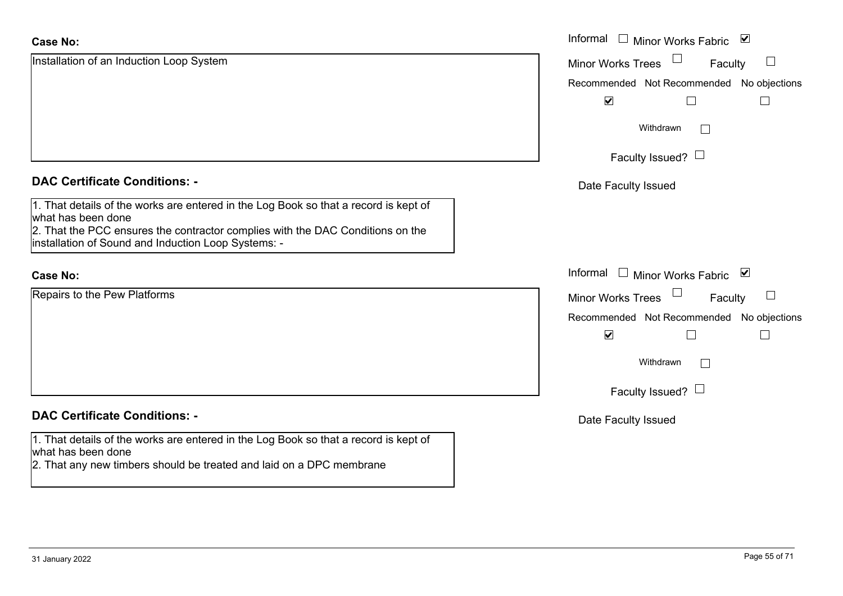| <b>Case No:</b>                                                                                                                                                                                                                                     | Informal $\square$<br>Minor Works Fabric ⊠                             |
|-----------------------------------------------------------------------------------------------------------------------------------------------------------------------------------------------------------------------------------------------------|------------------------------------------------------------------------|
| Installation of an Induction Loop System                                                                                                                                                                                                            | $\Box$<br><b>Minor Works Trees</b><br>Faculty                          |
|                                                                                                                                                                                                                                                     | Recommended Not Recommended No objections                              |
|                                                                                                                                                                                                                                                     | $\blacktriangledown$                                                   |
|                                                                                                                                                                                                                                                     | Withdrawn<br>$\mathbb{R}^n$                                            |
|                                                                                                                                                                                                                                                     | Faculty Issued? $\Box$                                                 |
| <b>DAC Certificate Conditions: -</b>                                                                                                                                                                                                                | Date Faculty Issued                                                    |
| 1. That details of the works are entered in the Log Book so that a record is kept of<br>what has been done<br>2. That the PCC ensures the contractor complies with the DAC Conditions on the<br>installation of Sound and Induction Loop Systems: - |                                                                        |
|                                                                                                                                                                                                                                                     |                                                                        |
| <b>Case No:</b>                                                                                                                                                                                                                                     | Informal<br>$\overline{\phantom{a}}$<br><b>Minor Works Fabric</b><br>⊻ |
| Repairs to the Pew Platforms                                                                                                                                                                                                                        | <b>Minor Works Trees</b><br>Faculty<br>$\sqcup$                        |
|                                                                                                                                                                                                                                                     | Recommended Not Recommended No objections                              |
|                                                                                                                                                                                                                                                     | $\blacktriangledown$<br>$\Box$                                         |
|                                                                                                                                                                                                                                                     | Withdrawn<br>$\Box$                                                    |
|                                                                                                                                                                                                                                                     | Faculty Issued? $\Box$                                                 |
| <b>DAC Certificate Conditions: -</b>                                                                                                                                                                                                                | Date Faculty Issued                                                    |
| 1. That details of the works are entered in the Log Book so that a record is kept of<br>what has been done<br>2. That any new timbers should be treated and laid on a DPC membrane                                                                  |                                                                        |
|                                                                                                                                                                                                                                                     |                                                                        |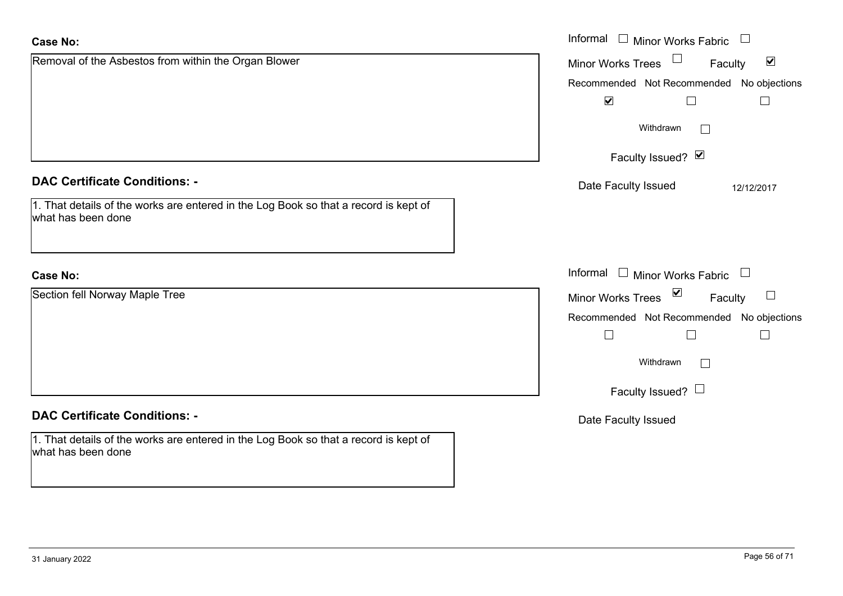| <b>Case No:</b>                                                                                            | Informal $\Box$ Minor Works Fabric $\Box$                               |
|------------------------------------------------------------------------------------------------------------|-------------------------------------------------------------------------|
| Removal of the Asbestos from within the Organ Blower                                                       | Minor Works Trees <sup>1</sup><br>Faculty<br>$\blacktriangledown$       |
|                                                                                                            | Recommended Not Recommended No objections                               |
|                                                                                                            | $\blacktriangledown$<br>$\Box$<br>$\Box$                                |
|                                                                                                            | Withdrawn                                                               |
|                                                                                                            | Faculty Issued? Ø                                                       |
| <b>DAC Certificate Conditions: -</b>                                                                       | Date Faculty Issued<br>12/12/2017                                       |
| 1. That details of the works are entered in the Log Book so that a record is kept of<br>what has been done |                                                                         |
| <b>Case No:</b>                                                                                            | Informal $\Box$ Minor Works Fabric $\Box$                               |
| Section fell Norway Maple Tree                                                                             | Minor Works Trees $\blacksquare$<br>Faculty<br>$\overline{\phantom{a}}$ |
|                                                                                                            | Recommended Not Recommended No objections                               |
|                                                                                                            | $\Box$<br>$\Box$                                                        |
|                                                                                                            | Withdrawn<br>$\vert$ $\vert$                                            |
|                                                                                                            | Faculty Issued? $\Box$                                                  |
| <b>DAC Certificate Conditions: -</b>                                                                       | Date Faculty Issued                                                     |
| 1. That details of the works are entered in the Log Book so that a record is kept of<br>what has been done |                                                                         |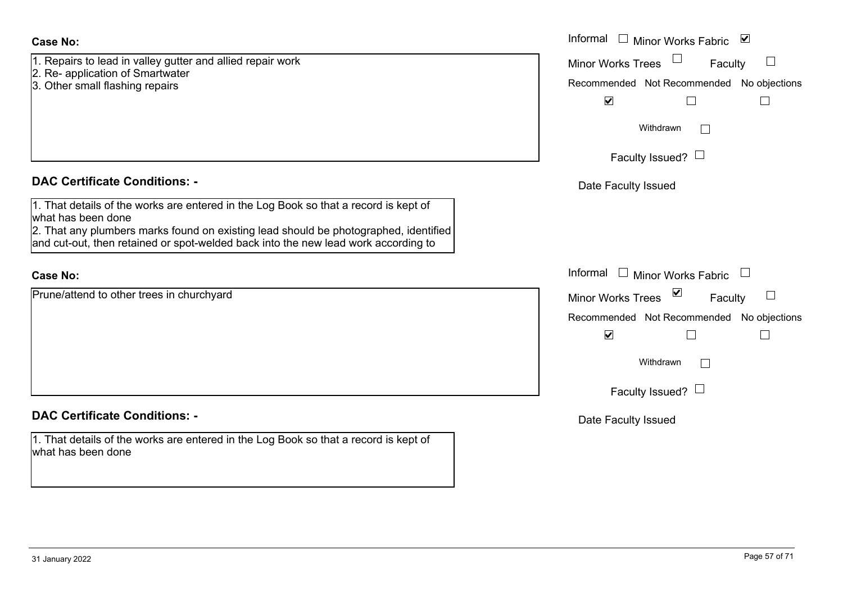1. Repairs to lead in valley gutter and allied repair work

- 2. Re- application of Smartwater
- 3. Other small flashing repairs

#### **DAC Certificate Conditions: -**

1. That details of the works are entered in the Log Book so that a record is kept of what has been done

2. That any plumbers marks found on existing lead should be photographed, identified and cut-out, then retained or spot-welded back into the new lead work according to

## **Case No:**

Prune/attend to other trees in churchyard

# **DAC Certificate Conditions: -**

1. That details of the works are entered in the Log Book so that a record is kept of what has been done

|                                                                                                                                                                                                                                                       | Informal □ Minor Works Fabric<br>$\blacktriangledown$ |
|-------------------------------------------------------------------------------------------------------------------------------------------------------------------------------------------------------------------------------------------------------|-------------------------------------------------------|
| s to lead in valley gutter and allied repair work<br>plication of Smartwater                                                                                                                                                                          | <b>Minor Works Trees</b><br>$\Box$<br>Faculty         |
| small flashing repairs                                                                                                                                                                                                                                | Recommended Not Recommended No objections             |
|                                                                                                                                                                                                                                                       | $\blacktriangledown$                                  |
|                                                                                                                                                                                                                                                       | Withdrawn                                             |
|                                                                                                                                                                                                                                                       | Faculty Issued? $\Box$                                |
| rtificate Conditions: -                                                                                                                                                                                                                               | Date Faculty Issued                                   |
| etails of the works are entered in the Log Book so that a record is kept of<br>been done<br>ny plumbers marks found on existing lead should be photographed, identified<br>out, then retained or spot-welded back into the new lead work according to |                                                       |
|                                                                                                                                                                                                                                                       | Informal<br>$\Box$ Minor Works Fabric                 |
| end to other trees in churchyard                                                                                                                                                                                                                      | Minor Works Trees ⊠<br>Faculty                        |
|                                                                                                                                                                                                                                                       | Recommended Not Recommended No objections             |
|                                                                                                                                                                                                                                                       | $\blacktriangledown$                                  |
|                                                                                                                                                                                                                                                       | Withdrawn<br>$\Box$                                   |
|                                                                                                                                                                                                                                                       | Faculty Issued? $\Box$                                |
| rtificate Conditions: -                                                                                                                                                                                                                               | Date Faculty Issued                                   |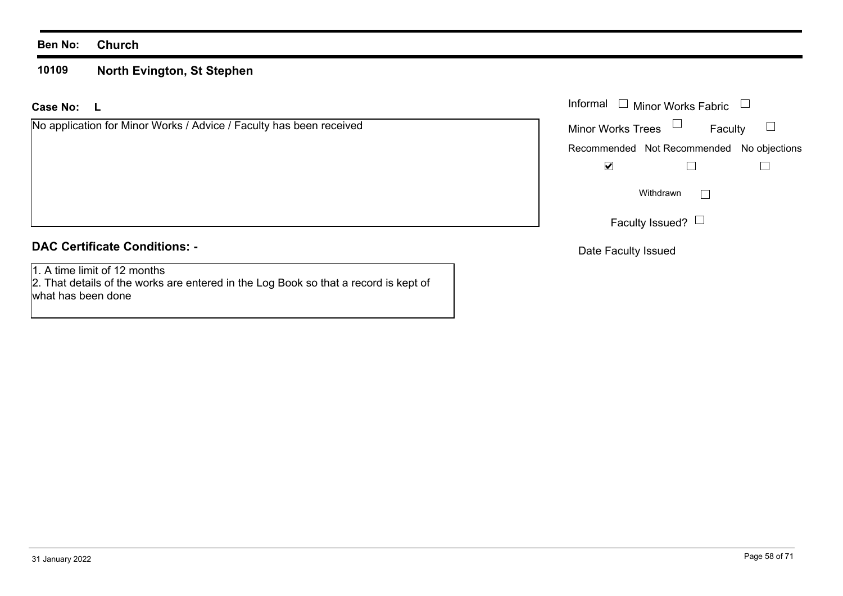#### **Ben No: Church**

#### **10109North Evington, St Stephen**

**L Case No:**

| No application for Minor Works / Advice / Faculty has been received |  |  |
|---------------------------------------------------------------------|--|--|
|---------------------------------------------------------------------|--|--|

# **DAC Certificate Conditions: -**

1. A time limit of 12 months

 2. That details of the works are entered in the Log Book so that a record is kept of what has been done

| : L                                                         |                   | Informal □ Minor Works Fabric □           |         |
|-------------------------------------------------------------|-------------------|-------------------------------------------|---------|
| cation for Minor Works / Advice / Faculty has been received | Minor Works Trees |                                           | Faculty |
|                                                             |                   | Recommended Not Recommended No objections |         |
|                                                             | M                 |                                           |         |
|                                                             |                   | Withdrawn                                 |         |
|                                                             |                   | Faculty Issued? $\Box$                    |         |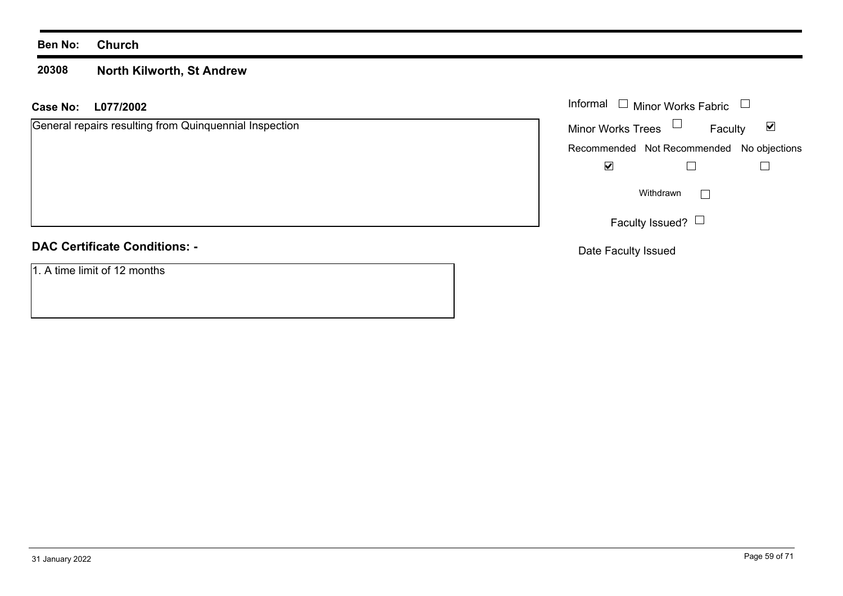#### **Ben No: Church**

#### **20308North Kilworth, St Andrew**

#### **L077/2002 Case No:** Informal

General repairs resulting from Quinquennial Inspection

# **DAC Certificate Conditions: -**

1. A time limit of 12 months

|                          | Informal □ Minor Works Fabric             |   |
|--------------------------|-------------------------------------------|---|
| <b>Minor Works Trees</b> | Faculty                                   | M |
|                          | Recommended Not Recommended No objections |   |
|                          |                                           |   |
|                          | Withdrawn                                 |   |
|                          | Faculty Issued?                           |   |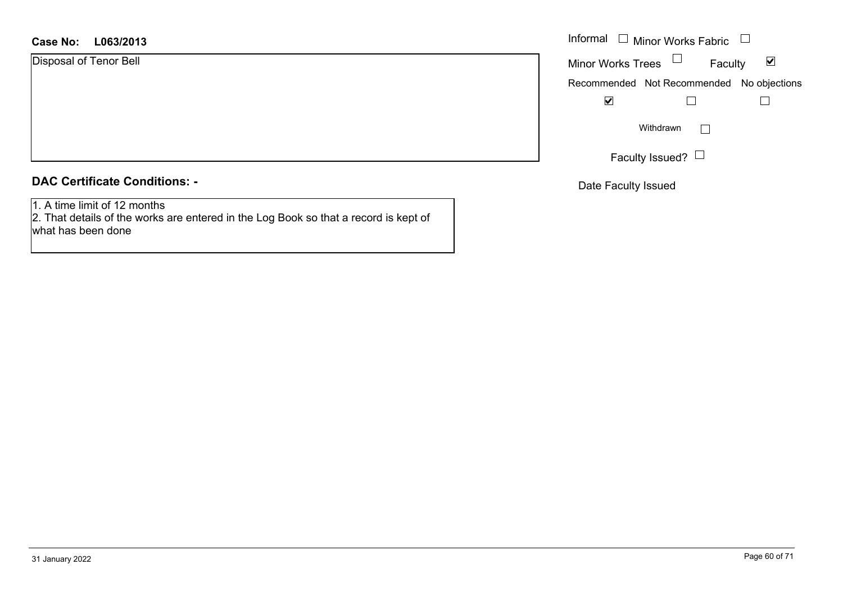#### **L063/2013Case No:** Informal

Disposal of Tenor Bell

#### **DAC Certificate Conditions: -**

1. A time limit of 12 months

 2. That details of the works are entered in the Log Book so that a record is kept of what has been done

| Informal                 | Minor Works Fabric                        |   |
|--------------------------|-------------------------------------------|---|
| <b>Minor Works Trees</b> | Faculty                                   | V |
|                          | Recommended Not Recommended No objections |   |
|                          |                                           |   |
|                          | Withdrawn                                 |   |
|                          | Faculty Issued?                           |   |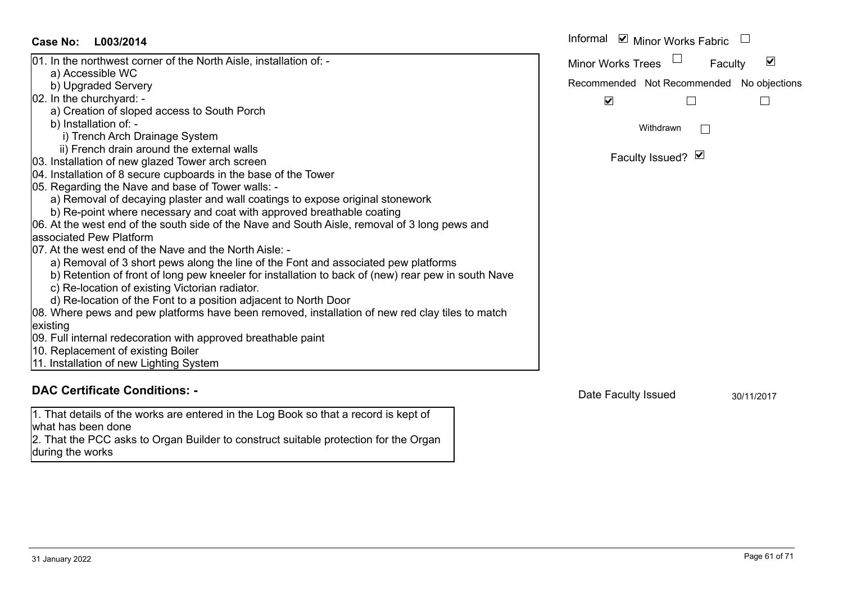| Case No:<br>L003/2014                                                                                                     | Informal ⊠ Minor Works Fabric                        |
|---------------------------------------------------------------------------------------------------------------------------|------------------------------------------------------|
| 01. In the northwest corner of the North Aisle, installation of: -                                                        | $\blacktriangledown$<br>Minor Works Trees<br>Faculty |
| a) Accessible WC                                                                                                          |                                                      |
| b) Upgraded Servery                                                                                                       | Recommended Not Recommended No objections            |
| 02. In the churchyard: -                                                                                                  | $\blacktriangledown$                                 |
| a) Creation of sloped access to South Porch                                                                               |                                                      |
| b) Installation of: -                                                                                                     | Withdrawn                                            |
| i) Trench Arch Drainage System                                                                                            |                                                      |
| ii) French drain around the external walls                                                                                | Faculty Issued? Ø                                    |
| 03. Installation of new glazed Tower arch screen                                                                          |                                                      |
| 04. Installation of 8 secure cupboards in the base of the Tower                                                           |                                                      |
| 05. Regarding the Nave and base of Tower walls: -                                                                         |                                                      |
| a) Removal of decaying plaster and wall coatings to expose original stonework                                             |                                                      |
| b) Re-point where necessary and coat with approved breathable coating                                                     |                                                      |
| 06. At the west end of the south side of the Nave and South Aisle, removal of 3 long pews and<br>lassociated Pew Platform |                                                      |
| 07. At the west end of the Nave and the North Aisle: -                                                                    |                                                      |
| a) Removal of 3 short pews along the line of the Font and associated pew platforms                                        |                                                      |
| b) Retention of front of long pew kneeler for installation to back of (new) rear pew in south Nave                        |                                                      |
| c) Re-location of existing Victorian radiator.                                                                            |                                                      |
| d) Re-location of the Font to a position adjacent to North Door                                                           |                                                      |
| 08. Where pews and pew platforms have been removed, installation of new red clay tiles to match                           |                                                      |
| existing                                                                                                                  |                                                      |
| 09. Full internal redecoration with approved breathable paint                                                             |                                                      |
| 10. Replacement of existing Boiler                                                                                        |                                                      |
| 11. Installation of new Lighting System                                                                                   |                                                      |
|                                                                                                                           |                                                      |
| <b>DAC Certificate Conditions: -</b>                                                                                      | Deta Faaulkulaausel                                  |

1. That details of the works are entered in the Log Book so that a record is kept of what has been done 2. That the PCC asks to Organ Builder to construct suitable protection for the Organ

during the works

Date Faculty Issued 30/11/2017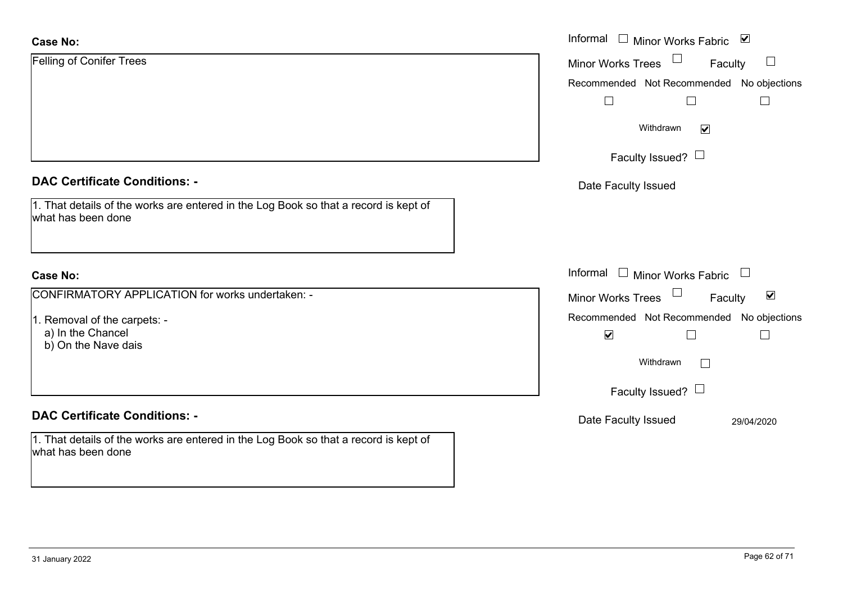| <b>Case No:</b>                                                                                            | Informal $\square$<br>Minor Works Fabric ⊠                                                |
|------------------------------------------------------------------------------------------------------------|-------------------------------------------------------------------------------------------|
| Felling of Conifer Trees                                                                                   | $\mathcal{L}_{\mathcal{A}}$<br><b>Minor Works Trees</b><br>Faculty                        |
|                                                                                                            | Recommended Not Recommended No objections                                                 |
|                                                                                                            | $\Box$                                                                                    |
|                                                                                                            | Withdrawn<br>$\blacktriangledown$                                                         |
|                                                                                                            | Faculty Issued? $\Box$                                                                    |
| <b>DAC Certificate Conditions: -</b>                                                                       | Date Faculty Issued                                                                       |
| 1. That details of the works are entered in the Log Book so that a record is kept of<br>what has been done |                                                                                           |
| <b>Case No:</b>                                                                                            | Informal $\square$<br><b>Minor Works Fabric</b><br>$\begin{array}{c} \square \end{array}$ |
| CONFIRMATORY APPLICATION for works undertaken: -                                                           | Minor Works Trees <sup>1</sup><br>$\blacktriangledown$<br>Faculty                         |
| 1. Removal of the carpets: -<br>a) In the Chancel                                                          | Recommended Not Recommended No objections<br>$\blacktriangledown$                         |
| b) On the Nave dais                                                                                        | Withdrawn<br>$\Box$                                                                       |
|                                                                                                            | Faculty Issued? $\Box$                                                                    |
| <b>DAC Certificate Conditions: -</b>                                                                       | Date Faculty Issued<br>29/04/2020                                                         |
| 1. That details of the works are entered in the Log Book so that a record is kept of<br>what has been done |                                                                                           |
|                                                                                                            |                                                                                           |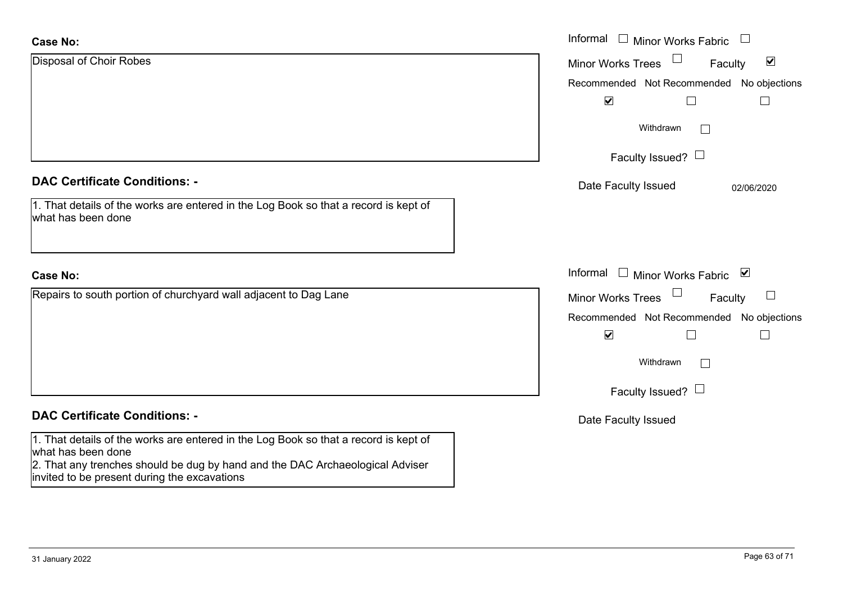| <b>Case No:</b>                                                                                                                                                                             | Informal<br>$\Box$ Minor Works Fabric<br>$\overline{\phantom{a}}$ |
|---------------------------------------------------------------------------------------------------------------------------------------------------------------------------------------------|-------------------------------------------------------------------|
| Disposal of Choir Robes                                                                                                                                                                     | $\blacktriangledown$<br><b>Minor Works Trees</b><br>Faculty       |
|                                                                                                                                                                                             | Recommended Not Recommended No objections                         |
|                                                                                                                                                                                             | $\blacktriangleright$                                             |
|                                                                                                                                                                                             | Withdrawn                                                         |
|                                                                                                                                                                                             | Faculty Issued? $\Box$                                            |
| <b>DAC Certificate Conditions: -</b>                                                                                                                                                        | Date Faculty Issued<br>02/06/2020                                 |
| 1. That details of the works are entered in the Log Book so that a record is kept of<br>what has been done                                                                                  |                                                                   |
| <b>Case No:</b>                                                                                                                                                                             | Informal<br>$\Box$<br>Minor Works Fabric ⊠                        |
| Repairs to south portion of churchyard wall adjacent to Dag Lane                                                                                                                            | $\Box$<br><b>Minor Works Trees</b><br>Faculty<br>$\Box$           |
|                                                                                                                                                                                             | Recommended Not Recommended No objections                         |
|                                                                                                                                                                                             | $\blacktriangledown$                                              |
|                                                                                                                                                                                             | Withdrawn                                                         |
|                                                                                                                                                                                             | Faculty Issued? $\Box$                                            |
| <b>DAC Certificate Conditions: -</b>                                                                                                                                                        | Date Faculty Issued                                               |
| 1. That details of the works are entered in the Log Book so that a record is kept of<br>what has been done<br>2. That any trenches should be dug by hand and the DAC Archaeological Adviser |                                                                   |
| invited to be present during the excavations                                                                                                                                                |                                                                   |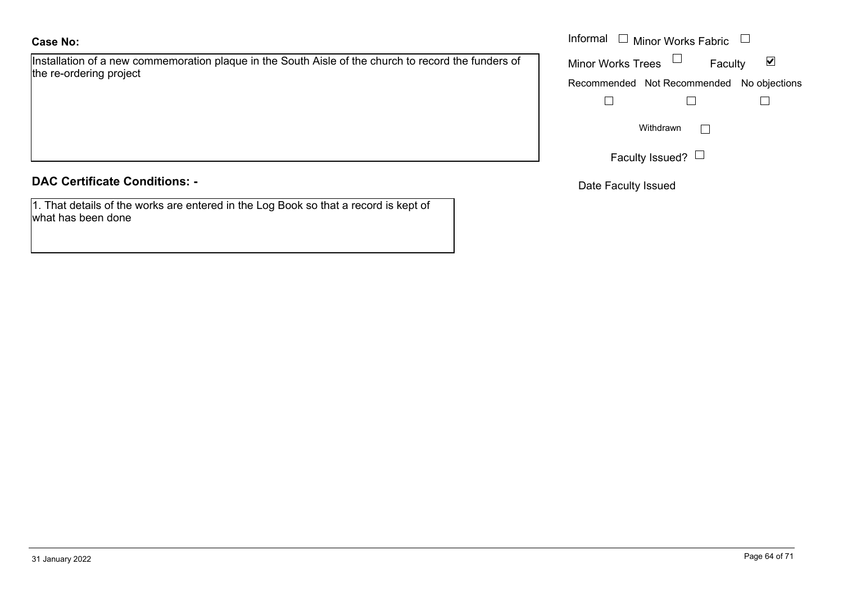Installation of a new commemoration plaque in the South Aisle of the church to record the funders of the re-ordering project

|  | <b>DAC Certificate Conditions: -</b> |  |
|--|--------------------------------------|--|
|  |                                      |  |

1. That details of the works are entered in the Log Book so that a record is kept of what has been done

|                                                                                            | Informal<br>□ Minor Works Fabric □        |  |
|--------------------------------------------------------------------------------------------|-------------------------------------------|--|
| on of a new commemoration plaque in the South Aisle of the church to record the funders of | Minor Works Trees $\Box$<br>Faculty       |  |
| dering project                                                                             | Recommended Not Recommended No objections |  |
|                                                                                            |                                           |  |
|                                                                                            | Withdrawn                                 |  |
|                                                                                            | Faculty Issued?                           |  |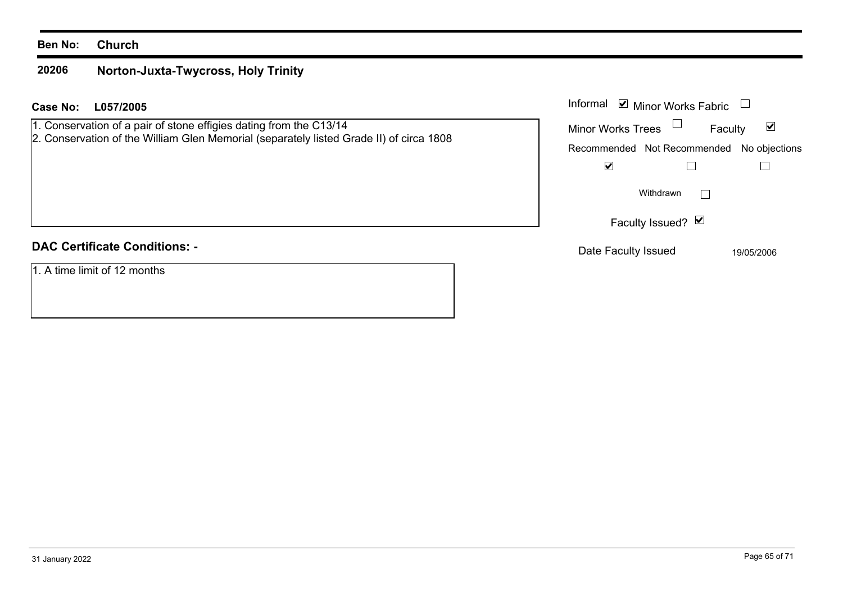#### **Ben No: Church**

#### **20206 Norton-Juxta-Twycross, Holy Trinity**

## **L057/2005 Case No:** Informal

| 1. Conservation of a pair of stone effigies dating from the C13/14                      |
|-----------------------------------------------------------------------------------------|
| 2. Conservation of the William Glen Memorial (separately listed Grade II) of circa 1808 |

## **DAC Certificate Conditions: -**

1. A time limit of 12 months

| Informal Ø Minor Works Fabric                |         |            |
|----------------------------------------------|---------|------------|
| Minor Works Trees                            | Faculty |            |
| Recommended Not Recommended<br>No objections |         |            |
|                                              |         |            |
| Withdrawn                                    |         |            |
| Faculty Issued? Ø                            |         |            |
| Date Faculty Issued                          |         | 19/05/2006 |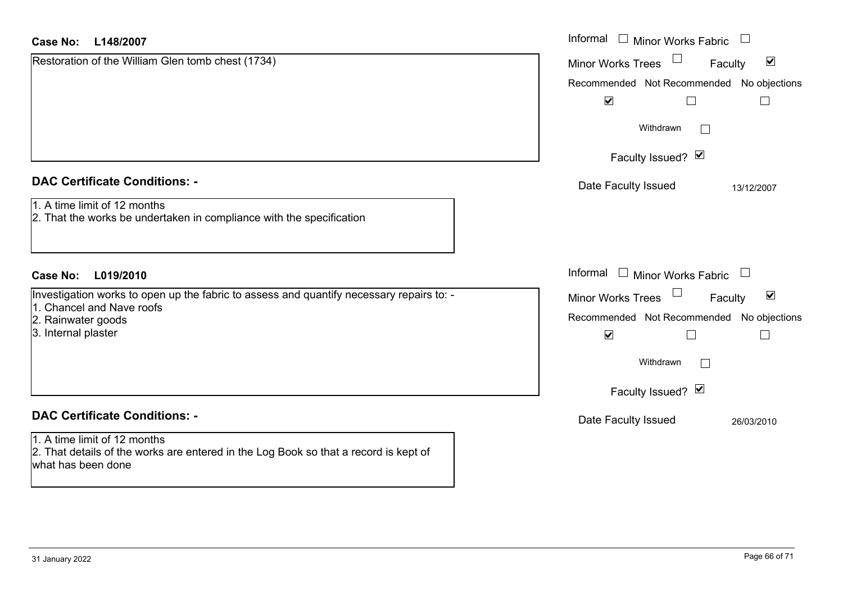| <b>Case No:</b><br>L148/2007                                                                                                               | Informal $\Box$ Minor Works Fabric $\Box$                   |
|--------------------------------------------------------------------------------------------------------------------------------------------|-------------------------------------------------------------|
| Restoration of the William Glen tomb chest (1734)                                                                                          | $\blacktriangledown$<br>Minor Works Trees<br>Faculty        |
|                                                                                                                                            | Recommended Not Recommended No objections                   |
|                                                                                                                                            | $\blacktriangledown$<br>$\Box$                              |
|                                                                                                                                            | Withdrawn                                                   |
|                                                                                                                                            | Faculty Issued? Ø                                           |
| <b>DAC Certificate Conditions: -</b>                                                                                                       | Date Faculty Issued<br>13/12/2007                           |
| 1. A time limit of 12 months<br>2. That the works be undertaken in compliance with the specification                                       |                                                             |
| <b>Case No:</b><br>L019/2010                                                                                                               | Informal □ Minor Works Fabric<br>$\Box$                     |
| Investigation works to open up the fabric to assess and quantify necessary repairs to: -                                                   | $\blacktriangledown$<br><b>Minor Works Trees</b><br>Faculty |
| 1. Chancel and Nave roofs<br>2. Rainwater goods                                                                                            | Recommended Not Recommended No objections                   |
| 3. Internal plaster                                                                                                                        | $\blacktriangledown$<br>$\Box$                              |
|                                                                                                                                            | Withdrawn                                                   |
|                                                                                                                                            | Faculty Issued? Ø                                           |
| <b>DAC Certificate Conditions: -</b>                                                                                                       | Date Faculty Issued<br>26/03/2010                           |
| 1. A time limit of 12 months<br>2. That details of the works are entered in the Log Book so that a record is kept of<br>what has been done |                                                             |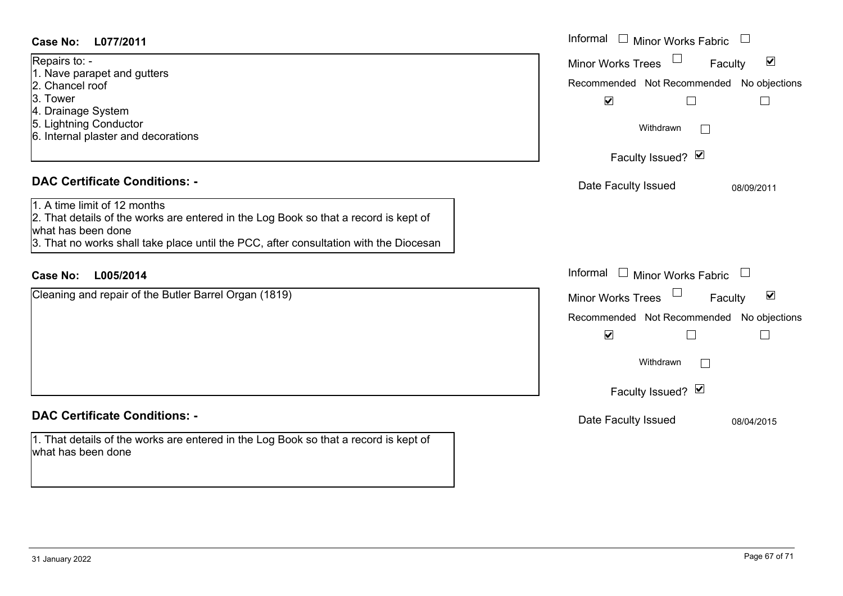#### Informal  $\Box$  Minor Works Fabric  $\Box$ **L077/2011Case No:** Informal Repairs to: -  $\blacktriangledown$ Faculty Minor Works Trees 1. Nave parapet and gutters 2. Chancel roofRecommended Not Recommended No objections 3. Tower  $\overline{\mathbf{v}}$  $\Box$  $\Box$ 4. Drainage System 5. Lightning Conductor Withdrawn $\Box$ 6. Internal plaster and decorations Faculty Issued? Ø **DAC Certificate Conditions: -**Date Faculty Issued 08/09/2011 1. A time limit of 12 months2. That details of the works are entered in the Log Book so that a record is kept of what has been done3. That no works shall take place until the PCC, after consultation with the Diocesan Informal  $\Box$  Minor Works Fabric  $\Box$ **L005/2014Case No:** Informal Cleaning and repair of the Butler Barrel Organ (1819)  $\overline{\mathbf{v}}$ Faculty Minor Works Trees Recommended Not Recommended No objections  $\overline{\mathbf{v}}$  $\Box$  $\Box$ Withdrawn $\Box$ Faculty Issued? Ø **DAC Certificate Conditions: -**Date Faculty Issued 08/04/2015 1. That details of the works are entered in the Log Book so that a record is kept of what has been done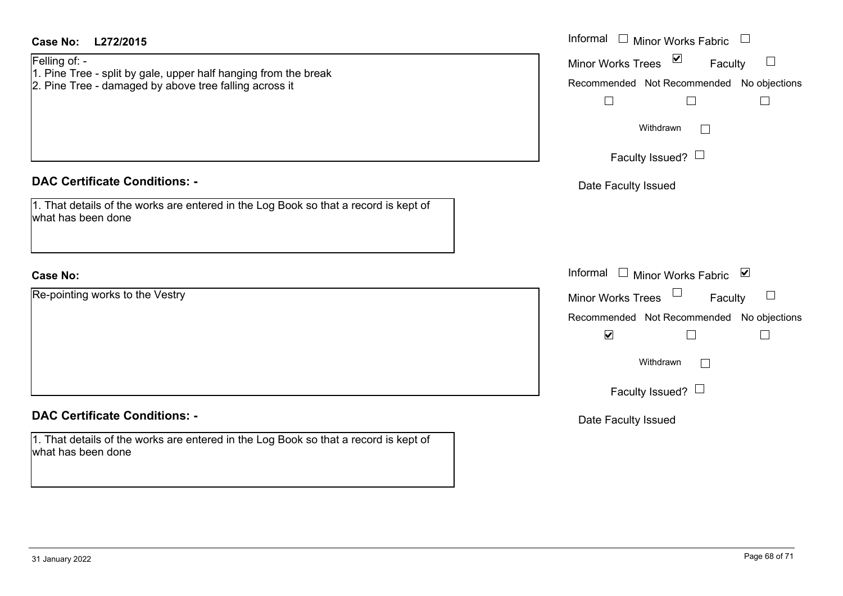| <b>Case No:</b><br>L272/2015<br>Felling of: -<br>1. Pine Tree - split by gale, upper half hanging from the break<br>2. Pine Tree - damaged by above tree falling across it | Informal $\Box$ Minor Works Fabric $\Box$<br>Minor Works Trees $\boxed{\blacksquare}$<br>$\Box$<br>Faculty<br>Recommended Not Recommended No objections<br>$\Box$<br>$\Box$<br>$\Box$<br>Withdrawn<br>$\perp$<br>Faculty Issued? $\Box$ |
|----------------------------------------------------------------------------------------------------------------------------------------------------------------------------|-----------------------------------------------------------------------------------------------------------------------------------------------------------------------------------------------------------------------------------------|
| <b>DAC Certificate Conditions: -</b>                                                                                                                                       | Date Faculty Issued                                                                                                                                                                                                                     |
| 1. That details of the works are entered in the Log Book so that a record is kept of<br>what has been done                                                                 |                                                                                                                                                                                                                                         |
| <b>Case No:</b>                                                                                                                                                            | Informal $\Box$ Minor Works Fabric $\Box$                                                                                                                                                                                               |
| Re-pointing works to the Vestry                                                                                                                                            | Minor Works Trees<br>$\Box$<br>Faculty<br>Recommended Not Recommended No objections<br>$\blacktriangledown$<br>$\mathbf{L}$<br>Withdrawn<br>$\Box$<br>Faculty Issued? $\Box$                                                            |
| <b>DAC Certificate Conditions: -</b>                                                                                                                                       | Date Faculty Issued                                                                                                                                                                                                                     |
| 1. That details of the works are entered in the Log Book so that a record is kept of<br>what has been done                                                                 |                                                                                                                                                                                                                                         |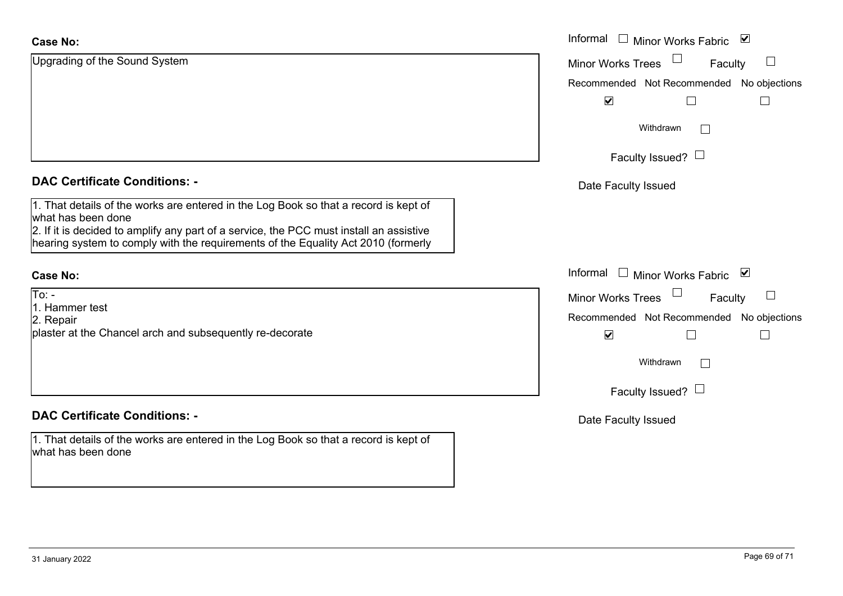| <b>Case No:</b>                                                                                                                                                              | Informal □ Minor Works Fabric ☑               |
|------------------------------------------------------------------------------------------------------------------------------------------------------------------------------|-----------------------------------------------|
| Upgrading of the Sound System                                                                                                                                                | $\Box$<br>Minor Works Trees<br>Faculty        |
|                                                                                                                                                                              | Recommended Not Recommended No objections     |
|                                                                                                                                                                              | $\blacktriangledown$<br>H<br>$\vert$          |
|                                                                                                                                                                              | Withdrawn                                     |
|                                                                                                                                                                              | Faculty Issued? $\Box$                        |
| <b>DAC Certificate Conditions: -</b>                                                                                                                                         | Date Faculty Issued                           |
| 1. That details of the works are entered in the Log Book so that a record is kept of<br>what has been done                                                                   |                                               |
| 2. If it is decided to amplify any part of a service, the PCC must install an assistive<br>hearing system to comply with the requirements of the Equality Act 2010 (formerly |                                               |
| <b>Case No:</b>                                                                                                                                                              | Informal<br>$\Box$ Minor Works Fabric<br>⊻    |
| $To: -$<br>1. Hammer test                                                                                                                                                    | $\Box$<br><b>Minor Works Trees</b><br>Faculty |
| 2. Repair                                                                                                                                                                    | Recommended Not Recommended No objections     |
| plaster at the Chancel arch and subsequently re-decorate                                                                                                                     | $\blacktriangledown$<br>$\Box$                |
|                                                                                                                                                                              | Withdrawn                                     |
|                                                                                                                                                                              | Faculty Issued? $\Box$                        |
| <b>DAC Certificate Conditions: -</b>                                                                                                                                         | Date Faculty Issued                           |
| 1. That details of the works are entered in the Log Book so that a record is kept of<br>what has been done                                                                   |                                               |
|                                                                                                                                                                              |                                               |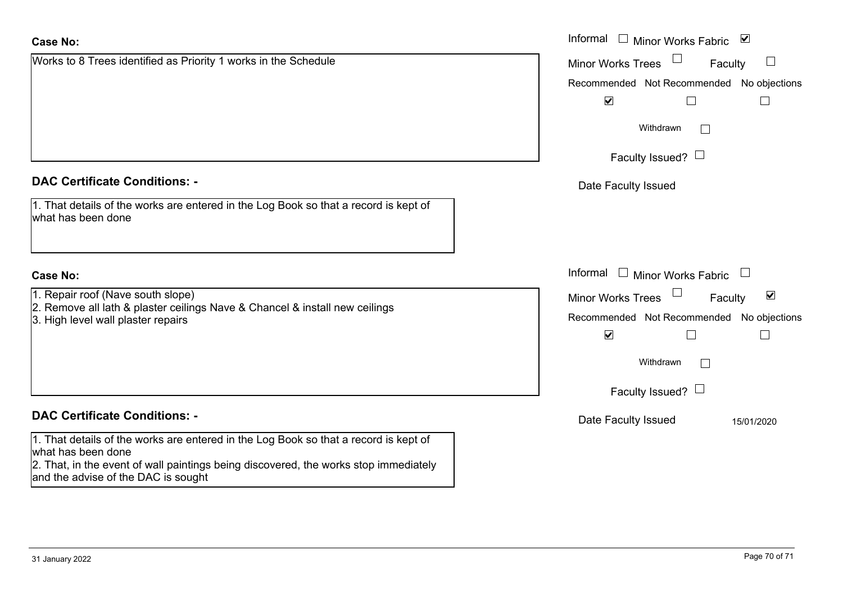| <b>Case No:</b>                                                                                                                                                                                                                           | Informal $\Box$ Minor Works Fabric $\Box$                   |
|-------------------------------------------------------------------------------------------------------------------------------------------------------------------------------------------------------------------------------------------|-------------------------------------------------------------|
| Works to 8 Trees identified as Priority 1 works in the Schedule                                                                                                                                                                           | $\Box$<br><b>Minor Works Trees</b><br>Faculty               |
|                                                                                                                                                                                                                                           | Recommended Not Recommended No objections                   |
|                                                                                                                                                                                                                                           | $\blacktriangledown$                                        |
|                                                                                                                                                                                                                                           | Withdrawn                                                   |
|                                                                                                                                                                                                                                           | Faculty Issued? $\Box$                                      |
| <b>DAC Certificate Conditions: -</b>                                                                                                                                                                                                      | Date Faculty Issued                                         |
| 1. That details of the works are entered in the Log Book so that a record is kept of<br>what has been done                                                                                                                                |                                                             |
| <b>Case No:</b>                                                                                                                                                                                                                           | Informal<br>Minor Works Fabric $\Box$                       |
| 1. Repair roof (Nave south slope)                                                                                                                                                                                                         | $\blacktriangledown$<br><b>Minor Works Trees</b><br>Faculty |
| 2. Remove all lath & plaster ceilings Nave & Chancel & install new ceilings<br>3. High level wall plaster repairs                                                                                                                         | Recommended Not Recommended No objections                   |
|                                                                                                                                                                                                                                           | $\blacktriangledown$                                        |
|                                                                                                                                                                                                                                           | Withdrawn                                                   |
|                                                                                                                                                                                                                                           | Faculty Issued? $\Box$                                      |
| <b>DAC Certificate Conditions: -</b>                                                                                                                                                                                                      | Date Faculty Issued<br>15/01/2020                           |
| 1. That details of the works are entered in the Log Book so that a record is kept of<br>what has been done<br>2. That, in the event of wall paintings being discovered, the works stop immediately<br>and the advise of the DAC is sought |                                                             |